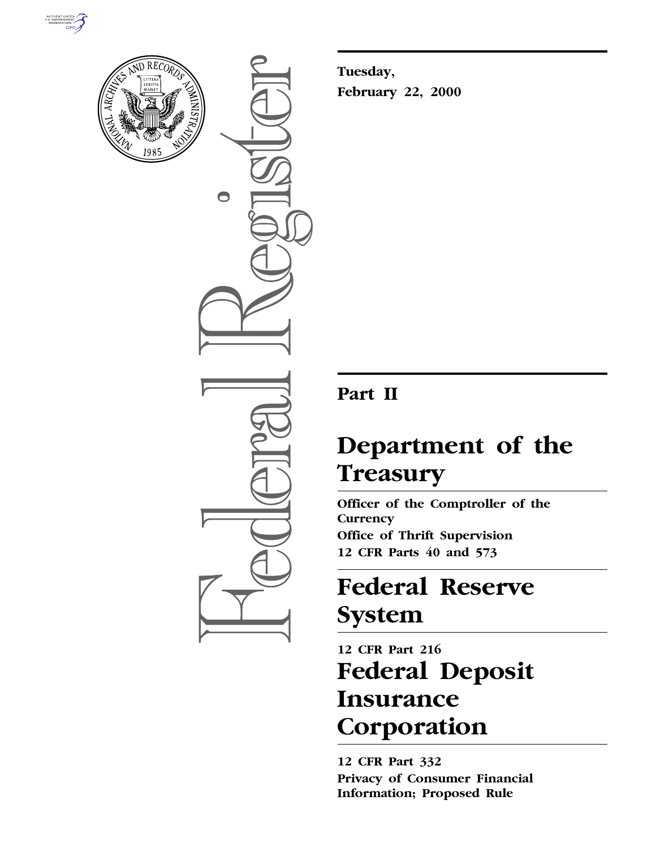



 $\bigcirc$ 

**Tuesday, February 22, 2000**

### **Part II**

# **Department of the Treasury**

**Officer of the Comptroller of the Currency Office of Thrift Supervision 12 CFR Parts 40 and 573**

# **Federal Reserve System**

**12 CFR Part 216 Federal Deposit Insurance Corporation**

**12 CFR Part 332 Privacy of Consumer Financial Information; Proposed Rule**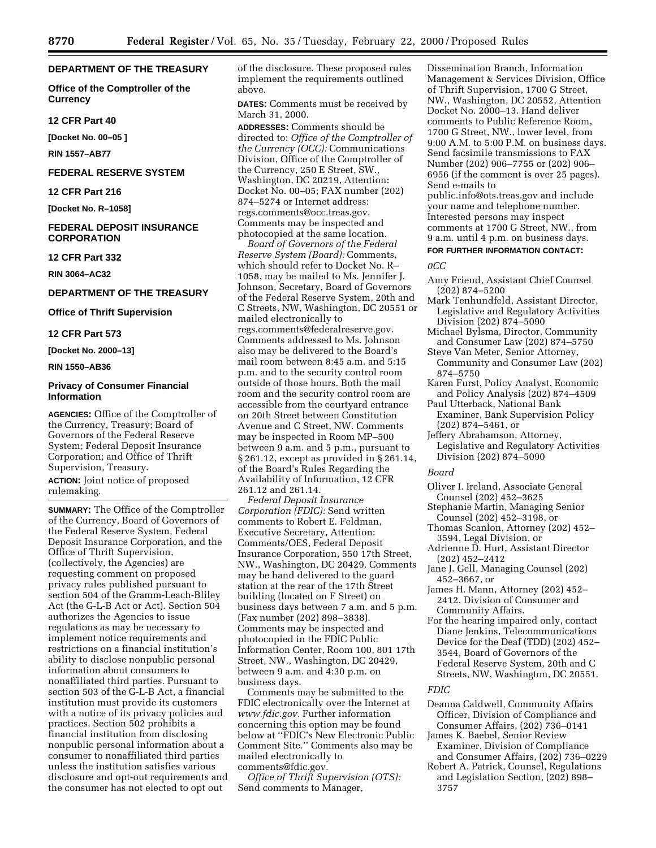#### **DEPARTMENT OF THE TREASURY**

**Office of the Comptroller of the Currency**

#### **12 CFR Part 40**

**[Docket No. 00–05 ]**

**RIN 1557–AB77**

#### **FEDERAL RESERVE SYSTEM**

#### **12 CFR Part 216**

**[Docket No. R–1058]**

#### **FEDERAL DEPOSIT INSURANCE CORPORATION**

**12 CFR Part 332**

**RIN 3064–AC32**

#### **DEPARTMENT OF THE TREASURY**

**Office of Thrift Supervision**

#### **12 CFR Part 573**

**[Docket No. 2000–13]**

**RIN 1550–AB36**

#### **Privacy of Consumer Financial Information**

**AGENCIES:** Office of the Comptroller of the Currency, Treasury; Board of Governors of the Federal Reserve System; Federal Deposit Insurance Corporation; and Office of Thrift Supervision, Treasury.

**ACTION:** Joint notice of proposed rulemaking.

**SUMMARY:** The Office of the Comptroller of the Currency, Board of Governors of the Federal Reserve System, Federal Deposit Insurance Corporation, and the Office of Thrift Supervision, (collectively, the Agencies) are requesting comment on proposed privacy rules published pursuant to section 504 of the Gramm-Leach-Bliley Act (the G-L-B Act or Act). Section 504 authorizes the Agencies to issue regulations as may be necessary to implement notice requirements and restrictions on a financial institution's ability to disclose nonpublic personal information about consumers to nonaffiliated third parties. Pursuant to section 503 of the G-L-B Act, a financial institution must provide its customers with a notice of its privacy policies and practices. Section 502 prohibits a financial institution from disclosing nonpublic personal information about a consumer to nonaffiliated third parties unless the institution satisfies various disclosure and opt-out requirements and the consumer has not elected to opt out

of the disclosure. These proposed rules implement the requirements outlined above.

**DATES:** Comments must be received by March 31, 2000.

**ADDRESSES:** Comments should be directed to: *Office of the Comptroller of the Currency (OCC):* Communications Division, Office of the Comptroller of the Currency, 250 E Street, SW., Washington, DC 20219, Attention: Docket No. 00–05; FAX number (202) 874–5274 or Internet address: regs.comments@occ.treas.gov. Comments may be inspected and photocopied at the same location.

*Board of Governors of the Federal Reserve System (Board):* Comments, which should refer to Docket No. R– 1058, may be mailed to Ms. Jennifer J. Johnson, Secretary, Board of Governors of the Federal Reserve System, 20th and C Streets, NW, Washington, DC 20551 or mailed electronically to regs.comments@federalreserve.gov. Comments addressed to Ms. Johnson also may be delivered to the Board's mail room between 8:45 a.m. and 5:15 p.m. and to the security control room outside of those hours. Both the mail room and the security control room are accessible from the courtyard entrance on 20th Street between Constitution Avenue and C Street, NW. Comments may be inspected in Room MP–500 between 9 a.m. and 5 p.m., pursuant to § 261.12, except as provided in § 261.14, of the Board's Rules Regarding the Availability of Information, 12 CFR 261.12 and 261.14.

*Federal Deposit Insurance Corporation (FDIC):* Send written comments to Robert E. Feldman, Executive Secretary, Attention: Comments/OES, Federal Deposit Insurance Corporation, 550 17th Street, NW., Washington, DC 20429. Comments may be hand delivered to the guard station at the rear of the 17th Street building (located on F Street) on business days between 7 a.m. and 5 p.m. (Fax number (202) 898–3838). Comments may be inspected and photocopied in the FDIC Public Information Center, Room 100, 801 17th Street, NW., Washington, DC 20429, between 9 a.m. and 4:30 p.m. on business days.

Comments may be submitted to the FDIC electronically over the Internet at *www.fdic.gov.* Further information concerning this option may be found below at ''FDIC's New Electronic Public Comment Site.'' Comments also may be mailed electronically to comments@fdic.gov.

*Office of Thrift Supervision (OTS):* Send comments to Manager,

Dissemination Branch, Information Management & Services Division, Office of Thrift Supervision, 1700 G Street, NW., Washington, DC 20552, Attention Docket No. 2000–13. Hand deliver comments to Public Reference Room, 1700 G Street, NW., lower level, from 9:00 A.M. to 5:00 P.M. on business days. Send facsimile transmissions to FAX Number (202) 906–7755 or (202) 906– 6956 (if the comment is over 25 pages). Send e-mails to

public.info@ots.treas.gov and include your name and telephone number. Interested persons may inspect comments at 1700 G Street, NW., from 9 a.m. until 4 p.m. on business days. **FOR FURTHER INFORMATION CONTACT:**

#### *0CC*

- Amy Friend, Assistant Chief Counsel (202) 874–5200
- Mark Tenhundfeld, Assistant Director, Legislative and Regulatory Activities Division (202) 874–5090
- Michael Bylsma, Director, Community and Consumer Law (202) 874–5750
- Steve Van Meter, Senior Attorney, Community and Consumer Law (202) 874–5750
- Karen Furst, Policy Analyst, Economic and Policy Analysis (202) 874–4509 Paul Utterback, National Bank
- Examiner, Bank Supervision Policy (202) 874–5461, or
- Jeffery Abrahamson, Attorney, Legislative and Regulatory Activities Division (202) 874–5090

*Board*

- Oliver I. Ireland, Associate General Counsel (202) 452–3625
- Stephanie Martin, Managing Senior Counsel (202) 452–3198, or
- Thomas Scanlon, Attorney (202) 452– 3594, Legal Division, or
- Adrienne D. Hurt, Assistant Director (202) 452–2412
- Jane J. Gell, Managing Counsel (202) 452–3667, or
- James H. Mann, Attorney (202) 452– 2412, Division of Consumer and Community Affairs.
- For the hearing impaired only, contact Diane Jenkins, Telecommunications Device for the Deaf (TDD) (202) 452– 3544, Board of Governors of the Federal Reserve System, 20th and C Streets, NW, Washington, DC 20551.

#### *FDIC*

- Deanna Caldwell, Community Affairs Officer, Division of Compliance and Consumer Affairs, (202) 736–0141
- James K. Baebel, Senior Review Examiner, Division of Compliance and Consumer Affairs, (202) 736–0229
- Robert A. Patrick, Counsel, Regulations and Legislation Section, (202) 898– 3757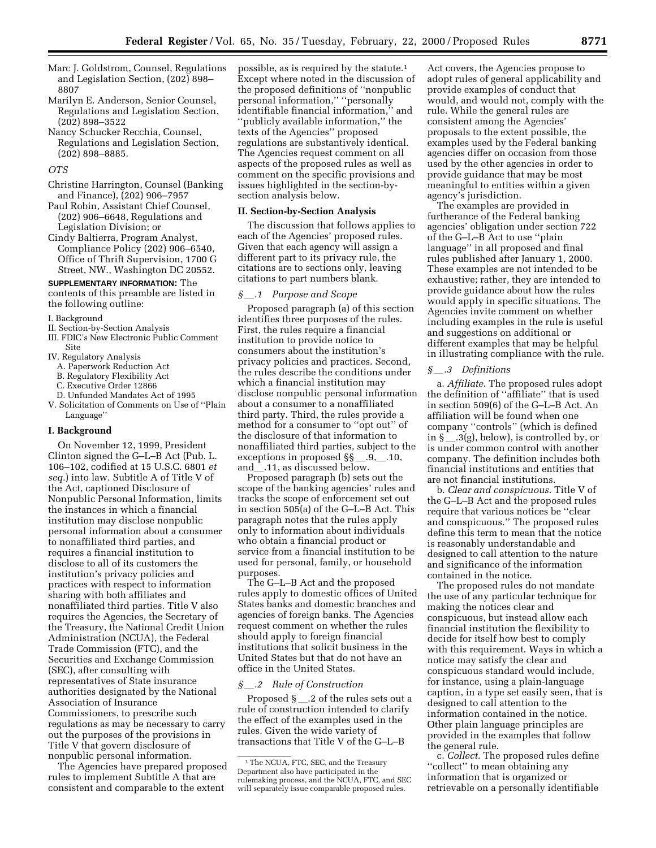- Marc J. Goldstrom, Counsel, Regulations and Legislation Section, (202) 898– 8807
- Marilyn E. Anderson, Senior Counsel, Regulations and Legislation Section, (202) 898–3522
- Nancy Schucker Recchia, Counsel, Regulations and Legislation Section, (202) 898–8885.

#### *OTS*

- Christine Harrington, Counsel (Banking and Finance), (202) 906–7957
- Paul Robin, Assistant Chief Counsel, (202) 906–6648, Regulations and Legislation Division; or
- Cindy Baltierra, Program Analyst, Compliance Policy (202) 906–6540, Office of Thrift Supervision, 1700 G Street, NW., Washington DC 20552.

#### **SUPPLEMENTARY INFORMATION:** The

contents of this preamble are listed in the following outline:

#### I. Background

- II. Section-by-Section Analysis
- III. FDIC's New Electronic Public Comment Site
- IV. Regulatory Analysis
	- A. Paperwork Reduction Act
	- B. Regulatory Flexibility Act
	- C. Executive Order 12866
- D. Unfunded Mandates Act of 1995
- V. Solicitation of Comments on Use of ''Plain Language''

#### **I. Background**

On November 12, 1999, President Clinton signed the G–L–B Act (Pub. L. 106–102, codified at 15 U.S.C. 6801 *et seq.*) into law. Subtitle A of Title V of the Act, captioned Disclosure of Nonpublic Personal Information, limits the instances in which a financial institution may disclose nonpublic personal information about a consumer to nonaffiliated third parties, and requires a financial institution to disclose to all of its customers the institution's privacy policies and practices with respect to information sharing with both affiliates and nonaffiliated third parties. Title V also requires the Agencies, the Secretary of the Treasury, the National Credit Union Administration (NCUA), the Federal Trade Commission (FTC), and the Securities and Exchange Commission (SEC), after consulting with representatives of State insurance authorities designated by the National Association of Insurance Commissioners, to prescribe such regulations as may be necessary to carry out the purposes of the provisions in Title V that govern disclosure of nonpublic personal information.

The Agencies have prepared proposed rules to implement Subtitle A that are consistent and comparable to the extent

possible, as is required by the statute.1 Except where noted in the discussion of the proposed definitions of ''nonpublic personal information,'' ''personally identifiable financial information,'' and ''publicly available information,'' the texts of the Agencies'' proposed regulations are substantively identical. The Agencies request comment on all aspects of the proposed rules as well as comment on the specific provisions and issues highlighted in the section-bysection analysis below.

#### **II. Section-by-Section Analysis**

The discussion that follows applies to each of the Agencies' proposed rules. Given that each agency will assign a different part to its privacy rule, the citations are to sections only, leaving citations to part numbers blank.

#### *§*l*.1 Purpose and Scope*

Proposed paragraph (a) of this section identifies three purposes of the rules. First, the rules require a financial institution to provide notice to consumers about the institution's privacy policies and practices. Second, the rules describe the conditions under which a financial institution may disclose nonpublic personal information about a consumer to a nonaffiliated third party. Third, the rules provide a method for a consumer to ''opt out'' of the disclosure of that information to nonaffiliated third parties, subject to the exceptions in proposed  $\S\S_0$ .9,...10, and<sub>11</sub>.11, as discussed below.

Proposed paragraph (b) sets out the scope of the banking agencies' rules and tracks the scope of enforcement set out in section 505(a) of the G–L–B Act. This paragraph notes that the rules apply only to information about individuals who obtain a financial product or service from a financial institution to be used for personal, family, or household purposes.

The G–L–B Act and the proposed rules apply to domestic offices of United States banks and domestic branches and agencies of foreign banks. The Agencies request comment on whether the rules should apply to foreign financial institutions that solicit business in the United States but that do not have an office in the United States.

#### *§*l*.2 Rule of Construction*

Proposed  $\S$  \_.2 of the rules sets out a rule of construction intended to clarify the effect of the examples used in the rules. Given the wide variety of transactions that Title V of the G–L–B

Act covers, the Agencies propose to adopt rules of general applicability and provide examples of conduct that would, and would not, comply with the rule. While the general rules are consistent among the Agencies' proposals to the extent possible, the examples used by the Federal banking agencies differ on occasion from those used by the other agencies in order to provide guidance that may be most meaningful to entities within a given agency's jurisdiction.

The examples are provided in furtherance of the Federal banking agencies' obligation under section 722 of the G–L–B Act to use ''plain language'' in all proposed and final rules published after January 1, 2000. These examples are not intended to be exhaustive; rather, they are intended to provide guidance about how the rules would apply in specific situations. The Agencies invite comment on whether including examples in the rule is useful and suggestions on additional or different examples that may be helpful in illustrating compliance with the rule.

#### *§*l*.3 Definitions*

a. *Affiliate*. The proposed rules adopt the definition of ''affiliate'' that is used in section 509(6) of the G–L–B Act. An affiliation will be found when one company ''controls'' (which is defined in  $\S$  \_\_.3(g), below), is controlled by, or is under common control with another company. The definition includes both financial institutions and entities that are not financial institutions.

b. *Clear and conspicuous*. Title V of the G–L–B Act and the proposed rules require that various notices be ''clear and conspicuous.'' The proposed rules define this term to mean that the notice is reasonably understandable and designed to call attention to the nature and significance of the information contained in the notice.

The proposed rules do not mandate the use of any particular technique for making the notices clear and conspicuous, but instead allow each financial institution the flexibility to decide for itself how best to comply with this requirement. Ways in which a notice may satisfy the clear and conspicuous standard would include, for instance, using a plain-language caption, in a type set easily seen, that is designed to call attention to the information contained in the notice. Other plain language principles are provided in the examples that follow the general rule.

c. *Collect.* The proposed rules define "collect" to mean obtaining any information that is organized or retrievable on a personally identifiable

<sup>&</sup>lt;sup>1</sup>The NCUA, FTC, SEC, and the Treasury Department also have participated in the rulemaking process, and the NCUA, FTC, and SEC will separately issue comparable proposed rules.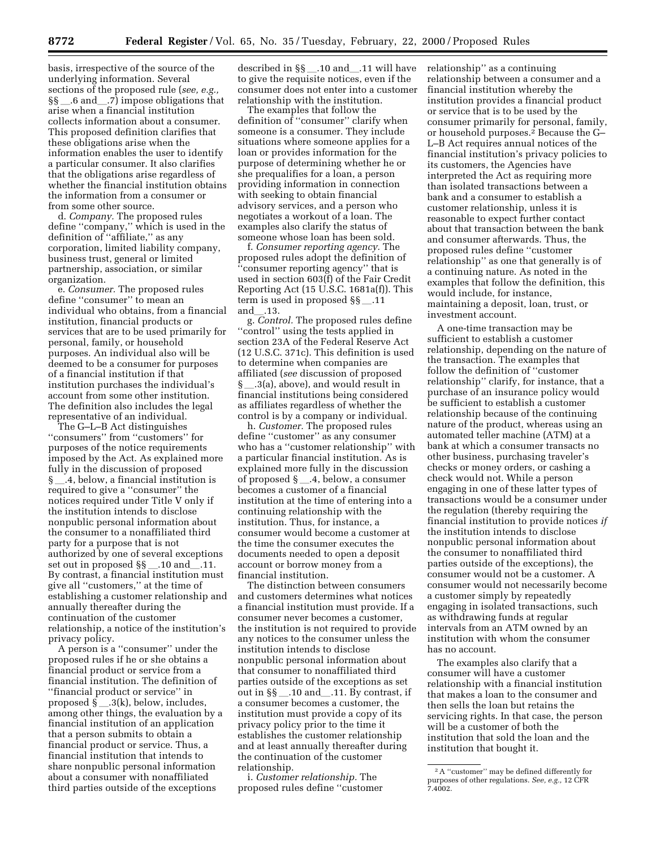basis, irrespective of the source of the underlying information. Several sections of the proposed rule (*see, e.g.,* §§ 6 and 7 mpose obligations that arise when a financial institution collects information about a consumer. This proposed definition clarifies that these obligations arise when the information enables the user to identify a particular consumer. It also clarifies that the obligations arise regardless of whether the financial institution obtains the information from a consumer or from some other source.

d. *Company.* The proposed rules define ''company,'' which is used in the definition of ''affiliate,'' as any corporation, limited liability company, business trust, general or limited partnership, association, or similar organization.

e. *Consumer.* The proposed rules define ''consumer'' to mean an individual who obtains, from a financial institution, financial products or services that are to be used primarily for personal, family, or household purposes. An individual also will be deemed to be a consumer for purposes of a financial institution if that institution purchases the individual's account from some other institution. The definition also includes the legal representative of an individual.

The G–L–B Act distinguishes ''consumers'' from ''customers'' for purposes of the notice requirements imposed by the Act. As explained more fully in the discussion of proposed §<sub>14</sub>, below, a financial institution is required to give a ''consumer'' the notices required under Title V only if the institution intends to disclose nonpublic personal information about the consumer to a nonaffiliated third party for a purpose that is not authorized by one of several exceptions set out in proposed  $\S\S$  \_.10 and \_.11. By contrast, a financial institution must give all ''customers,'' at the time of establishing a customer relationship and annually thereafter during the continuation of the customer relationship, a notice of the institution's privacy policy.

A person is a ''consumer'' under the proposed rules if he or she obtains a financial product or service from a financial institution. The definition of ''financial product or service'' in proposed  $\S$  \_ 3(k), below, includes, among other things, the evaluation by a financial institution of an application that a person submits to obtain a financial product or service. Thus, a financial institution that intends to share nonpublic personal information about a consumer with nonaffiliated third parties outside of the exceptions

described in §§\_.10 and\_.11 will have to give the requisite notices, even if the consumer does not enter into a customer relationship with the institution.

The examples that follow the definition of ''consumer'' clarify when someone is a consumer. They include situations where someone applies for a loan or provides information for the purpose of determining whether he or she prequalifies for a loan, a person providing information in connection with seeking to obtain financial advisory services, and a person who negotiates a workout of a loan. The examples also clarify the status of someone whose loan has been sold.

f. *Consumer reporting agency.* The proposed rules adopt the definition of ''consumer reporting agency'' that is used in section 603(f) of the Fair Credit Reporting Act (15 U.S.C. 1681a(f)). This term is used in proposed  $\S\S - .11$ and $\_\_13$ .

g. *Control.* The proposed rules define ''control'' using the tests applied in section 23A of the Federal Reserve Act (12 U.S.C. 371c). This definition is used to determine when companies are affiliated (*see* discussion of proposed §l.3(a), above), and would result in financial institutions being considered as affiliates regardless of whether the control is by a company or individual.

h. *Customer.* The proposed rules define ''customer'' as any consumer who has a ''customer relationship'' with a particular financial institution. As is explained more fully in the discussion of proposed  $\S$  \_\_.4, below, a consumer becomes a customer of a financial institution at the time of entering into a continuing relationship with the institution. Thus, for instance, a consumer would become a customer at the time the consumer executes the documents needed to open a deposit account or borrow money from a financial institution.

The distinction between consumers and customers determines what notices a financial institution must provide. If a consumer never becomes a customer, the institution is not required to provide any notices to the consumer unless the institution intends to disclose nonpublic personal information about that consumer to nonaffiliated third parties outside of the exceptions as set out in  $\S$ <sub>2</sub>.10 and \_\_.11. By contrast, if a consumer becomes a customer, the institution must provide a copy of its privacy policy prior to the time it establishes the customer relationship and at least annually thereafter during the continuation of the customer relationship.

i. *Customer relationship.* The proposed rules define ''customer relationship'' as a continuing relationship between a consumer and a financial institution whereby the institution provides a financial product or service that is to be used by the consumer primarily for personal, family, or household purposes.2 Because the G– L–B Act requires annual notices of the financial institution's privacy policies to its customers, the Agencies have interpreted the Act as requiring more than isolated transactions between a bank and a consumer to establish a customer relationship, unless it is reasonable to expect further contact about that transaction between the bank and consumer afterwards. Thus, the proposed rules define ''customer relationship'' as one that generally is of a continuing nature. As noted in the examples that follow the definition, this would include, for instance, maintaining a deposit, loan, trust, or investment account.

A one-time transaction may be sufficient to establish a customer relationship, depending on the nature of the transaction. The examples that follow the definition of ''customer relationship'' clarify, for instance, that a purchase of an insurance policy would be sufficient to establish a customer relationship because of the continuing nature of the product, whereas using an automated teller machine (ATM) at a bank at which a consumer transacts no other business, purchasing traveler's checks or money orders, or cashing a check would not. While a person engaging in one of these latter types of transactions would be a consumer under the regulation (thereby requiring the financial institution to provide notices *if* the institution intends to disclose nonpublic personal information about the consumer to nonaffiliated third parties outside of the exceptions), the consumer would not be a customer. A consumer would not necessarily become a customer simply by repeatedly engaging in isolated transactions, such as withdrawing funds at regular intervals from an ATM owned by an institution with whom the consumer has no account.

The examples also clarify that a consumer will have a customer relationship with a financial institution that makes a loan to the consumer and then sells the loan but retains the servicing rights. In that case, the person will be a customer of both the institution that sold the loan and the institution that bought it.

<sup>2</sup>A ''customer'' may be defined differently for purposes of other regulations. *See, e.g.,* 12 CFR 7.4002.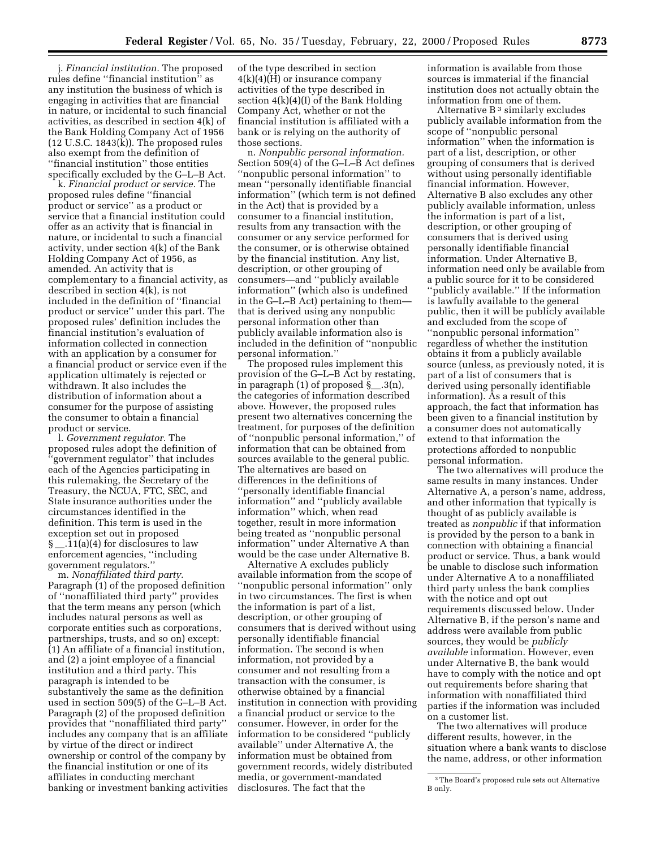j. *Financial institution.* The proposed rules define ''financial institution'' as any institution the business of which is engaging in activities that are financial in nature, or incidental to such financial activities, as described in section 4(k) of the Bank Holding Company Act of 1956 (12 U.S.C. 1843(k)). The proposed rules also exempt from the definition of ''financial institution'' those entities specifically excluded by the G–L–B Act.

k. *Financial product or service.* The proposed rules define ''financial product or service'' as a product or service that a financial institution could offer as an activity that is financial in nature, or incidental to such a financial activity, under section 4(k) of the Bank Holding Company Act of 1956, as amended. An activity that is complementary to a financial activity, as described in section 4(k), is not included in the definition of ''financial product or service'' under this part. The proposed rules' definition includes the financial institution's evaluation of information collected in connection with an application by a consumer for a financial product or service even if the application ultimately is rejected or withdrawn. It also includes the distribution of information about a consumer for the purpose of assisting the consumer to obtain a financial product or service.

l. *Government regulator.* The proposed rules adopt the definition of 'government regulator" that includes each of the Agencies participating in this rulemaking, the Secretary of the Treasury, the NCUA, FTC, SEC, and State insurance authorities under the circumstances identified in the definition. This term is used in the exception set out in proposed  $\S$  \_\_, 11(a)(4) for disclosures to law enforcement agencies, ''including government regulators.

m. *Nonaffiliated third party.* Paragraph (1) of the proposed definition of ''nonaffiliated third party'' provides that the term means any person (which includes natural persons as well as corporate entities such as corporations, partnerships, trusts, and so on) except: (1) An affiliate of a financial institution, and (2) a joint employee of a financial institution and a third party. This paragraph is intended to be substantively the same as the definition used in section 509(5) of the G–L–B Act. Paragraph (2) of the proposed definition provides that ''nonaffiliated third party'' includes any company that is an affiliate by virtue of the direct or indirect ownership or control of the company by the financial institution or one of its affiliates in conducting merchant banking or investment banking activities

of the type described in section  $4(k)(4)(H)$  or insurance company activities of the type described in section 4(k)(4)(I) of the Bank Holding Company Act, whether or not the financial institution is affiliated with a bank or is relying on the authority of those sections.

n. *Nonpublic personal information.* Section 509(4) of the G–L–B Act defines ''nonpublic personal information'' to mean ''personally identifiable financial information'' (which term is not defined in the Act) that is provided by a consumer to a financial institution, results from any transaction with the consumer or any service performed for the consumer, or is otherwise obtained by the financial institution. Any list, description, or other grouping of consumers—and ''publicly available information'' (which also is undefined in the G–L–B Act) pertaining to them that is derived using any nonpublic personal information other than publicly available information also is included in the definition of ''nonpublic personal information.''

The proposed rules implement this provision of the G–L–B Act by restating, in paragraph (1) of proposed  $\S$ . 3(n), the categories of information described above. However, the proposed rules present two alternatives concerning the treatment, for purposes of the definition of ''nonpublic personal information,'' of information that can be obtained from sources available to the general public. The alternatives are based on differences in the definitions of ''personally identifiable financial information'' and ''publicly available information'' which, when read together, result in more information being treated as ''nonpublic personal information'' under Alternative A than would be the case under Alternative B.

Alternative A excludes publicly available information from the scope of ''nonpublic personal information'' only in two circumstances. The first is when the information is part of a list, description, or other grouping of consumers that is derived without using personally identifiable financial information. The second is when information, not provided by a consumer and not resulting from a transaction with the consumer, is otherwise obtained by a financial institution in connection with providing a financial product or service to the consumer. However, in order for the information to be considered ''publicly available'' under Alternative A, the information must be obtained from government records, widely distributed media, or government-mandated disclosures. The fact that the

information is available from those sources is immaterial if the financial institution does not actually obtain the information from one of them.

Alternative  $B<sup>3</sup>$  similarly excludes publicly available information from the scope of ''nonpublic personal information'' when the information is part of a list, description, or other grouping of consumers that is derived without using personally identifiable financial information. However, Alternative B also excludes any other publicly available information, unless the information is part of a list, description, or other grouping of consumers that is derived using personally identifiable financial information. Under Alternative B, information need only be available from a public source for it to be considered ''publicly available.'' If the information is lawfully available to the general public, then it will be publicly available and excluded from the scope of ''nonpublic personal information'' regardless of whether the institution obtains it from a publicly available source (unless, as previously noted, it is part of a list of consumers that is derived using personally identifiable information). As a result of this approach, the fact that information has been given to a financial institution by a consumer does not automatically extend to that information the protections afforded to nonpublic personal information.

The two alternatives will produce the same results in many instances. Under Alternative A, a person's name, address, and other information that typically is thought of as publicly available is treated as *nonpublic* if that information is provided by the person to a bank in connection with obtaining a financial product or service. Thus, a bank would be unable to disclose such information under Alternative A to a nonaffiliated third party unless the bank complies with the notice and opt out requirements discussed below. Under Alternative B, if the person's name and address were available from public sources, they would be *publicly available* information. However, even under Alternative B, the bank would have to comply with the notice and opt out requirements before sharing that information with nonaffiliated third parties if the information was included on a customer list.

The two alternatives will produce different results, however, in the situation where a bank wants to disclose the name, address, or other information

<sup>3</sup>The Board's proposed rule sets out Alternative B only.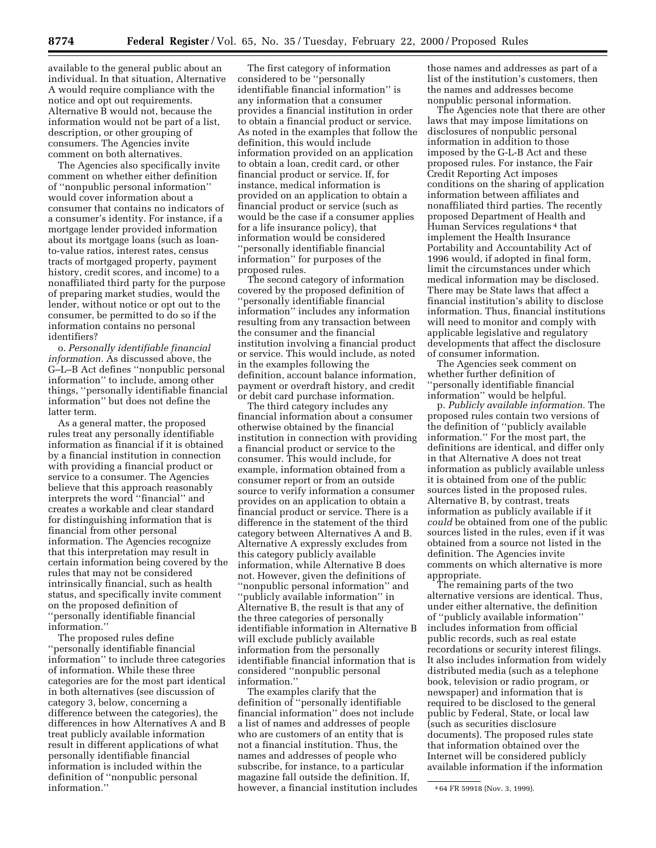available to the general public about an individual. In that situation, Alternative A would require compliance with the notice and opt out requirements. Alternative B would not, because the information would not be part of a list, description, or other grouping of consumers. The Agencies invite comment on both alternatives.

The Agencies also specifically invite comment on whether either definition of ''nonpublic personal information'' would cover information about a consumer that contains no indicators of a consumer's identity. For instance, if a mortgage lender provided information about its mortgage loans (such as loanto-value ratios, interest rates, census tracts of mortgaged property, payment history, credit scores, and income) to a nonaffiliated third party for the purpose of preparing market studies, would the lender, without notice or opt out to the consumer, be permitted to do so if the information contains no personal identifiers?

o. *Personally identifiable financial information.* As discussed above, the G–L–B Act defines ''nonpublic personal information'' to include, among other things, ''personally identifiable financial information'' but does not define the latter term.

As a general matter, the proposed rules treat any personally identifiable information as financial if it is obtained by a financial institution in connection with providing a financial product or service to a consumer. The Agencies believe that this approach reasonably interprets the word ''financial'' and creates a workable and clear standard for distinguishing information that is financial from other personal information. The Agencies recognize that this interpretation may result in certain information being covered by the rules that may not be considered intrinsically financial, such as health status, and specifically invite comment on the proposed definition of ''personally identifiable financial information.''

The proposed rules define ''personally identifiable financial information'' to include three categories of information. While these three categories are for the most part identical in both alternatives (see discussion of category 3, below, concerning a difference between the categories), the differences in how Alternatives A and B treat publicly available information result in different applications of what personally identifiable financial information is included within the definition of ''nonpublic personal information.''

The first category of information considered to be ''personally identifiable financial information'' is any information that a consumer provides a financial institution in order to obtain a financial product or service. As noted in the examples that follow the definition, this would include information provided on an application to obtain a loan, credit card, or other financial product or service. If, for instance, medical information is provided on an application to obtain a financial product or service (such as would be the case if a consumer applies for a life insurance policy), that information would be considered ''personally identifiable financial information'' for purposes of the proposed rules.

The second category of information covered by the proposed definition of ''personally identifiable financial information'' includes any information resulting from any transaction between the consumer and the financial institution involving a financial product or service. This would include, as noted in the examples following the definition, account balance information, payment or overdraft history, and credit or debit card purchase information.

The third category includes any financial information about a consumer otherwise obtained by the financial institution in connection with providing a financial product or service to the consumer. This would include, for example, information obtained from a consumer report or from an outside source to verify information a consumer provides on an application to obtain a financial product or service. There is a difference in the statement of the third category between Alternatives A and B. Alternative A expressly excludes from this category publicly available information, while Alternative B does not. However, given the definitions of ''nonpublic personal information'' and ''publicly available information'' in Alternative B, the result is that any of the three categories of personally identifiable information in Alternative B will exclude publicly available information from the personally identifiable financial information that is considered ''nonpublic personal information.''

The examples clarify that the definition of ''personally identifiable financial information'' does not include a list of names and addresses of people who are customers of an entity that is not a financial institution. Thus, the names and addresses of people who subscribe, for instance, to a particular magazine fall outside the definition. If, however, a financial institution includes

those names and addresses as part of a list of the institution's customers, then the names and addresses become nonpublic personal information.

The Agencies note that there are other laws that may impose limitations on disclosures of nonpublic personal information in addition to those imposed by the G-L-B Act and these proposed rules. For instance, the Fair Credit Reporting Act imposes conditions on the sharing of application information between affiliates and nonaffiliated third parties. The recently proposed Department of Health and Human Services regulations 4 that implement the Health Insurance Portability and Accountability Act of 1996 would, if adopted in final form, limit the circumstances under which medical information may be disclosed. There may be State laws that affect a financial institution's ability to disclose information. Thus, financial institutions will need to monitor and comply with applicable legislative and regulatory developments that affect the disclosure of consumer information.

The Agencies seek comment on whether further definition of ''personally identifiable financial information'' would be helpful.

p. *Publicly available information.* The proposed rules contain two versions of the definition of ''publicly available information.'' For the most part, the definitions are identical, and differ only in that Alternative A does not treat information as publicly available unless it is obtained from one of the public sources listed in the proposed rules. Alternative B, by contrast, treats information as publicly available if it *could* be obtained from one of the public sources listed in the rules, even if it was obtained from a source not listed in the definition. The Agencies invite comments on which alternative is more appropriate.

The remaining parts of the two alternative versions are identical. Thus, under either alternative, the definition of ''publicly available information'' includes information from official public records, such as real estate recordations or security interest filings. It also includes information from widely distributed media (such as a telephone book, television or radio program, or newspaper) and information that is required to be disclosed to the general public by Federal, State, or local law (such as securities disclosure documents). The proposed rules state that information obtained over the Internet will be considered publicly available information if the information

<sup>4</sup> 64 FR 59918 (Nov. 3, 1999).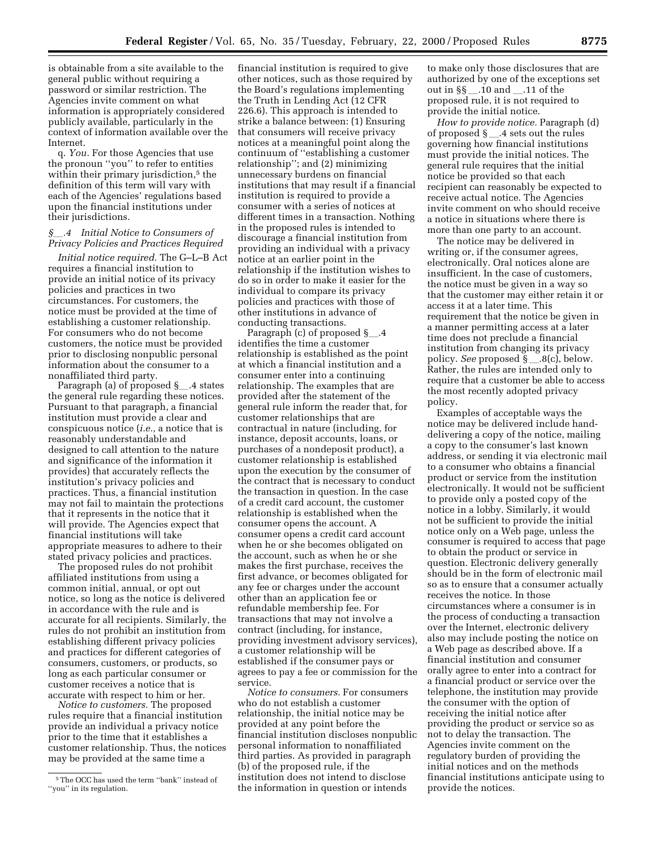is obtainable from a site available to the general public without requiring a password or similar restriction. The Agencies invite comment on what information is appropriately considered publicly available, particularly in the context of information available over the Internet.

q. *You.* For those Agencies that use the pronoun ''you'' to refer to entities within their primary jurisdiction,<sup>5</sup> the definition of this term will vary with each of the Agencies' regulations based upon the financial institutions under their jurisdictions.

#### *§*l*.4 Initial Notice to Consumers of Privacy Policies and Practices Required*

*Initial notice required.* The G–L–B Act requires a financial institution to provide an initial notice of its privacy policies and practices in two circumstances. For customers, the notice must be provided at the time of establishing a customer relationship. For consumers who do not become customers, the notice must be provided prior to disclosing nonpublic personal information about the consumer to a nonaffiliated third party.

Paragraph (a) of proposed  $\S$  4 states the general rule regarding these notices. Pursuant to that paragraph, a financial institution must provide a clear and conspicuous notice (*i.e.,* a notice that is reasonably understandable and designed to call attention to the nature and significance of the information it provides) that accurately reflects the institution's privacy policies and practices. Thus, a financial institution may not fail to maintain the protections that it represents in the notice that it will provide. The Agencies expect that financial institutions will take appropriate measures to adhere to their stated privacy policies and practices.

The proposed rules do not prohibit affiliated institutions from using a common initial, annual, or opt out notice, so long as the notice is delivered in accordance with the rule and is accurate for all recipients. Similarly, the rules do not prohibit an institution from establishing different privacy policies and practices for different categories of consumers, customers, or products, so long as each particular consumer or customer receives a notice that is accurate with respect to him or her.

*Notice to customers.* The proposed rules require that a financial institution provide an individual a privacy notice prior to the time that it establishes a customer relationship. Thus, the notices may be provided at the same time a

financial institution is required to give other notices, such as those required by the Board's regulations implementing the Truth in Lending Act (12 CFR 226.6). This approach is intended to strike a balance between: (1) Ensuring that consumers will receive privacy notices at a meaningful point along the continuum of ''establishing a customer relationship''; and (2) minimizing unnecessary burdens on financial institutions that may result if a financial institution is required to provide a consumer with a series of notices at different times in a transaction. Nothing in the proposed rules is intended to discourage a financial institution from providing an individual with a privacy notice at an earlier point in the relationship if the institution wishes to do so in order to make it easier for the individual to compare its privacy policies and practices with those of other institutions in advance of conducting transactions.

Paragraph (c) of proposed  $\S$ .4 identifies the time a customer relationship is established as the point at which a financial institution and a consumer enter into a continuing relationship. The examples that are provided after the statement of the general rule inform the reader that, for customer relationships that are contractual in nature (including, for instance, deposit accounts, loans, or purchases of a nondeposit product), a customer relationship is established upon the execution by the consumer of the contract that is necessary to conduct the transaction in question. In the case of a credit card account, the customer relationship is established when the consumer opens the account. A consumer opens a credit card account when he or she becomes obligated on the account, such as when he or she makes the first purchase, receives the first advance, or becomes obligated for any fee or charges under the account other than an application fee or refundable membership fee. For transactions that may not involve a contract (including, for instance, providing investment advisory services), a customer relationship will be established if the consumer pays or agrees to pay a fee or commission for the service.

*Notice to consumers.* For consumers who do not establish a customer relationship, the initial notice may be provided at any point before the financial institution discloses nonpublic personal information to nonaffiliated third parties. As provided in paragraph (b) of the proposed rule, if the institution does not intend to disclose the information in question or intends

to make only those disclosures that are authorized by one of the exceptions set out in  $\S$ .10 and .11 of the proposed rule, it is not required to provide the initial notice.

*How to provide notice.* Paragraph (d) of proposed  $\S$  \_4 sets out the rules governing how financial institutions must provide the initial notices. The general rule requires that the initial notice be provided so that each recipient can reasonably be expected to receive actual notice. The Agencies invite comment on who should receive a notice in situations where there is more than one party to an account.

The notice may be delivered in writing or, if the consumer agrees, electronically. Oral notices alone are insufficient. In the case of customers, the notice must be given in a way so that the customer may either retain it or access it at a later time. This requirement that the notice be given in a manner permitting access at a later time does not preclude a financial institution from changing its privacy policy. *See* proposed §\_\_.8(c), below. Rather, the rules are intended only to require that a customer be able to access the most recently adopted privacy policy.

Examples of acceptable ways the notice may be delivered include handdelivering a copy of the notice, mailing a copy to the consumer's last known address, or sending it via electronic mail to a consumer who obtains a financial product or service from the institution electronically. It would not be sufficient to provide only a posted copy of the notice in a lobby. Similarly, it would not be sufficient to provide the initial notice only on a Web page, unless the consumer is required to access that page to obtain the product or service in question. Electronic delivery generally should be in the form of electronic mail so as to ensure that a consumer actually receives the notice. In those circumstances where a consumer is in the process of conducting a transaction over the Internet, electronic delivery also may include posting the notice on a Web page as described above. If a financial institution and consumer orally agree to enter into a contract for a financial product or service over the telephone, the institution may provide the consumer with the option of receiving the initial notice after providing the product or service so as not to delay the transaction. The Agencies invite comment on the regulatory burden of providing the initial notices and on the methods financial institutions anticipate using to provide the notices.

<sup>5</sup>The OCC has used the term ''bank'' instead of "you" in its regulation.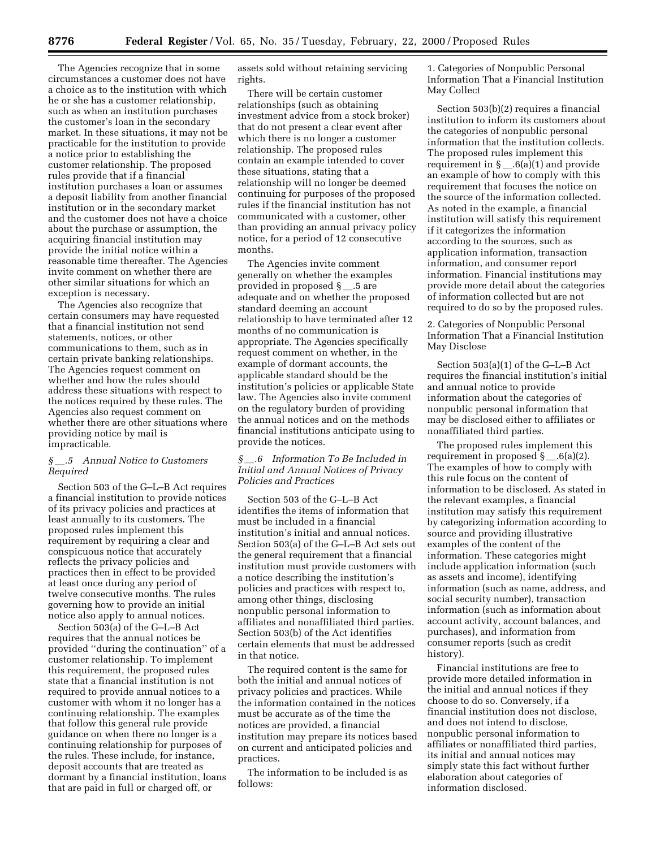The Agencies recognize that in some circumstances a customer does not have a choice as to the institution with which he or she has a customer relationship, such as when an institution purchases the customer's loan in the secondary market. In these situations, it may not be practicable for the institution to provide a notice prior to establishing the customer relationship. The proposed rules provide that if a financial institution purchases a loan or assumes a deposit liability from another financial institution or in the secondary market and the customer does not have a choice about the purchase or assumption, the acquiring financial institution may provide the initial notice within a reasonable time thereafter. The Agencies invite comment on whether there are other similar situations for which an exception is necessary.

The Agencies also recognize that certain consumers may have requested that a financial institution not send statements, notices, or other communications to them, such as in certain private banking relationships. The Agencies request comment on whether and how the rules should address these situations with respect to the notices required by these rules. The Agencies also request comment on whether there are other situations where providing notice by mail is impracticable.

#### *§*l*.5 Annual Notice to Customers Required*

Section 503 of the G–L–B Act requires a financial institution to provide notices of its privacy policies and practices at least annually to its customers. The proposed rules implement this requirement by requiring a clear and conspicuous notice that accurately reflects the privacy policies and practices then in effect to be provided at least once during any period of twelve consecutive months. The rules governing how to provide an initial notice also apply to annual notices.

Section 503(a) of the G–L–B Act requires that the annual notices be provided ''during the continuation'' of a customer relationship. To implement this requirement, the proposed rules state that a financial institution is not required to provide annual notices to a customer with whom it no longer has a continuing relationship. The examples that follow this general rule provide guidance on when there no longer is a continuing relationship for purposes of the rules. These include, for instance, deposit accounts that are treated as dormant by a financial institution, loans that are paid in full or charged off, or

assets sold without retaining servicing rights.

There will be certain customer relationships (such as obtaining investment advice from a stock broker) that do not present a clear event after which there is no longer a customer relationship. The proposed rules contain an example intended to cover these situations, stating that a relationship will no longer be deemed continuing for purposes of the proposed rules if the financial institution has not communicated with a customer, other than providing an annual privacy policy notice, for a period of 12 consecutive months.

The Agencies invite comment generally on whether the examples provided in proposed  $\S$ . 5 are adequate and on whether the proposed standard deeming an account relationship to have terminated after 12 months of no communication is appropriate. The Agencies specifically request comment on whether, in the example of dormant accounts, the applicable standard should be the institution's policies or applicable State law. The Agencies also invite comment on the regulatory burden of providing the annual notices and on the methods financial institutions anticipate using to provide the notices.

#### *§*l*.6 Information To Be Included in Initial and Annual Notices of Privacy Policies and Practices*

Section 503 of the G–L–B Act identifies the items of information that must be included in a financial institution's initial and annual notices. Section 503(a) of the G–L–B Act sets out the general requirement that a financial institution must provide customers with a notice describing the institution's policies and practices with respect to, among other things, disclosing nonpublic personal information to affiliates and nonaffiliated third parties. Section 503(b) of the Act identifies certain elements that must be addressed in that notice.

The required content is the same for both the initial and annual notices of privacy policies and practices. While the information contained in the notices must be accurate as of the time the notices are provided, a financial institution may prepare its notices based on current and anticipated policies and practices.

The information to be included is as follows:

1. Categories of Nonpublic Personal Information That a Financial Institution May Collect

Section 503(b)(2) requires a financial institution to inform its customers about the categories of nonpublic personal information that the institution collects. The proposed rules implement this requirement in  $\S$  6(a)(1) and provide an example of how to comply with this requirement that focuses the notice on the source of the information collected. As noted in the example, a financial institution will satisfy this requirement if it categorizes the information according to the sources, such as application information, transaction information, and consumer report information. Financial institutions may provide more detail about the categories of information collected but are not required to do so by the proposed rules.

2. Categories of Nonpublic Personal Information That a Financial Institution May Disclose

Section 503(a)(1) of the G–L–B Act requires the financial institution's initial and annual notice to provide information about the categories of nonpublic personal information that may be disclosed either to affiliates or nonaffiliated third parties.

The proposed rules implement this requirement in proposed  $\S$  6(a)(2). The examples of how to comply with this rule focus on the content of information to be disclosed. As stated in the relevant examples, a financial institution may satisfy this requirement by categorizing information according to source and providing illustrative examples of the content of the information. These categories might include application information (such as assets and income), identifying information (such as name, address, and social security number), transaction information (such as information about account activity, account balances, and purchases), and information from consumer reports (such as credit history).

Financial institutions are free to provide more detailed information in the initial and annual notices if they choose to do so. Conversely, if a financial institution does not disclose, and does not intend to disclose, nonpublic personal information to affiliates or nonaffiliated third parties, its initial and annual notices may simply state this fact without further elaboration about categories of information disclosed.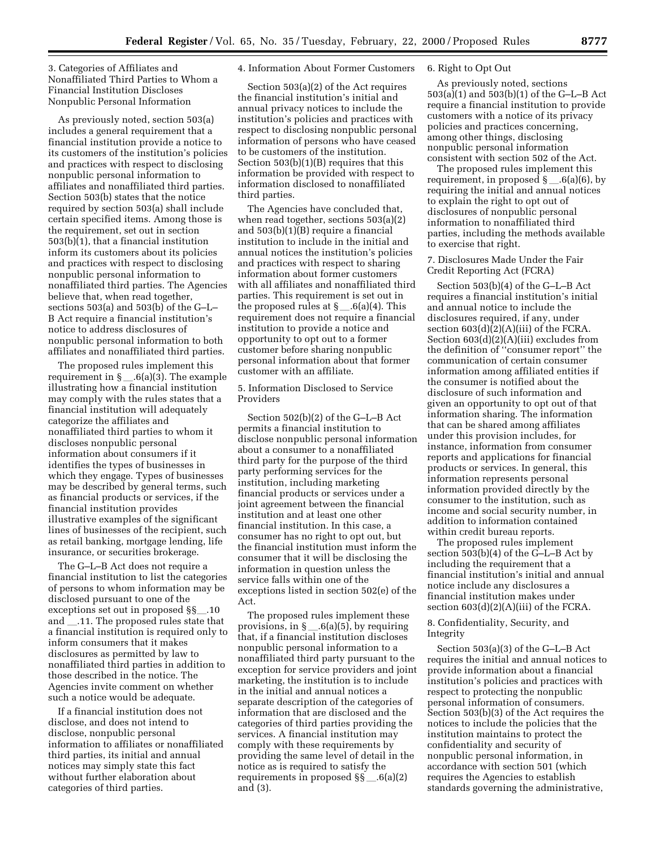3. Categories of Affiliates and Nonaffiliated Third Parties to Whom a Financial Institution Discloses Nonpublic Personal Information

As previously noted, section 503(a) includes a general requirement that a financial institution provide a notice to its customers of the institution's policies and practices with respect to disclosing nonpublic personal information to affiliates and nonaffiliated third parties. Section 503(b) states that the notice required by section 503(a) shall include certain specified items. Among those is the requirement, set out in section 503(b)(1), that a financial institution inform its customers about its policies and practices with respect to disclosing nonpublic personal information to nonaffiliated third parties. The Agencies believe that, when read together, sections 503(a) and 503(b) of the G–L– B Act require a financial institution's notice to address disclosures of nonpublic personal information to both affiliates and nonaffiliated third parties.

The proposed rules implement this requirement in  $\S$  6(a)(3). The example illustrating how a financial institution may comply with the rules states that a financial institution will adequately categorize the affiliates and nonaffiliated third parties to whom it discloses nonpublic personal information about consumers if it identifies the types of businesses in which they engage. Types of businesses may be described by general terms, such as financial products or services, if the financial institution provides illustrative examples of the significant lines of businesses of the recipient, such as retail banking, mortgage lending, life insurance, or securities brokerage.

The G–L–B Act does not require a financial institution to list the categories of persons to whom information may be disclosed pursuant to one of the exceptions set out in proposed  $\S\S$ . and \_\_\_.11. The proposed rules state that a financial institution is required only to inform consumers that it makes disclosures as permitted by law to nonaffiliated third parties in addition to those described in the notice. The Agencies invite comment on whether such a notice would be adequate.

If a financial institution does not disclose, and does not intend to disclose, nonpublic personal information to affiliates or nonaffiliated third parties, its initial and annual notices may simply state this fact without further elaboration about categories of third parties.

4. Information About Former Customers

Section 503(a)(2) of the Act requires the financial institution's initial and annual privacy notices to include the institution's policies and practices with respect to disclosing nonpublic personal information of persons who have ceased to be customers of the institution. Section 503(b)(1)(B) requires that this information be provided with respect to information disclosed to nonaffiliated third parties.

The Agencies have concluded that, when read together, sections 503(a)(2) and 503(b)(1)(B) require a financial institution to include in the initial and annual notices the institution's policies and practices with respect to sharing information about former customers with all affiliates and nonaffiliated third parties. This requirement is set out in the proposed rules at  $\S$  \_0.6(a)(4). This requirement does not require a financial institution to provide a notice and opportunity to opt out to a former customer before sharing nonpublic personal information about that former customer with an affiliate.

5. Information Disclosed to Service Providers

Section 502(b)(2) of the G–L–B Act permits a financial institution to disclose nonpublic personal information about a consumer to a nonaffiliated third party for the purpose of the third party performing services for the institution, including marketing financial products or services under a joint agreement between the financial institution and at least one other financial institution. In this case, a consumer has no right to opt out, but the financial institution must inform the consumer that it will be disclosing the information in question unless the service falls within one of the exceptions listed in section 502(e) of the Act.

The proposed rules implement these provisions, in  $\S$  6(a)(5), by requiring that, if a financial institution discloses nonpublic personal information to a nonaffiliated third party pursuant to the exception for service providers and joint marketing, the institution is to include in the initial and annual notices a separate description of the categories of information that are disclosed and the categories of third parties providing the services. A financial institution may comply with these requirements by providing the same level of detail in the notice as is required to satisfy the requirements in proposed  $\S\S$  \_.6(a)(2) and (3).

#### 6. Right to Opt Out

As previously noted, sections 503(a)(1) and 503(b)(1) of the G–L–B Act require a financial institution to provide customers with a notice of its privacy policies and practices concerning, among other things, disclosing nonpublic personal information consistent with section 502 of the Act.

The proposed rules implement this requirement, in proposed  $\S$  6(a)(6), by requiring the initial and annual notices to explain the right to opt out of disclosures of nonpublic personal information to nonaffiliated third parties, including the methods available to exercise that right.

7. Disclosures Made Under the Fair Credit Reporting Act (FCRA)

Section 503(b)(4) of the G–L–B Act requires a financial institution's initial and annual notice to include the disclosures required, if any, under section  $603(d)(2)(A)(iii)$  of the FCRA. Section 603(d)(2)(A)(iii) excludes from the definition of ''consumer report'' the communication of certain consumer information among affiliated entities if the consumer is notified about the disclosure of such information and given an opportunity to opt out of that information sharing. The information that can be shared among affiliates under this provision includes, for instance, information from consumer reports and applications for financial products or services. In general, this information represents personal information provided directly by the consumer to the institution, such as income and social security number, in addition to information contained within credit bureau reports.

The proposed rules implement section 503(b)(4) of the G–L–B Act by including the requirement that a financial institution's initial and annual notice include any disclosures a financial institution makes under section  $603(d)(2)(A)(iii)$  of the FCRA.

#### 8. Confidentiality, Security, and Integrity

Section 503(a)(3) of the G–L–B Act requires the initial and annual notices to provide information about a financial institution's policies and practices with respect to protecting the nonpublic personal information of consumers. Section 503(b)(3) of the Act requires the notices to include the policies that the institution maintains to protect the confidentiality and security of nonpublic personal information, in accordance with section 501 (which requires the Agencies to establish standards governing the administrative,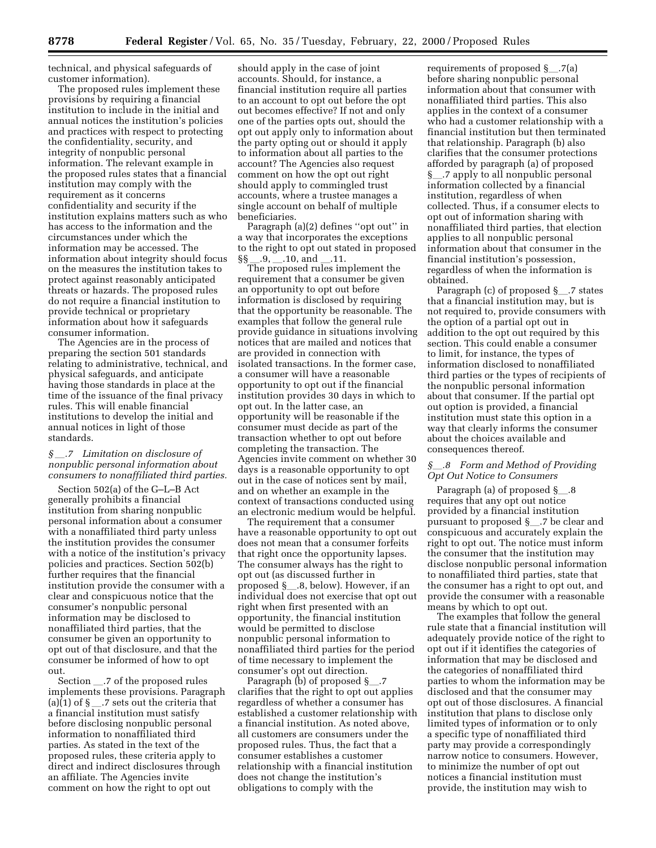technical, and physical safeguards of customer information).

The proposed rules implement these provisions by requiring a financial institution to include in the initial and annual notices the institution's policies and practices with respect to protecting the confidentiality, security, and integrity of nonpublic personal information. The relevant example in the proposed rules states that a financial institution may comply with the requirement as it concerns confidentiality and security if the institution explains matters such as who has access to the information and the circumstances under which the information may be accessed. The information about integrity should focus on the measures the institution takes to protect against reasonably anticipated threats or hazards. The proposed rules do not require a financial institution to provide technical or proprietary information about how it safeguards consumer information.

The Agencies are in the process of preparing the section 501 standards relating to administrative, technical, and physical safeguards, and anticipate having those standards in place at the time of the issuance of the final privacy rules. This will enable financial institutions to develop the initial and annual notices in light of those standards.

#### *§*l*.7 Limitation on disclosure of nonpublic personal information about consumers to nonaffiliated third parties.*

Section 502(a) of the G–L–B Act generally prohibits a financial institution from sharing nonpublic personal information about a consumer with a nonaffiliated third party unless the institution provides the consumer with a notice of the institution's privacy policies and practices. Section 502(b) further requires that the financial institution provide the consumer with a clear and conspicuous notice that the consumer's nonpublic personal information may be disclosed to nonaffiliated third parties, that the consumer be given an opportunity to opt out of that disclosure, and that the consumer be informed of how to opt out.

Section .7 of the proposed rules implements these provisions. Paragraph (a)(1) of  $\S$   $\ldots$  7 sets out the criteria that a financial institution must satisfy before disclosing nonpublic personal information to nonaffiliated third parties. As stated in the text of the proposed rules, these criteria apply to direct and indirect disclosures through an affiliate. The Agencies invite comment on how the right to opt out

should apply in the case of joint accounts. Should, for instance, a financial institution require all parties to an account to opt out before the opt out becomes effective? If not and only one of the parties opts out, should the opt out apply only to information about the party opting out or should it apply to information about all parties to the account? The Agencies also request comment on how the opt out right should apply to commingled trust accounts, where a trustee manages a single account on behalf of multiple beneficiaries.

Paragraph (a)(2) defines ''opt out'' in a way that incorporates the exceptions to the right to opt out stated in proposed  $\S\S - .9$ ,  $10$ , and  $11$ .

The proposed rules implement the requirement that a consumer be given an opportunity to opt out before information is disclosed by requiring that the opportunity be reasonable. The examples that follow the general rule provide guidance in situations involving notices that are mailed and notices that are provided in connection with isolated transactions. In the former case, a consumer will have a reasonable opportunity to opt out if the financial institution provides 30 days in which to opt out. In the latter case, an opportunity will be reasonable if the consumer must decide as part of the transaction whether to opt out before completing the transaction. The Agencies invite comment on whether 30 days is a reasonable opportunity to opt out in the case of notices sent by mail, and on whether an example in the context of transactions conducted using an electronic medium would be helpful.

The requirement that a consumer have a reasonable opportunity to opt out does not mean that a consumer forfeits that right once the opportunity lapses. The consumer always has the right to opt out (as discussed further in proposed  $\S$ .8, below). However, if an individual does not exercise that opt out right when first presented with an opportunity, the financial institution would be permitted to disclose nonpublic personal information to nonaffiliated third parties for the period of time necessary to implement the consumer's opt out direction.

Paragraph  $(b)$  of proposed  $\S$ .7 clarifies that the right to opt out applies regardless of whether a consumer has established a customer relationship with a financial institution. As noted above, all customers are consumers under the proposed rules. Thus, the fact that a consumer establishes a customer relationship with a financial institution does not change the institution's obligations to comply with the

requirements of proposed  $\S$ .7(a) before sharing nonpublic personal information about that consumer with nonaffiliated third parties. This also applies in the context of a consumer who had a customer relationship with a financial institution but then terminated that relationship. Paragraph (b) also clarifies that the consumer protections afforded by paragraph (a) of proposed §\_.7 apply to all nonpublic personal information collected by a financial institution, regardless of when collected. Thus, if a consumer elects to opt out of information sharing with nonaffiliated third parties, that election applies to all nonpublic personal information about that consumer in the financial institution's possession, regardless of when the information is obtained.

Paragraph (c) of proposed  $\S$ . 7 states that a financial institution may, but is not required to, provide consumers with the option of a partial opt out in addition to the opt out required by this section. This could enable a consumer to limit, for instance, the types of information disclosed to nonaffiliated third parties or the types of recipients of the nonpublic personal information about that consumer. If the partial opt out option is provided, a financial institution must state this option in a way that clearly informs the consumer about the choices available and consequences thereof.

#### *§*l*.8 Form and Method of Providing Opt Out Notice to Consumers*

Paragraph (a) of proposed  $\S$ .8 requires that any opt out notice provided by a financial institution pursuant to proposed  $\S$  .7 be clear and conspicuous and accurately explain the right to opt out. The notice must inform the consumer that the institution may disclose nonpublic personal information to nonaffiliated third parties, state that the consumer has a right to opt out, and provide the consumer with a reasonable means by which to opt out.

The examples that follow the general rule state that a financial institution will adequately provide notice of the right to opt out if it identifies the categories of information that may be disclosed and the categories of nonaffiliated third parties to whom the information may be disclosed and that the consumer may opt out of those disclosures. A financial institution that plans to disclose only limited types of information or to only a specific type of nonaffiliated third party may provide a correspondingly narrow notice to consumers. However, to minimize the number of opt out notices a financial institution must provide, the institution may wish to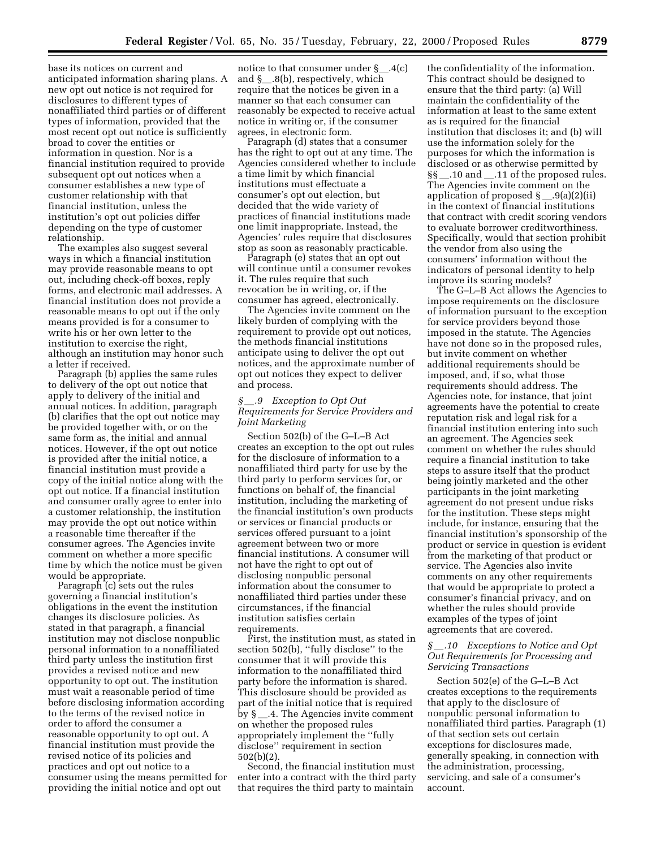base its notices on current and anticipated information sharing plans. A new opt out notice is not required for disclosures to different types of nonaffiliated third parties or of different types of information, provided that the most recent opt out notice is sufficiently broad to cover the entities or information in question. Nor is a financial institution required to provide subsequent opt out notices when a consumer establishes a new type of customer relationship with that financial institution, unless the institution's opt out policies differ depending on the type of customer relationship.

The examples also suggest several ways in which a financial institution may provide reasonable means to opt out, including check-off boxes, reply forms, and electronic mail addresses. A financial institution does not provide a reasonable means to opt out if the only means provided is for a consumer to write his or her own letter to the institution to exercise the right, although an institution may honor such a letter if received.

Paragraph (b) applies the same rules to delivery of the opt out notice that apply to delivery of the initial and annual notices. In addition, paragraph (b) clarifies that the opt out notice may be provided together with, or on the same form as, the initial and annual notices. However, if the opt out notice is provided after the initial notice, a financial institution must provide a copy of the initial notice along with the opt out notice. If a financial institution and consumer orally agree to enter into a customer relationship, the institution may provide the opt out notice within a reasonable time thereafter if the consumer agrees. The Agencies invite comment on whether a more specific time by which the notice must be given would be appropriate.

Paragraph (c) sets out the rules governing a financial institution's obligations in the event the institution changes its disclosure policies. As stated in that paragraph, a financial institution may not disclose nonpublic personal information to a nonaffiliated third party unless the institution first provides a revised notice and new opportunity to opt out. The institution must wait a reasonable period of time before disclosing information according to the terms of the revised notice in order to afford the consumer a reasonable opportunity to opt out. A financial institution must provide the revised notice of its policies and practices and opt out notice to a consumer using the means permitted for providing the initial notice and opt out

notice to that consumer under  $\S_4(c)$ and §\_.8(b), respectively, which require that the notices be given in a manner so that each consumer can reasonably be expected to receive actual notice in writing or, if the consumer agrees, in electronic form.

Paragraph (d) states that a consumer has the right to opt out at any time. The Agencies considered whether to include a time limit by which financial institutions must effectuate a consumer's opt out election, but decided that the wide variety of practices of financial institutions made one limit inappropriate. Instead, the Agencies' rules require that disclosures stop as soon as reasonably practicable.

Paragraph (e) states that an opt out will continue until a consumer revokes it. The rules require that such revocation be in writing, or, if the consumer has agreed, electronically.

The Agencies invite comment on the likely burden of complying with the requirement to provide opt out notices, the methods financial institutions anticipate using to deliver the opt out notices, and the approximate number of opt out notices they expect to deliver and process.

#### *§*l*.9 Exception to Opt Out Requirements for Service Providers and Joint Marketing*

Section 502(b) of the G–L–B Act creates an exception to the opt out rules for the disclosure of information to a nonaffiliated third party for use by the third party to perform services for, or functions on behalf of, the financial institution, including the marketing of the financial institution's own products or services or financial products or services offered pursuant to a joint agreement between two or more financial institutions. A consumer will not have the right to opt out of disclosing nonpublic personal information about the consumer to nonaffiliated third parties under these circumstances, if the financial institution satisfies certain requirements.

First, the institution must, as stated in section 502(b), "fully disclose" to the consumer that it will provide this information to the nonaffiliated third party before the information is shared. This disclosure should be provided as part of the initial notice that is required by § .4. The Agencies invite comment on whether the proposed rules appropriately implement the ''fully disclose'' requirement in section 502(b)(2).

Second, the financial institution must enter into a contract with the third party that requires the third party to maintain

the confidentiality of the information. This contract should be designed to ensure that the third party: (a) Will maintain the confidentiality of the information at least to the same extent as is required for the financial institution that discloses it; and (b) will use the information solely for the purposes for which the information is disclosed or as otherwise permitted by §§<sub>11</sub>.10 and 1.11 of the proposed rules. The Agencies invite comment on the application of proposed  $\S$  ....9(a)(2)(ii) in the context of financial institutions that contract with credit scoring vendors to evaluate borrower creditworthiness. Specifically, would that section prohibit the vendor from also using the consumers' information without the indicators of personal identity to help improve its scoring models?

The G–L–B Act allows the Agencies to impose requirements on the disclosure of information pursuant to the exception for service providers beyond those imposed in the statute. The Agencies have not done so in the proposed rules, but invite comment on whether additional requirements should be imposed, and, if so, what those requirements should address. The Agencies note, for instance, that joint agreements have the potential to create reputation risk and legal risk for a financial institution entering into such an agreement. The Agencies seek comment on whether the rules should require a financial institution to take steps to assure itself that the product being jointly marketed and the other participants in the joint marketing agreement do not present undue risks for the institution. These steps might include, for instance, ensuring that the financial institution's sponsorship of the product or service in question is evident from the marketing of that product or service. The Agencies also invite comments on any other requirements that would be appropriate to protect a consumer's financial privacy, and on whether the rules should provide examples of the types of joint agreements that are covered.

#### *§*l*.10 Exceptions to Notice and Opt Out Requirements for Processing and Servicing Transactions*

Section 502(e) of the G–L–B Act creates exceptions to the requirements that apply to the disclosure of nonpublic personal information to nonaffiliated third parties. Paragraph (1) of that section sets out certain exceptions for disclosures made, generally speaking, in connection with the administration, processing, servicing, and sale of a consumer's account.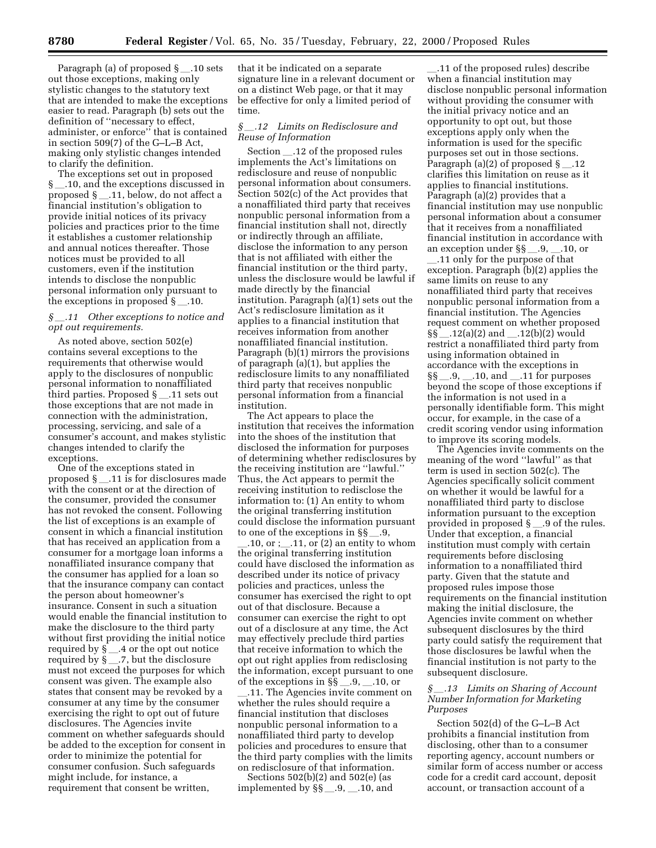Paragraph (a) of proposed  $\S$  \_ .10 sets out those exceptions, making only stylistic changes to the statutory text that are intended to make the exceptions easier to read. Paragraph (b) sets out the definition of ''necessary to effect, administer, or enforce'' that is contained in section 509(7) of the G–L–B Act, making only stylistic changes intended to clarify the definition.

The exceptions set out in proposed §<sub>1.10</sub>, and the exceptions discussed in proposed  $\S$  \_\_ .11, below, do not affect a financial institution's obligation to provide initial notices of its privacy policies and practices prior to the time it establishes a customer relationship and annual notices thereafter. Those notices must be provided to all customers, even if the institution intends to disclose the nonpublic personal information only pursuant to the exceptions in proposed §l.10.

#### *§*l*.11 Other exceptions to notice and opt out requirements.*

As noted above, section 502(e) contains several exceptions to the requirements that otherwise would apply to the disclosures of nonpublic personal information to nonaffiliated third parties. Proposed  $\S$  \_\_.11 sets out those exceptions that are not made in connection with the administration, processing, servicing, and sale of a consumer's account, and makes stylistic changes intended to clarify the exceptions.

One of the exceptions stated in proposed §\_.11 is for disclosures made with the consent or at the direction of the consumer, provided the consumer has not revoked the consent. Following the list of exceptions is an example of consent in which a financial institution that has received an application from a consumer for a mortgage loan informs a nonaffiliated insurance company that the consumer has applied for a loan so that the insurance company can contact the person about homeowner's insurance. Consent in such a situation would enable the financial institution to make the disclosure to the third party without first providing the initial notice required by §  $\_\!\_4$  or the opt out notice required by §  $\_\!\_$ .7, but the disclosure must not exceed the purposes for which consent was given. The example also states that consent may be revoked by a consumer at any time by the consumer exercising the right to opt out of future disclosures. The Agencies invite comment on whether safeguards should be added to the exception for consent in order to minimize the potential for consumer confusion. Such safeguards might include, for instance, a requirement that consent be written,

that it be indicated on a separate signature line in a relevant document or on a distinct Web page, or that it may be effective for only a limited period of time.

#### *§*l*.12 Limits on Redisclosure and Reuse of Information*

Section \_\_.12 of the proposed rules implements the Act's limitations on redisclosure and reuse of nonpublic personal information about consumers. Section 502(c) of the Act provides that a nonaffiliated third party that receives nonpublic personal information from a financial institution shall not, directly or indirectly through an affiliate, disclose the information to any person that is not affiliated with either the financial institution or the third party, unless the disclosure would be lawful if made directly by the financial institution. Paragraph (a)(1) sets out the Act's redisclosure limitation as it applies to a financial institution that receives information from another nonaffiliated financial institution. Paragraph (b)(1) mirrors the provisions of paragraph (a)(1), but applies the redisclosure limits to any nonaffiliated third party that receives nonpublic personal information from a financial institution.

The Act appears to place the institution that receives the information into the shoes of the institution that disclosed the information for purposes of determining whether redisclosures by the receiving institution are ''lawful.'' Thus, the Act appears to permit the receiving institution to redisclose the information to: (1) An entity to whom the original transferring institution could disclose the information pursuant to one of the exceptions in  $\S\S$ <sub>-8</sub>,  $\ldots$ .10, or ; $\ldots$ .11, or (2) an entity to whom the original transferring institution could have disclosed the information as described under its notice of privacy policies and practices, unless the consumer has exercised the right to opt out of that disclosure. Because a consumer can exercise the right to opt out of a disclosure at any time, the Act may effectively preclude third parties that receive information to which the opt out right applies from redisclosing the information, except pursuant to one of the exceptions in  $\S\S_{-.9, -.10, \text{ or }}$ 

l.11. The Agencies invite comment on whether the rules should require a financial institution that discloses nonpublic personal information to a nonaffiliated third party to develop policies and procedures to ensure that the third party complies with the limits on redisclosure of that information.

Sections 502(b)(2) and 502(e) (as implemented by  $\S\S$ <sub>-8</sub>,  $\_$ .10, and

.11 of the proposed rules) describe when a financial institution may disclose nonpublic personal information without providing the consumer with the initial privacy notice and an opportunity to opt out, but those exceptions apply only when the information is used for the specific purposes set out in those sections. Paragraph (a)(2) of proposed  $\S$ <sub>.</sub>12 clarifies this limitation on reuse as it applies to financial institutions. Paragraph (a)(2) provides that a financial institution may use nonpublic personal information about a consumer that it receives from a nonaffiliated financial institution in accordance with an exception under  $\S\S$  \_.9, \_.10, or l.11 only for the purpose of that exception. Paragraph (b)(2) applies the same limits on reuse to any nonaffiliated third party that receives nonpublic personal information from a financial institution. The Agencies request comment on whether proposed  $\S\S$ \_.12(a)(2) and \_.12(b)(2) would restrict a nonaffiliated third party from using information obtained in accordance with the exceptions in  $\S\S_{-.9,-.10, and-.11}$  for purposes beyond the scope of those exceptions if the information is not used in a personally identifiable form. This might occur, for example, in the case of a credit scoring vendor using information to improve its scoring models.

The Agencies invite comments on the meaning of the word ''lawful'' as that term is used in section 502(c). The Agencies specifically solicit comment on whether it would be lawful for a nonaffiliated third party to disclose information pursuant to the exception provided in proposed  $\S$  ...9 of the rules. Under that exception, a financial institution must comply with certain requirements before disclosing information to a nonaffiliated third party. Given that the statute and proposed rules impose those requirements on the financial institution making the initial disclosure, the Agencies invite comment on whether subsequent disclosures by the third party could satisfy the requirement that those disclosures be lawful when the financial institution is not party to the subsequent disclosure.

#### *§*l*.13 Limits on Sharing of Account Number Information for Marketing Purposes*

Section 502(d) of the G–L–B Act prohibits a financial institution from disclosing, other than to a consumer reporting agency, account numbers or similar form of access number or access code for a credit card account, deposit account, or transaction account of a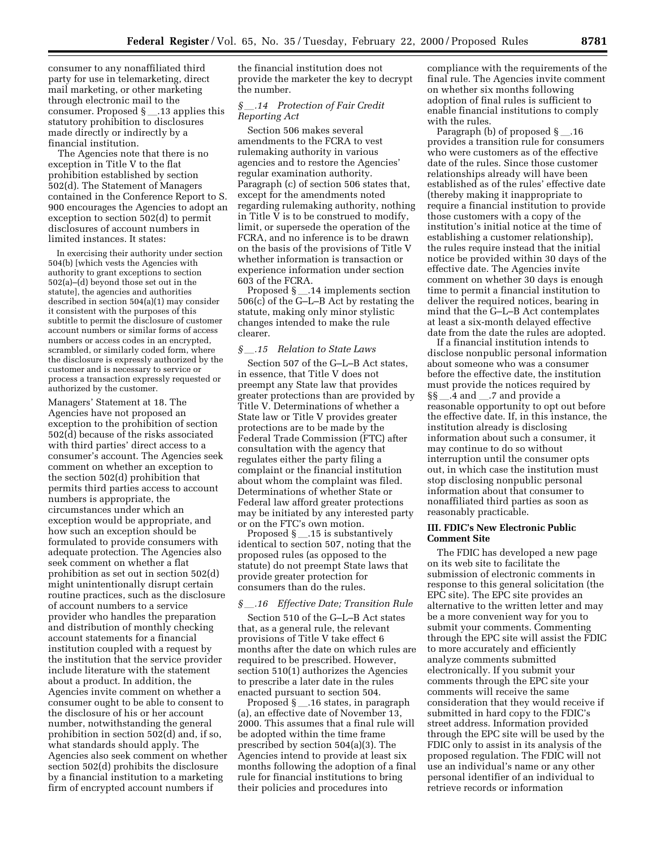consumer to any nonaffiliated third party for use in telemarketing, direct mail marketing, or other marketing through electronic mail to the consumer. Proposed  $\S$  \_ .13 applies this statutory prohibition to disclosures made directly or indirectly by a financial institution.

The Agencies note that there is no exception in Title V to the flat prohibition established by section 502(d). The Statement of Managers contained in the Conference Report to S. 900 encourages the Agencies to adopt an exception to section 502(d) to permit disclosures of account numbers in limited instances. It states:

In exercising their authority under section 504(b) [which vests the Agencies with authority to grant exceptions to section 502(a)–(d) beyond those set out in the statute], the agencies and authorities described in section 504(a)(1) may consider it consistent with the purposes of this subtitle to permit the disclosure of customer account numbers or similar forms of access numbers or access codes in an encrypted. scrambled, or similarly coded form, where the disclosure is expressly authorized by the customer and is necessary to service or process a transaction expressly requested or authorized by the customer.

Managers' Statement at 18. The Agencies have not proposed an exception to the prohibition of section 502(d) because of the risks associated with third parties' direct access to a consumer's account. The Agencies seek comment on whether an exception to the section 502(d) prohibition that permits third parties access to account numbers is appropriate, the circumstances under which an exception would be appropriate, and how such an exception should be formulated to provide consumers with adequate protection. The Agencies also seek comment on whether a flat prohibition as set out in section 502(d) might unintentionally disrupt certain routine practices, such as the disclosure of account numbers to a service provider who handles the preparation and distribution of monthly checking account statements for a financial institution coupled with a request by the institution that the service provider include literature with the statement about a product. In addition, the Agencies invite comment on whether a consumer ought to be able to consent to the disclosure of his or her account number, notwithstanding the general prohibition in section 502(d) and, if so, what standards should apply. The Agencies also seek comment on whether section 502(d) prohibits the disclosure by a financial institution to a marketing firm of encrypted account numbers if

the financial institution does not provide the marketer the key to decrypt the number.

#### *§*l*.14 Protection of Fair Credit Reporting Act*

Section 506 makes several amendments to the FCRA to vest rulemaking authority in various agencies and to restore the Agencies' regular examination authority. Paragraph (c) of section 506 states that, except for the amendments noted regarding rulemaking authority, nothing in Title V is to be construed to modify, limit, or supersede the operation of the FCRA, and no inference is to be drawn on the basis of the provisions of Title V whether information is transaction or experience information under section 603 of the FCRA.

Proposed  $\S$ . 14 implements section 506(c) of the G–L–B Act by restating the statute, making only minor stylistic changes intended to make the rule clearer.

#### *§*l*.15 Relation to State Laws*

Section 507 of the G–L–B Act states, in essence, that Title V does not preempt any State law that provides greater protections than are provided by Title V. Determinations of whether a State law or Title V provides greater protections are to be made by the Federal Trade Commission (FTC) after consultation with the agency that regulates either the party filing a complaint or the financial institution about whom the complaint was filed. Determinations of whether State or Federal law afford greater protections may be initiated by any interested party or on the FTC's own motion.

Proposed  $\S$  \_ .15 is substantively identical to section 507, noting that the proposed rules (as opposed to the statute) do not preempt State laws that provide greater protection for consumers than do the rules.

#### *§*l*.16 Effective Date; Transition Rule*

Section 510 of the G–L–B Act states that, as a general rule, the relevant provisions of Title V take effect 6 months after the date on which rules are required to be prescribed. However, section 510(1) authorizes the Agencies to prescribe a later date in the rules enacted pursuant to section 504.

Proposed  $\S$  \_ .16 states, in paragraph (a), an effective date of November 13, 2000. This assumes that a final rule will be adopted within the time frame prescribed by section 504(a)(3). The Agencies intend to provide at least six months following the adoption of a final rule for financial institutions to bring their policies and procedures into

compliance with the requirements of the final rule. The Agencies invite comment on whether six months following adoption of final rules is sufficient to enable financial institutions to comply with the rules.

Paragraph (b) of proposed  $\S$  \_\_ .16 provides a transition rule for consumers who were customers as of the effective date of the rules. Since those customer relationships already will have been established as of the rules' effective date (thereby making it inappropriate to require a financial institution to provide those customers with a copy of the institution's initial notice at the time of establishing a customer relationship), the rules require instead that the initial notice be provided within 30 days of the effective date. The Agencies invite comment on whether 30 days is enough time to permit a financial institution to deliver the required notices, bearing in mind that the G–L–B Act contemplates at least a six-month delayed effective date from the date the rules are adopted.

If a financial institution intends to disclose nonpublic personal information about someone who was a consumer before the effective date, the institution must provide the notices required by  $\S\S$  \_\_.4 and \_\_.7 and provide a reasonable opportunity to opt out before the effective date. If, in this instance, the institution already is disclosing information about such a consumer, it may continue to do so without interruption until the consumer opts out, in which case the institution must stop disclosing nonpublic personal information about that consumer to nonaffiliated third parties as soon as reasonably practicable.

#### **III. FDIC's New Electronic Public Comment Site**

The FDIC has developed a new page on its web site to facilitate the submission of electronic comments in response to this general solicitation (the EPC site). The EPC site provides an alternative to the written letter and may be a more convenient way for you to submit your comments. Commenting through the EPC site will assist the FDIC to more accurately and efficiently analyze comments submitted electronically. If you submit your comments through the EPC site your comments will receive the same consideration that they would receive if submitted in hard copy to the FDIC's street address. Information provided through the EPC site will be used by the FDIC only to assist in its analysis of the proposed regulation. The FDIC will not use an individual's name or any other personal identifier of an individual to retrieve records or information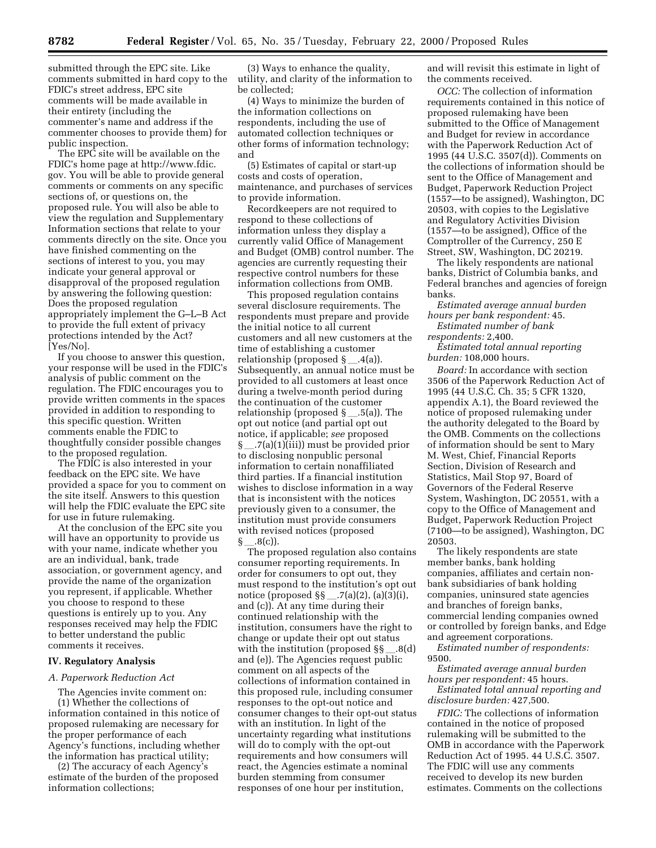submitted through the EPC site. Like comments submitted in hard copy to the FDIC's street address, EPC site comments will be made available in their entirety (including the commenter's name and address if the commenter chooses to provide them) for public inspection.

The EPC site will be available on the FDIC's home page at http://www.fdic. gov. You will be able to provide general comments or comments on any specific sections of, or questions on, the proposed rule. You will also be able to view the regulation and Supplementary Information sections that relate to your comments directly on the site. Once you have finished commenting on the sections of interest to you, you may indicate your general approval or disapproval of the proposed regulation by answering the following question: Does the proposed regulation appropriately implement the G–L–B Act to provide the full extent of privacy protections intended by the Act? [Yes/No].

If you choose to answer this question, your response will be used in the FDIC's analysis of public comment on the regulation. The FDIC encourages you to provide written comments in the spaces provided in addition to responding to this specific question. Written comments enable the FDIC to thoughtfully consider possible changes to the proposed regulation.

The FDIC is also interested in your feedback on the EPC site. We have provided a space for you to comment on the site itself. Answers to this question will help the FDIC evaluate the EPC site for use in future rulemaking.

At the conclusion of the EPC site you will have an opportunity to provide us with your name, indicate whether you are an individual, bank, trade association, or government agency, and provide the name of the organization you represent, if applicable. Whether you choose to respond to these questions is entirely up to you. Any responses received may help the FDIC to better understand the public comments it receives.

#### **IV. Regulatory Analysis**

#### *A. Paperwork Reduction Act*

The Agencies invite comment on: (1) Whether the collections of information contained in this notice of proposed rulemaking are necessary for the proper performance of each Agency's functions, including whether the information has practical utility;

(2) The accuracy of each Agency's estimate of the burden of the proposed information collections;

(3) Ways to enhance the quality, utility, and clarity of the information to be collected;

(4) Ways to minimize the burden of the information collections on respondents, including the use of automated collection techniques or other forms of information technology; and

(5) Estimates of capital or start-up costs and costs of operation, maintenance, and purchases of services to provide information.

Recordkeepers are not required to respond to these collections of information unless they display a currently valid Office of Management and Budget (OMB) control number. The agencies are currently requesting their respective control numbers for these information collections from OMB.

This proposed regulation contains several disclosure requirements. The respondents must prepare and provide the initial notice to all current customers and all new customers at the time of establishing a customer relationship (proposed  $\S$  \_4(a)). Subsequently, an annual notice must be provided to all customers at least once during a twelve-month period during the continuation of the customer relationship (proposed §l.5(a)). The opt out notice (and partial opt out notice, if applicable; *see* proposed  $\S$  \_ .7(a)(1)(iii)) must be provided prior to disclosing nonpublic personal information to certain nonaffiliated third parties. If a financial institution wishes to disclose information in a way that is inconsistent with the notices previously given to a consumer, the institution must provide consumers with revised notices (proposed §l.8(c)).

The proposed regulation also contains consumer reporting requirements. In order for consumers to opt out, they must respond to the institution's opt out notice (proposed  $\S\S$ <sub>...</sub>7(a)(2), (a)(3)(i), and (c)). At any time during their continued relationship with the institution, consumers have the right to change or update their opt out status with the institution (proposed  $\S\S$  \_8(d) and (e)). The Agencies request public comment on all aspects of the collections of information contained in this proposed rule, including consumer responses to the opt-out notice and consumer changes to their opt-out status with an institution. In light of the uncertainty regarding what institutions will do to comply with the opt-out requirements and how consumers will react, the Agencies estimate a nominal burden stemming from consumer responses of one hour per institution,

and will revisit this estimate in light of the comments received.

*OCC:* The collection of information requirements contained in this notice of proposed rulemaking have been submitted to the Office of Management and Budget for review in accordance with the Paperwork Reduction Act of 1995 (44 U.S.C. 3507(d)). Comments on the collections of information should be sent to the Office of Management and Budget, Paperwork Reduction Project (1557—to be assigned), Washington, DC 20503, with copies to the Legislative and Regulatory Activities Division (1557—to be assigned), Office of the Comptroller of the Currency, 250 E Street, SW, Washington, DC 20219.

The likely respondents are national banks, District of Columbia banks, and Federal branches and agencies of foreign banks.

*Estimated average annual burden hours per bank respondent:* 45.

*Estimated number of bank respondents:* 2,400.

*Estimated total annual reporting burden:* 108,000 hours.

*Board:* In accordance with section 3506 of the Paperwork Reduction Act of 1995 (44 U.S.C. Ch. 35; 5 CFR 1320, appendix A.1), the Board reviewed the notice of proposed rulemaking under the authority delegated to the Board by the OMB. Comments on the collections of information should be sent to Mary M. West, Chief, Financial Reports Section, Division of Research and Statistics, Mail Stop 97, Board of Governors of the Federal Reserve System, Washington, DC 20551, with a copy to the Office of Management and Budget, Paperwork Reduction Project (7100—to be assigned), Washington, DC 20503.

The likely respondents are state member banks, bank holding companies, affiliates and certain nonbank subsidiaries of bank holding companies, uninsured state agencies and branches of foreign banks, commercial lending companies owned or controlled by foreign banks, and Edge and agreement corporations.

*Estimated number of respondents:* 9500.

*Estimated average annual burden hours per respondent:* 45 hours. *Estimated total annual reporting and disclosure burden:* 427,500.

*FDIC:* The collections of information contained in the notice of proposed rulemaking will be submitted to the OMB in accordance with the Paperwork Reduction Act of 1995. 44 U.S.C. 3507. The FDIC will use any comments received to develop its new burden estimates. Comments on the collections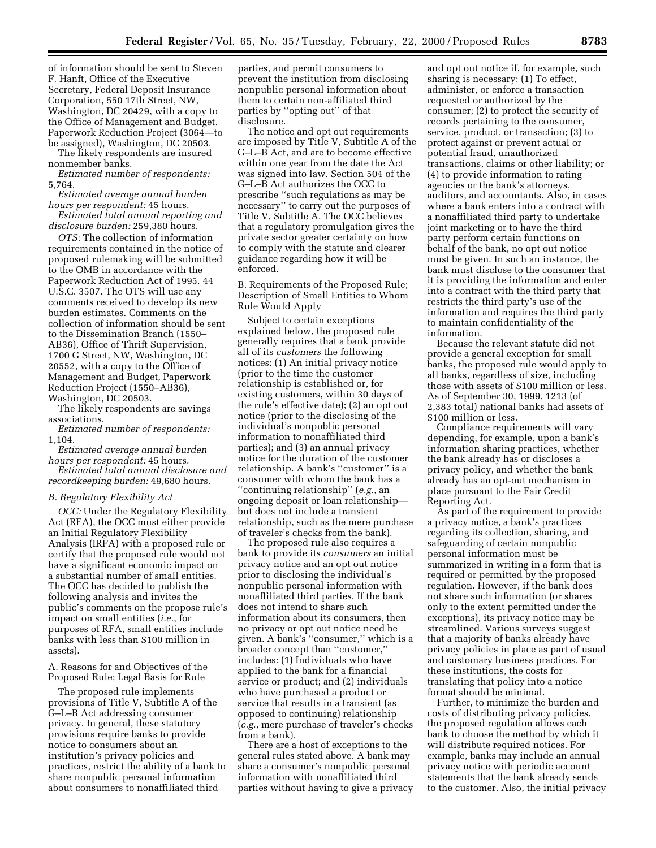of information should be sent to Steven F. Hanft, Office of the Executive Secretary, Federal Deposit Insurance Corporation, 550 17th Street, NW, Washington, DC 20429, with a copy to the Office of Management and Budget, Paperwork Reduction Project (3064—to be assigned), Washington, DC 20503.

The likely respondents are insured nonmember banks.

*Estimated number of respondents:* 5,764.

*Estimated average annual burden hours per respondent:* 45 hours.

*Estimated total annual reporting and disclosure burden:* 259,380 hours.

*OTS:* The collection of information requirements contained in the notice of proposed rulemaking will be submitted to the OMB in accordance with the Paperwork Reduction Act of 1995. 44 U.S.C. 3507. The OTS will use any comments received to develop its new burden estimates. Comments on the collection of information should be sent to the Dissemination Branch (1550– AB36), Office of Thrift Supervision, 1700 G Street, NW, Washington, DC 20552, with a copy to the Office of Management and Budget, Paperwork Reduction Project (1550–AB36), Washington, DC 20503.

The likely respondents are savings associations.

*Estimated number of respondents:* 1,104.

*Estimated average annual burden hours per respondent:* 45 hours.

*Estimated total annual disclosure and recordkeeping burden:* 49,680 hours.

#### *B. Regulatory Flexibility Act*

*OCC:* Under the Regulatory Flexibility Act (RFA), the OCC must either provide an Initial Regulatory Flexibility Analysis (IRFA) with a proposed rule or certify that the proposed rule would not have a significant economic impact on a substantial number of small entities. The OCC has decided to publish the following analysis and invites the public's comments on the propose rule's impact on small entities (*i.e.*, for purposes of RFA, small entities include banks with less than \$100 million in assets).

A. Reasons for and Objectives of the Proposed Rule; Legal Basis for Rule

The proposed rule implements provisions of Title V, Subtitle A of the G–L–B Act addressing consumer privacy. In general, these statutory provisions require banks to provide notice to consumers about an institution's privacy policies and practices, restrict the ability of a bank to share nonpublic personal information about consumers to nonaffiliated third

parties, and permit consumers to prevent the institution from disclosing nonpublic personal information about them to certain non-affiliated third parties by ''opting out'' of that disclosure.

The notice and opt out requirements are imposed by Title V, Subtitle A of the G–L–B Act, and are to become effective within one year from the date the Act was signed into law. Section 504 of the G–L–B Act authorizes the OCC to prescribe ''such regulations as may be necessary'' to carry out the purposes of Title V, Subtitle A. The OCC believes that a regulatory promulgation gives the private sector greater certainty on how to comply with the statute and clearer guidance regarding how it will be enforced.

B. Requirements of the Proposed Rule; Description of Small Entities to Whom Rule Would Apply

Subject to certain exceptions explained below, the proposed rule generally requires that a bank provide all of its *customers* the following notices: (1) An initial privacy notice (prior to the time the customer relationship is established or, for existing customers, within 30 days of the rule's effective date); (2) an opt out notice (prior to the disclosing of the individual's nonpublic personal information to nonaffiliated third parties); and (3) an annual privacy notice for the duration of the customer relationship. A bank's ''customer'' is a consumer with whom the bank has a ''continuing relationship'' (*e.g.*, an ongoing deposit or loan relationship but does not include a transient relationship, such as the mere purchase of traveler's checks from the bank).

The proposed rule also requires a bank to provide its *consumers* an initial privacy notice and an opt out notice prior to disclosing the individual's nonpublic personal information with nonaffiliated third parties. If the bank does not intend to share such information about its consumers, then no privacy or opt out notice need be given. A bank's ''consumer,'' which is a broader concept than ''customer,'' includes: (1) Individuals who have applied to the bank for a financial service or product; and (2) individuals who have purchased a product or service that results in a transient (as opposed to continuing) relationship (*e.g.*, mere purchase of traveler's checks from a bank).

There are a host of exceptions to the general rules stated above. A bank may share a consumer's nonpublic personal information with nonaffiliated third parties without having to give a privacy and opt out notice if, for example, such sharing is necessary: (1) To effect, administer, or enforce a transaction requested or authorized by the consumer; (2) to protect the security of records pertaining to the consumer, service, product, or transaction; (3) to protect against or prevent actual or potential fraud, unauthorized transactions, claims or other liability; or (4) to provide information to rating agencies or the bank's attorneys, auditors, and accountants. Also, in cases where a bank enters into a contract with a nonaffiliated third party to undertake joint marketing or to have the third party perform certain functions on behalf of the bank, no opt out notice must be given. In such an instance, the bank must disclose to the consumer that it is providing the information and enter into a contract with the third party that restricts the third party's use of the information and requires the third party to maintain confidentiality of the information.

Because the relevant statute did not provide a general exception for small banks, the proposed rule would apply to all banks, regardless of size, including those with assets of \$100 million or less. As of September 30, 1999, 1213 (of 2,383 total) national banks had assets of \$100 million or less.

Compliance requirements will vary depending, for example, upon a bank's information sharing practices, whether the bank already has or discloses a privacy policy, and whether the bank already has an opt-out mechanism in place pursuant to the Fair Credit Reporting Act.

As part of the requirement to provide a privacy notice, a bank's practices regarding its collection, sharing, and safeguarding of certain nonpublic personal information must be summarized in writing in a form that is required or permitted by the proposed regulation. However, if the bank does not share such information (or shares only to the extent permitted under the exceptions), its privacy notice may be streamlined. Various surveys suggest that a majority of banks already have privacy policies in place as part of usual and customary business practices. For these institutions, the costs for translating that policy into a notice format should be minimal.

Further, to minimize the burden and costs of distributing privacy policies, the proposed regulation allows each bank to choose the method by which it will distribute required notices. For example, banks may include an annual privacy notice with periodic account statements that the bank already sends to the customer. Also, the initial privacy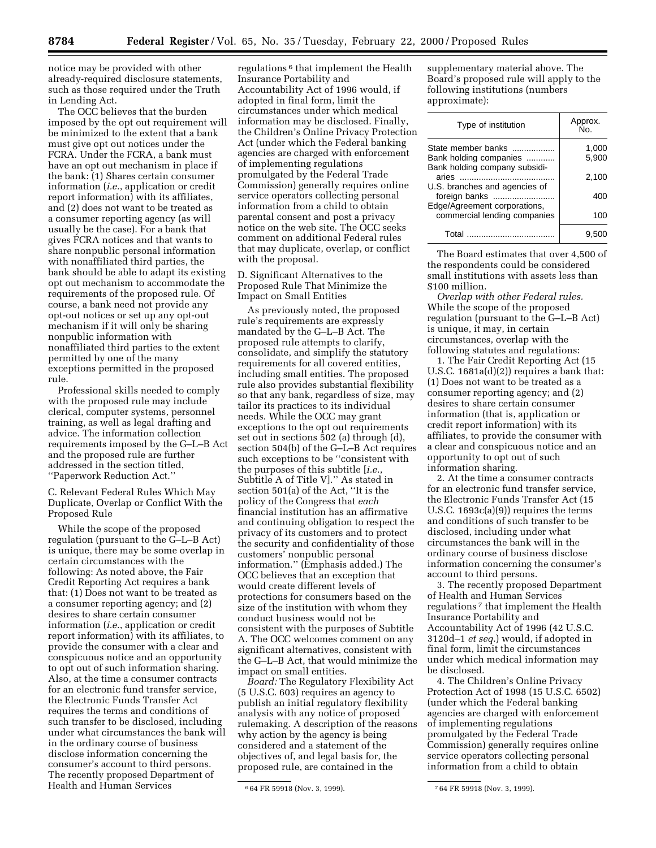notice may be provided with other already-required disclosure statements, such as those required under the Truth in Lending Act.

The OCC believes that the burden imposed by the opt out requirement will be minimized to the extent that a bank must give opt out notices under the FCRA. Under the FCRA, a bank must have an opt out mechanism in place if the bank: (1) Shares certain consumer information (*i.e.*, application or credit report information) with its affiliates, and (2) does not want to be treated as a consumer reporting agency (as will usually be the case). For a bank that gives FCRA notices and that wants to share nonpublic personal information with nonaffiliated third parties, the bank should be able to adapt its existing opt out mechanism to accommodate the requirements of the proposed rule. Of course, a bank need not provide any opt-out notices or set up any opt-out mechanism if it will only be sharing nonpublic information with nonaffiliated third parties to the extent permitted by one of the many exceptions permitted in the proposed rule.

Professional skills needed to comply with the proposed rule may include clerical, computer systems, personnel training, as well as legal drafting and advice. The information collection requirements imposed by the G–L–B Act and the proposed rule are further addressed in the section titled, ''Paperwork Reduction Act.''

C. Relevant Federal Rules Which May Duplicate, Overlap or Conflict With the Proposed Rule

While the scope of the proposed regulation (pursuant to the G–L–B Act) is unique, there may be some overlap in certain circumstances with the following: As noted above, the Fair Credit Reporting Act requires a bank that: (1) Does not want to be treated as a consumer reporting agency; and (2) desires to share certain consumer information (*i.e.*, application or credit report information) with its affiliates, to provide the consumer with a clear and conspicuous notice and an opportunity to opt out of such information sharing. Also, at the time a consumer contracts for an electronic fund transfer service, the Electronic Funds Transfer Act requires the terms and conditions of such transfer to be disclosed, including under what circumstances the bank will in the ordinary course of business disclose information concerning the consumer's account to third persons. The recently proposed Department of Health and Human Services

regulations 6 that implement the Health Insurance Portability and Accountability Act of 1996 would, if adopted in final form, limit the circumstances under which medical information may be disclosed. Finally, the Children's Online Privacy Protection Act (under which the Federal banking agencies are charged with enforcement of implementing regulations promulgated by the Federal Trade Commission) generally requires online service operators collecting personal information from a child to obtain parental consent and post a privacy notice on the web site. The OCC seeks comment on additional Federal rules that may duplicate, overlap, or conflict with the proposal.

D. Significant Alternatives to the Proposed Rule That Minimize the Impact on Small Entities

As previously noted, the proposed rule's requirements are expressly mandated by the G–L–B Act. The proposed rule attempts to clarify, consolidate, and simplify the statutory requirements for all covered entities, including small entities. The proposed rule also provides substantial flexibility so that any bank, regardless of size, may tailor its practices to its individual needs. While the OCC may grant exceptions to the opt out requirements set out in sections 502 (a) through (d), section 504(b) of the G–L–B Act requires such exceptions to be ''consistent with the purposes of this subtitle [*i.e.*, Subtitle A of Title V].'' As stated in section 501(a) of the Act, ''It is the policy of the Congress that *each* financial institution has an affirmative and continuing obligation to respect the privacy of its customers and to protect the security and confidentiality of those customers' nonpublic personal information.'' (Emphasis added.) The OCC believes that an exception that would create different levels of protections for consumers based on the size of the institution with whom they conduct business would not be consistent with the purposes of Subtitle A. The OCC welcomes comment on any significant alternatives, consistent with the G–L–B Act, that would minimize the impact on small entities.

*Board:* The Regulatory Flexibility Act (5 U.S.C. 603) requires an agency to publish an initial regulatory flexibility analysis with any notice of proposed rulemaking. A description of the reasons why action by the agency is being considered and a statement of the objectives of, and legal basis for, the proposed rule, are contained in the

supplementary material above. The Board's proposed rule will apply to the following institutions (numbers approximate):

| Type of institution                                          | Approx.<br>Ňο. |
|--------------------------------------------------------------|----------------|
| State member banks<br>Bank holding companies                 | 1,000<br>5.900 |
| Bank holding company subsidi-                                | 2.100          |
| U.S. branches and agencies of<br>foreign banks               | 400            |
| Edge/Agreement corporations,<br>commercial lending companies | 100            |
| Total                                                        | 9.5            |

The Board estimates that over 4,500 of the respondents could be considered small institutions with assets less than \$100 million.

*Overlap with other Federal rules.* While the scope of the proposed regulation (pursuant to the G–L–B Act) is unique, it may, in certain circumstances, overlap with the following statutes and regulations:

1. The Fair Credit Reporting Act (15 U.S.C. 1681a(d)(2)) requires a bank that: (1) Does not want to be treated as a consumer reporting agency; and (2) desires to share certain consumer information (that is, application or credit report information) with its affiliates, to provide the consumer with a clear and conspicuous notice and an opportunity to opt out of such information sharing.

2. At the time a consumer contracts for an electronic fund transfer service, the Electronic Funds Transfer Act (15 U.S.C. 1693c(a)(9)) requires the terms and conditions of such transfer to be disclosed, including under what circumstances the bank will in the ordinary course of business disclose information concerning the consumer's account to third persons.

3. The recently proposed Department of Health and Human Services regulations 7 that implement the Health Insurance Portability and Accountability Act of 1996 (42 U.S.C. 3120d–1 *et seq.*) would, if adopted in final form, limit the circumstances under which medical information may be disclosed.

4. The Children's Online Privacy Protection Act of 1998 (15 U.S.C. 6502) (under which the Federal banking agencies are charged with enforcement of implementing regulations promulgated by the Federal Trade Commission) generally requires online service operators collecting personal information from a child to obtain

<sup>6</sup> 64 FR 59918 (Nov. 3, 1999). 7 64 FR 59918 (Nov. 3, 1999).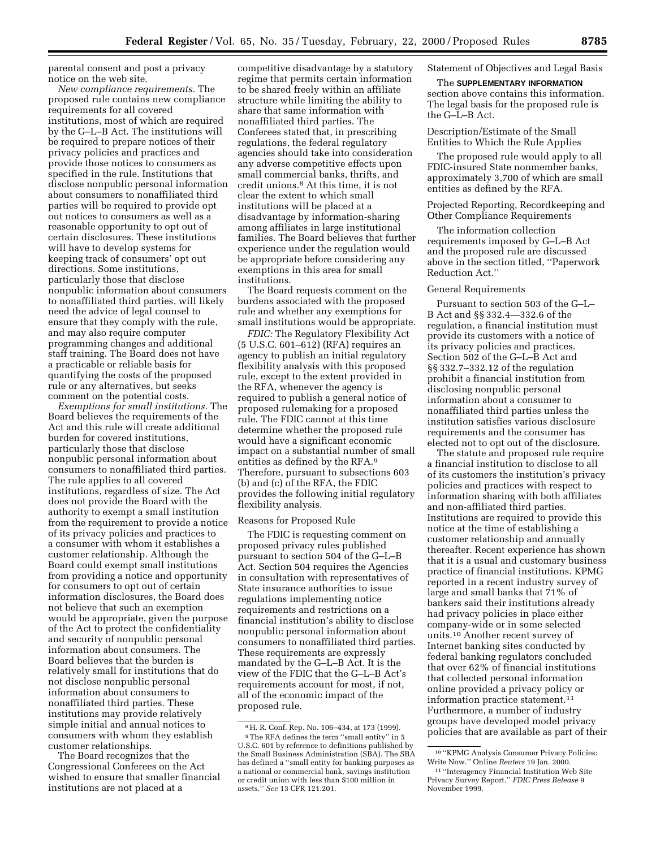parental consent and post a privacy notice on the web site.

*New compliance requirements.* The proposed rule contains new compliance requirements for all covered institutions, most of which are required by the G–L–B Act. The institutions will be required to prepare notices of their privacy policies and practices and provide those notices to consumers as specified in the rule. Institutions that disclose nonpublic personal information about consumers to nonaffiliated third parties will be required to provide opt out notices to consumers as well as a reasonable opportunity to opt out of certain disclosures. These institutions will have to develop systems for keeping track of consumers' opt out directions. Some institutions, particularly those that disclose nonpublic information about consumers to nonaffiliated third parties, will likely need the advice of legal counsel to ensure that they comply with the rule, and may also require computer programming changes and additional staff training. The Board does not have a practicable or reliable basis for quantifying the costs of the proposed rule or any alternatives, but seeks comment on the potential costs.

*Exemptions for small institutions.* The Board believes the requirements of the Act and this rule will create additional burden for covered institutions, particularly those that disclose nonpublic personal information about consumers to nonaffiliated third parties. The rule applies to all covered institutions, regardless of size. The Act does not provide the Board with the authority to exempt a small institution from the requirement to provide a notice of its privacy policies and practices to a consumer with whom it establishes a customer relationship. Although the Board could exempt small institutions from providing a notice and opportunity for consumers to opt out of certain information disclosures, the Board does not believe that such an exemption would be appropriate, given the purpose of the Act to protect the confidentiality and security of nonpublic personal information about consumers. The Board believes that the burden is relatively small for institutions that do not disclose nonpublic personal information about consumers to nonaffiliated third parties. These institutions may provide relatively simple initial and annual notices to consumers with whom they establish customer relationships.

The Board recognizes that the Congressional Conferees on the Act wished to ensure that smaller financial institutions are not placed at a

competitive disadvantage by a statutory regime that permits certain information to be shared freely within an affiliate structure while limiting the ability to share that same information with nonaffiliated third parties. The Conferees stated that, in prescribing regulations, the federal regulatory agencies should take into consideration any adverse competitive effects upon small commercial banks, thrifts, and credit unions.8 At this time, it is not clear the extent to which small institutions will be placed at a disadvantage by information-sharing among affiliates in large institutional families. The Board believes that further experience under the regulation would be appropriate before considering any exemptions in this area for small institutions.

The Board requests comment on the burdens associated with the proposed rule and whether any exemptions for small institutions would be appropriate.

*FDIC:* The Regulatory Flexibility Act (5 U.S.C. 601–612) (RFA) requires an agency to publish an initial regulatory flexibility analysis with this proposed rule, except to the extent provided in the RFA, whenever the agency is required to publish a general notice of proposed rulemaking for a proposed rule. The FDIC cannot at this time determine whether the proposed rule would have a significant economic impact on a substantial number of small entities as defined by the RFA.9 Therefore, pursuant to subsections 603 (b) and (c) of the RFA, the FDIC provides the following initial regulatory flexibility analysis.

#### Reasons for Proposed Rule

The FDIC is requesting comment on proposed privacy rules published pursuant to section 504 of the G–L–B Act. Section 504 requires the Agencies in consultation with representatives of State insurance authorities to issue regulations implementing notice requirements and restrictions on a financial institution's ability to disclose nonpublic personal information about consumers to nonaffiliated third parties. These requirements are expressly mandated by the G–L–B Act. It is the view of the FDIC that the G–L–B Act's requirements account for most, if not, all of the economic impact of the proposed rule.

### Statement of Objectives and Legal Basis

The **SUPPLEMENTARY INFORMATION** section above contains this information. The legal basis for the proposed rule is the G–L–B Act.

#### Description/Estimate of the Small Entities to Which the Rule Applies

The proposed rule would apply to all FDIC-insured State nonmember banks, approximately 3,700 of which are small entities as defined by the RFA.

Projected Reporting, Recordkeeping and Other Compliance Requirements

The information collection requirements imposed by G–L–B Act and the proposed rule are discussed above in the section titled, ''Paperwork Reduction Act.''

#### General Requirements

Pursuant to section 503 of the G–L– B Act and §§ 332.4—332.6 of the regulation, a financial institution must provide its customers with a notice of its privacy policies and practices. Section 502 of the G–L–B Act and §§ 332.7–332.12 of the regulation prohibit a financial institution from disclosing nonpublic personal information about a consumer to nonaffiliated third parties unless the institution satisfies various disclosure requirements and the consumer has elected not to opt out of the disclosure.

The statute and proposed rule require a financial institution to disclose to all of its customers the institution's privacy policies and practices with respect to information sharing with both affiliates and non-affiliated third parties. Institutions are required to provide this notice at the time of establishing a customer relationship and annually thereafter. Recent experience has shown that it is a usual and customary business practice of financial institutions. KPMG reported in a recent industry survey of large and small banks that 71% of bankers said their institutions already had privacy policies in place either company-wide or in some selected units.10 Another recent survey of Internet banking sites conducted by federal banking regulators concluded that over 62% of financial institutions that collected personal information online provided a privacy policy or information practice statement.<sup>11</sup> Furthermore, a number of industry groups have developed model privacy policies that are available as part of their

<sup>8</sup>H. R. Conf. Rep. No. 106–434, at 173 (1999). 9The RFA defines the term ''small entity'' in 5 U.S.C. 601 by reference to definitions published by the Small Business Administration (SBA). The SBA has defined a ''small entity for banking purposes as a national or commercial bank, savings institution or credit union with less than \$100 million in assets.'' *See* 13 CFR 121.201.

<sup>10</sup> ''KPMG Analysis Consumer Privacy Policies: Write Now.'' Online *Reuters* 19 Jan. 2000.

<sup>11</sup> ''Interagency Financial Institution Web Site Privacy Survey Report.'' *FDIC Press Release* 9 November 1999.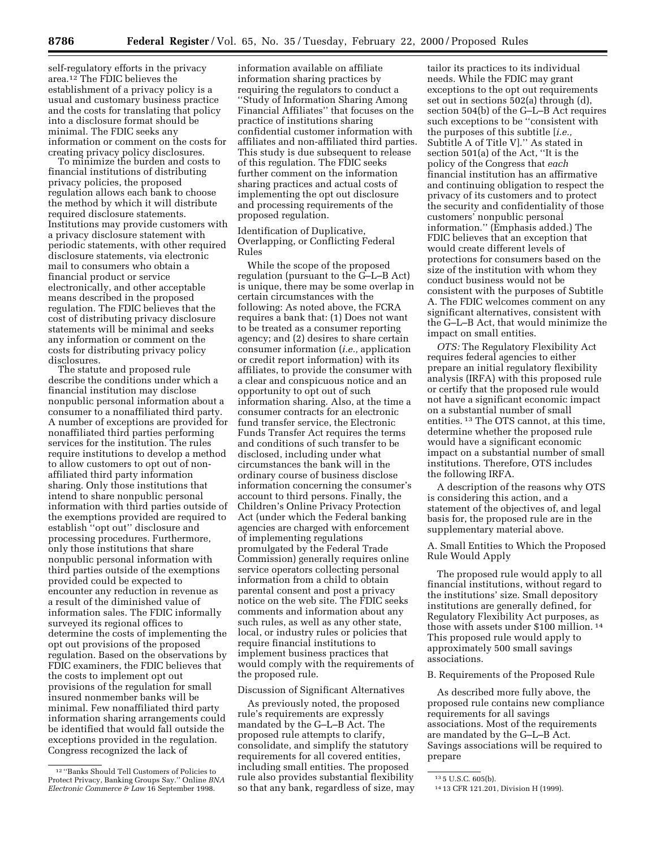self-regulatory efforts in the privacy area.12 The FDIC believes the establishment of a privacy policy is a usual and customary business practice and the costs for translating that policy into a disclosure format should be minimal. The FDIC seeks any information or comment on the costs for creating privacy policy disclosures. To minimize the burden and costs to

financial institutions of distributing privacy policies, the proposed regulation allows each bank to choose the method by which it will distribute required disclosure statements. Institutions may provide customers with a privacy disclosure statement with periodic statements, with other required disclosure statements, via electronic mail to consumers who obtain a financial product or service electronically, and other acceptable means described in the proposed regulation. The FDIC believes that the cost of distributing privacy disclosure statements will be minimal and seeks any information or comment on the costs for distributing privacy policy disclosures.

The statute and proposed rule describe the conditions under which a financial institution may disclose nonpublic personal information about a consumer to a nonaffiliated third party. A number of exceptions are provided for nonaffiliated third parties performing services for the institution. The rules require institutions to develop a method to allow customers to opt out of nonaffiliated third party information sharing. Only those institutions that intend to share nonpublic personal information with third parties outside of the exemptions provided are required to establish ''opt out'' disclosure and processing procedures. Furthermore, only those institutions that share nonpublic personal information with third parties outside of the exemptions provided could be expected to encounter any reduction in revenue as a result of the diminished value of information sales. The FDIC informally surveyed its regional offices to determine the costs of implementing the opt out provisions of the proposed regulation. Based on the observations by FDIC examiners, the FDIC believes that the costs to implement opt out provisions of the regulation for small insured nonmember banks will be minimal. Few nonaffiliated third party information sharing arrangements could be identified that would fall outside the exceptions provided in the regulation. Congress recognized the lack of

12 ''Banks Should Tell Customers of Policies to Protect Privacy, Banking Groups Say.'' Online *BNA Electronic Commerce & Law* 16 September 1998.

information available on affiliate information sharing practices by requiring the regulators to conduct a ''Study of Information Sharing Among Financial Affiliates'' that focuses on the practice of institutions sharing confidential customer information with affiliates and non-affiliated third parties. This study is due subsequent to release of this regulation. The FDIC seeks further comment on the information sharing practices and actual costs of implementing the opt out disclosure and processing requirements of the proposed regulation.

Identification of Duplicative, Overlapping, or Conflicting Federal Rules

While the scope of the proposed regulation (pursuant to the G–L–B Act) is unique, there may be some overlap in certain circumstances with the following: As noted above, the FCRA requires a bank that: (1) Does not want to be treated as a consumer reporting agency; and (2) desires to share certain consumer information (*i.e.,* application or credit report information) with its affiliates, to provide the consumer with a clear and conspicuous notice and an opportunity to opt out of such information sharing. Also, at the time a consumer contracts for an electronic fund transfer service, the Electronic Funds Transfer Act requires the terms and conditions of such transfer to be disclosed, including under what circumstances the bank will in the ordinary course of business disclose information concerning the consumer's account to third persons. Finally, the Children's Online Privacy Protection Act (under which the Federal banking agencies are charged with enforcement of implementing regulations promulgated by the Federal Trade Commission) generally requires online service operators collecting personal information from a child to obtain parental consent and post a privacy notice on the web site. The FDIC seeks comments and information about any such rules, as well as any other state, local, or industry rules or policies that require financial institutions to implement business practices that would comply with the requirements of the proposed rule.

Discussion of Significant Alternatives

As previously noted, the proposed rule's requirements are expressly mandated by the G–L–B Act. The proposed rule attempts to clarify, consolidate, and simplify the statutory requirements for all covered entities, including small entities. The proposed rule also provides substantial flexibility so that any bank, regardless of size, may

tailor its practices to its individual needs. While the FDIC may grant exceptions to the opt out requirements set out in sections 502(a) through (d), section 504(b) of the G–L–B Act requires such exceptions to be ''consistent with the purposes of this subtitle [*i.e.,* Subtitle A of Title V].'' As stated in section 501(a) of the Act, ''It is the policy of the Congress that *each* financial institution has an affirmative and continuing obligation to respect the privacy of its customers and to protect the security and confidentiality of those customers' nonpublic personal information.'' (Emphasis added.) The FDIC believes that an exception that would create different levels of protections for consumers based on the size of the institution with whom they conduct business would not be consistent with the purposes of Subtitle A. The FDIC welcomes comment on any significant alternatives, consistent with the G–L–B Act, that would minimize the impact on small entities.

*OTS:* The Regulatory Flexibility Act requires federal agencies to either prepare an initial regulatory flexibility analysis (IRFA) with this proposed rule or certify that the proposed rule would not have a significant economic impact on a substantial number of small entities. 13 The OTS cannot, at this time, determine whether the proposed rule would have a significant economic impact on a substantial number of small institutions. Therefore, OTS includes the following IRFA.

A description of the reasons why OTS is considering this action, and a statement of the objectives of, and legal basis for, the proposed rule are in the supplementary material above.

A. Small Entities to Which the Proposed Rule Would Apply

The proposed rule would apply to all financial institutions, without regard to the institutions' size. Small depository institutions are generally defined, for Regulatory Flexibility Act purposes, as those with assets under \$100 million. 14 This proposed rule would apply to approximately 500 small savings associations.

#### B. Requirements of the Proposed Rule

As described more fully above, the proposed rule contains new compliance requirements for all savings associations. Most of the requirements are mandated by the G–L–B Act. Savings associations will be required to prepare

<sup>13</sup> 5 U.S.C. 605(b).

<sup>14</sup> 13 CFR 121.201, Division H (1999).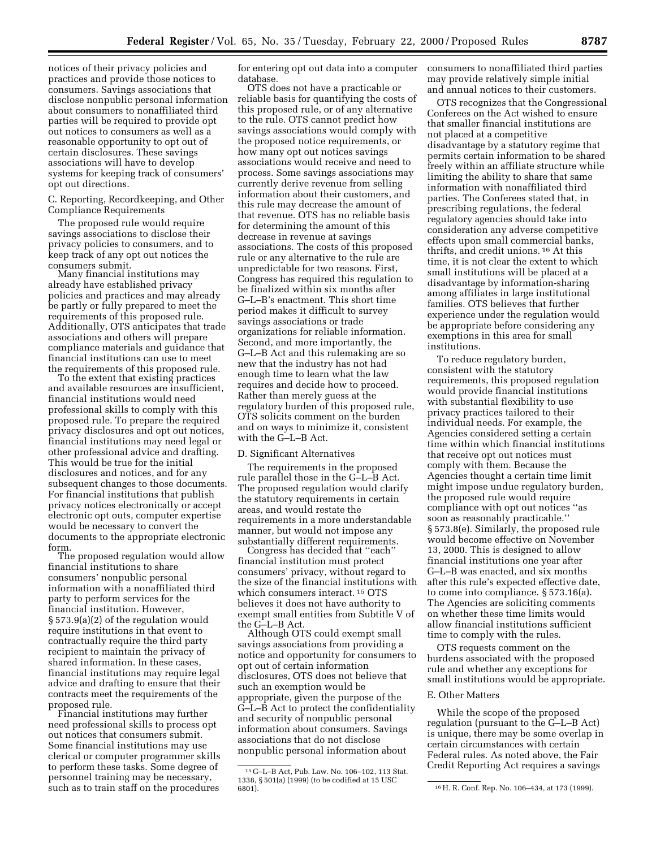notices of their privacy policies and practices and provide those notices to consumers. Savings associations that disclose nonpublic personal information about consumers to nonaffiliated third parties will be required to provide opt out notices to consumers as well as a reasonable opportunity to opt out of certain disclosures. These savings associations will have to develop systems for keeping track of consumers' opt out directions.

C. Reporting, Recordkeeping, and Other Compliance Requirements

The proposed rule would require savings associations to disclose their privacy policies to consumers, and to keep track of any opt out notices the consumers submit.

Many financial institutions may already have established privacy policies and practices and may already be partly or fully prepared to meet the requirements of this proposed rule. Additionally, OTS anticipates that trade associations and others will prepare compliance materials and guidance that financial institutions can use to meet the requirements of this proposed rule. To the extent that existing practices

and available resources are insufficient, financial institutions would need professional skills to comply with this proposed rule. To prepare the required privacy disclosures and opt out notices, financial institutions may need legal or other professional advice and drafting. This would be true for the initial disclosures and notices, and for any subsequent changes to those documents. For financial institutions that publish privacy notices electronically or accept electronic opt outs, computer expertise would be necessary to convert the documents to the appropriate electronic form.

The proposed regulation would allow financial institutions to share consumers' nonpublic personal information with a nonaffiliated third party to perform services for the financial institution. However, § 573.9(a)(2) of the regulation would require institutions in that event to contractually require the third party recipient to maintain the privacy of shared information. In these cases, financial institutions may require legal advice and drafting to ensure that their contracts meet the requirements of the proposed rule. Financial institutions may further

need professional skills to process opt out notices that consumers submit. Some financial institutions may use clerical or computer programmer skills to perform these tasks. Some degree of personnel training may be necessary, such as to train staff on the procedures

for entering opt out data into a computer database.

OTS does not have a practicable or reliable basis for quantifying the costs of this proposed rule, or of any alternative to the rule. OTS cannot predict how savings associations would comply with the proposed notice requirements, or how many opt out notices savings associations would receive and need to process. Some savings associations may currently derive revenue from selling information about their customers, and this rule may decrease the amount of that revenue. OTS has no reliable basis for determining the amount of this decrease in revenue at savings associations. The costs of this proposed rule or any alternative to the rule are unpredictable for two reasons. First, Congress has required this regulation to be finalized within six months after G–L–B's enactment. This short time period makes it difficult to survey savings associations or trade organizations for reliable information. Second, and more importantly, the G–L–B Act and this rulemaking are so new that the industry has not had enough time to learn what the law requires and decide how to proceed. Rather than merely guess at the regulatory burden of this proposed rule, OTS solicits comment on the burden and on ways to minimize it, consistent with the G–L–B Act.

#### D. Significant Alternatives

The requirements in the proposed rule parallel those in the G–L–B Act. The proposed regulation would clarify the statutory requirements in certain areas, and would restate the requirements in a more understandable manner, but would not impose any substantially different requirements. Congress has decided that ''each''

financial institution must protect consumers' privacy, without regard to the size of the financial institutions with which consumers interact. 15 OTS believes it does not have authority to exempt small entities from Subtitle V of the G–L–B Act.

Although OTS could exempt small savings associations from providing a notice and opportunity for consumers to opt out of certain information disclosures, OTS does not believe that such an exemption would be appropriate, given the purpose of the G–L–B Act to protect the confidentiality and security of nonpublic personal information about consumers. Savings associations that do not disclose nonpublic personal information about

consumers to nonaffiliated third parties may provide relatively simple initial and annual notices to their customers.

OTS recognizes that the Congressional Conferees on the Act wished to ensure that smaller financial institutions are not placed at a competitive disadvantage by a statutory regime that permits certain information to be shared freely within an affiliate structure while limiting the ability to share that same information with nonaffiliated third parties. The Conferees stated that, in prescribing regulations, the federal regulatory agencies should take into consideration any adverse competitive effects upon small commercial banks, thrifts, and credit unions. 16 At this time, it is not clear the extent to which small institutions will be placed at a disadvantage by information-sharing among affiliates in large institutional families. OTS believes that further experience under the regulation would be appropriate before considering any exemptions in this area for small institutions.

To reduce regulatory burden, consistent with the statutory requirements, this proposed regulation would provide financial institutions with substantial flexibility to use privacy practices tailored to their individual needs. For example, the Agencies considered setting a certain time within which financial institutions that receive opt out notices must comply with them. Because the Agencies thought a certain time limit might impose undue regulatory burden, the proposed rule would require compliance with opt out notices ''as soon as reasonably practicable.'' § 573.8(e). Similarly, the proposed rule would become effective on November 13, 2000. This is designed to allow financial institutions one year after G–L–B was enacted, and six months after this rule's expected effective date, to come into compliance. § 573.16(a). The Agencies are soliciting comments on whether these time limits would allow financial institutions sufficient time to comply with the rules.

OTS requests comment on the burdens associated with the proposed rule and whether any exceptions for small institutions would be appropriate.

#### E. Other Matters

While the scope of the proposed regulation (pursuant to the G–L–B Act) is unique, there may be some overlap in certain circumstances with certain Federal rules. As noted above, the Fair Credit Reporting Act requires a savings

<sup>15</sup> G–L–B Act, Pub. Law. No. 106–102, 113 Stat. 1338, § 501(a) (1999) (to be codified at 15 USC

<sup>16</sup> H. R. Conf. Rep. No. 106-434, at 173 (1999).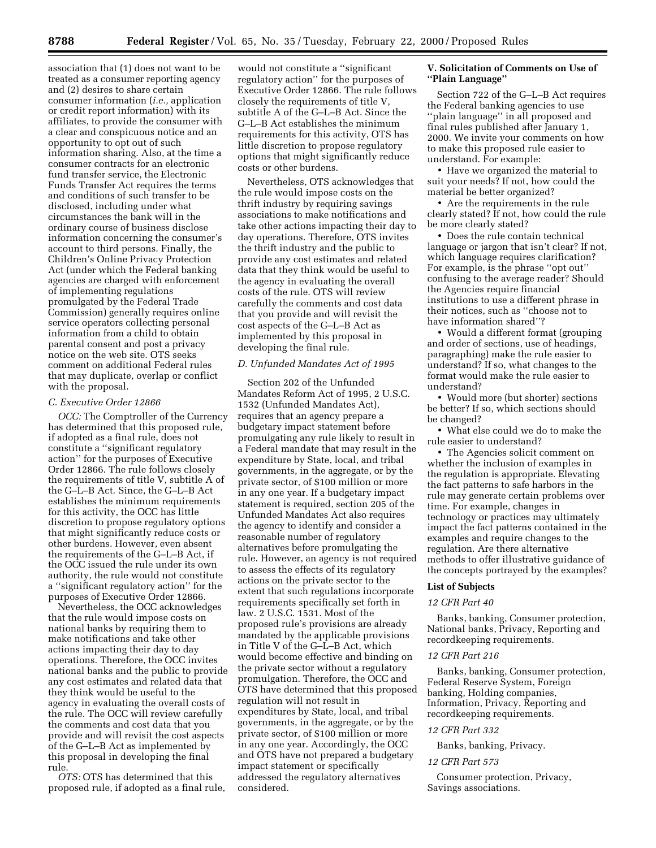association that (1) does not want to be treated as a consumer reporting agency and (2) desires to share certain consumer information (*i.e.,* application or credit report information) with its affiliates, to provide the consumer with a clear and conspicuous notice and an opportunity to opt out of such information sharing. Also, at the time a consumer contracts for an electronic fund transfer service, the Electronic Funds Transfer Act requires the terms and conditions of such transfer to be disclosed, including under what circumstances the bank will in the ordinary course of business disclose information concerning the consumer's account to third persons. Finally, the Children's Online Privacy Protection Act (under which the Federal banking agencies are charged with enforcement of implementing regulations promulgated by the Federal Trade Commission) generally requires online service operators collecting personal information from a child to obtain parental consent and post a privacy notice on the web site. OTS seeks comment on additional Federal rules that may duplicate, overlap or conflict with the proposal.

#### *C. Executive Order 12866*

*OCC:* The Comptroller of the Currency has determined that this proposed rule, if adopted as a final rule, does not constitute a ''significant regulatory action'' for the purposes of Executive Order 12866. The rule follows closely the requirements of title V, subtitle A of the G–L–B Act. Since, the G–L–B Act establishes the minimum requirements for this activity, the OCC has little discretion to propose regulatory options that might significantly reduce costs or other burdens. However, even absent the requirements of the G–L–B Act, if the OCC issued the rule under its own authority, the rule would not constitute a ''significant regulatory action'' for the purposes of Executive Order 12866.

Nevertheless, the OCC acknowledges that the rule would impose costs on national banks by requiring them to make notifications and take other actions impacting their day to day operations. Therefore, the OCC invites national banks and the public to provide any cost estimates and related data that they think would be useful to the agency in evaluating the overall costs of the rule. The OCC will review carefully the comments and cost data that you provide and will revisit the cost aspects of the G–L–B Act as implemented by this proposal in developing the final rule.

*OTS:* OTS has determined that this proposed rule, if adopted as a final rule,

would not constitute a ''significant regulatory action'' for the purposes of Executive Order 12866. The rule follows closely the requirements of title V, subtitle A of the G–L–B Act. Since the G–L–B Act establishes the minimum requirements for this activity, OTS has little discretion to propose regulatory options that might significantly reduce costs or other burdens.

Nevertheless, OTS acknowledges that the rule would impose costs on the thrift industry by requiring savings associations to make notifications and take other actions impacting their day to day operations. Therefore, OTS invites the thrift industry and the public to provide any cost estimates and related data that they think would be useful to the agency in evaluating the overall costs of the rule. OTS will review carefully the comments and cost data that you provide and will revisit the cost aspects of the G–L–B Act as implemented by this proposal in developing the final rule.

#### *D. Unfunded Mandates Act of 1995*

Section 202 of the Unfunded Mandates Reform Act of 1995, 2 U.S.C. 1532 (Unfunded Mandates Act), requires that an agency prepare a budgetary impact statement before promulgating any rule likely to result in a Federal mandate that may result in the expenditure by State, local, and tribal governments, in the aggregate, or by the private sector, of \$100 million or more in any one year. If a budgetary impact statement is required, section 205 of the Unfunded Mandates Act also requires the agency to identify and consider a reasonable number of regulatory alternatives before promulgating the rule. However, an agency is not required to assess the effects of its regulatory actions on the private sector to the extent that such regulations incorporate requirements specifically set forth in law. 2 U.S.C. 1531. Most of the proposed rule's provisions are already mandated by the applicable provisions in Title V of the G–L–B Act, which would become effective and binding on the private sector without a regulatory promulgation. Therefore, the OCC and OTS have determined that this proposed regulation will not result in expenditures by State, local, and tribal governments, in the aggregate, or by the private sector, of \$100 million or more in any one year. Accordingly, the OCC and OTS have not prepared a budgetary impact statement or specifically addressed the regulatory alternatives considered.

#### **V. Solicitation of Comments on Use of ''Plain Language''**

Section 722 of the G–L–B Act requires the Federal banking agencies to use ''plain language'' in all proposed and final rules published after January 1, 2000. We invite your comments on how to make this proposed rule easier to understand. For example:

• Have we organized the material to suit your needs? If not, how could the material be better organized?

• Are the requirements in the rule clearly stated? If not, how could the rule be more clearly stated?

• Does the rule contain technical language or jargon that isn't clear? If not, which language requires clarification? For example, is the phrase ''opt out'' confusing to the average reader? Should the Agencies require financial institutions to use a different phrase in their notices, such as ''choose not to have information shared''?

• Would a different format (grouping and order of sections, use of headings, paragraphing) make the rule easier to understand? If so, what changes to the format would make the rule easier to understand?

• Would more (but shorter) sections be better? If so, which sections should be changed?

• What else could we do to make the rule easier to understand?

• The Agencies solicit comment on whether the inclusion of examples in the regulation is appropriate. Elevating the fact patterns to safe harbors in the rule may generate certain problems over time. For example, changes in technology or practices may ultimately impact the fact patterns contained in the examples and require changes to the regulation. Are there alternative methods to offer illustrative guidance of the concepts portrayed by the examples?

#### **List of Subjects**

#### *12 CFR Part 40*

Banks, banking, Consumer protection, National banks, Privacy, Reporting and recordkeeping requirements.

#### *12 CFR Part 216*

Banks, banking, Consumer protection, Federal Reserve System, Foreign banking, Holding companies, Information, Privacy, Reporting and recordkeeping requirements.

#### *12 CFR Part 332*

Banks, banking, Privacy.

#### *12 CFR Part 573*

Consumer protection, Privacy, Savings associations.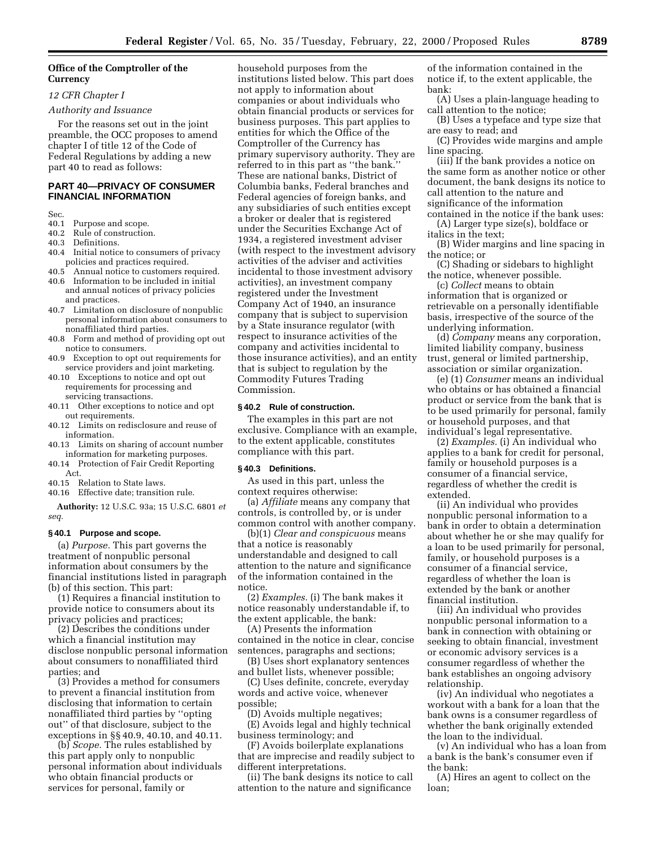#### **Office of the Comptroller of the Currency**

#### *12 CFR Chapter I*

#### *Authority and Issuance*

For the reasons set out in the joint preamble, the OCC proposes to amend chapter I of title 12 of the Code of Federal Regulations by adding a new part 40 to read as follows:

#### **PART 40—PRIVACY OF CONSUMER FINANCIAL INFORMATION**

- Sec.<br>40.1 Purpose and scope.
- 40.2 Rule of construction.
- 40.3 Definitions.
- 40.4 Initial notice to consumers of privacy policies and practices required.<br>40.5 Annual notice to customers re
- Annual notice to customers required. 40.6 Information to be included in initial and annual notices of privacy policies
- and practices.<br>40.7 Limitation c Limitation on disclosure of nonpublic personal information about consumers to nonaffiliated third parties.
- 40.8 Form and method of providing opt out notice to consumers.
- 40.9 Exception to opt out requirements for service providers and joint marketing.
- 40.10 Exceptions to notice and opt out requirements for processing and servicing transactions.
- 40.11 Other exceptions to notice and opt out requirements.
- 40.12 Limits on redisclosure and reuse of information.
- 40.13 Limits on sharing of account number information for marketing purposes.
- 40.14 Protection of Fair Credit Reporting Act.
- 40.15 Relation to State laws.
- 40.16 Effective date; transition rule.

**Authority:** 12 U.S.C. 93a; 15 U.S.C. 6801 *et seq.*

#### **§ 40.1 Purpose and scope.**

(a) *Purpose.* This part governs the treatment of nonpublic personal information about consumers by the financial institutions listed in paragraph (b) of this section. This part:

(1) Requires a financial institution to provide notice to consumers about its privacy policies and practices;

(2) Describes the conditions under which a financial institution may disclose nonpublic personal information about consumers to nonaffiliated third parties; and

(3) Provides a method for consumers to prevent a financial institution from disclosing that information to certain nonaffiliated third parties by ''opting out'' of that disclosure, subject to the exceptions in §§ 40.9, 40.10, and 40.11.

(b) *Scope.* The rules established by this part apply only to nonpublic personal information about individuals who obtain financial products or services for personal, family or

household purposes from the institutions listed below. This part does not apply to information about companies or about individuals who obtain financial products or services for business purposes. This part applies to entities for which the Office of the Comptroller of the Currency has primary supervisory authority. They are referred to in this part as ''the bank.'' These are national banks, District of Columbia banks, Federal branches and Federal agencies of foreign banks, and any subsidiaries of such entities except a broker or dealer that is registered under the Securities Exchange Act of 1934, a registered investment adviser (with respect to the investment advisory activities of the adviser and activities incidental to those investment advisory activities), an investment company registered under the Investment Company Act of 1940, an insurance company that is subject to supervision by a State insurance regulator (with respect to insurance activities of the company and activities incidental to those insurance activities), and an entity that is subject to regulation by the Commodity Futures Trading Commission.

#### **§ 40.2 Rule of construction.**

The examples in this part are not exclusive. Compliance with an example, to the extent applicable, constitutes compliance with this part.

#### **§ 40.3 Definitions.**

As used in this part, unless the context requires otherwise:

(a) *Affiliate* means any company that controls, is controlled by, or is under common control with another company.

(b)(1) *Clear and conspicuous* means that a notice is reasonably understandable and designed to call attention to the nature and significance of the information contained in the notice.

(2) *Examples.* (i) The bank makes it notice reasonably understandable if, to the extent applicable, the bank:

(A) Presents the information contained in the notice in clear, concise sentences, paragraphs and sections;

(B) Uses short explanatory sentences and bullet lists, whenever possible;

(C) Uses definite, concrete, everyday words and active voice, whenever possible;

(D) Avoids multiple negatives;

(E) Avoids legal and highly technical business terminology; and

(F) Avoids boilerplate explanations that are imprecise and readily subject to different interpretations.

(ii) The bank designs its notice to call attention to the nature and significance

of the information contained in the notice if, to the extent applicable, the bank:

(A) Uses a plain-language heading to call attention to the notice;

(B) Uses a typeface and type size that are easy to read; and

(C) Provides wide margins and ample line spacing.

(iii) If the bank provides a notice on the same form as another notice or other document, the bank designs its notice to call attention to the nature and significance of the information contained in the notice if the bank uses:

(A) Larger type size(s), boldface or italics in the text;

(B) Wider margins and line spacing in the notice; or

(C) Shading or sidebars to highlight the notice, whenever possible.

(c) *Collect* means to obtain information that is organized or retrievable on a personally identifiable basis, irrespective of the source of the underlying information.

(d) *Company* means any corporation, limited liability company, business trust, general or limited partnership, association or similar organization.

(e) (1) *Consumer* means an individual who obtains or has obtained a financial product or service from the bank that is to be used primarily for personal, family or household purposes, and that individual's legal representative.

(2) *Examples.* (i) An individual who applies to a bank for credit for personal, family or household purposes is a consumer of a financial service, regardless of whether the credit is extended.

(ii) An individual who provides nonpublic personal information to a bank in order to obtain a determination about whether he or she may qualify for a loan to be used primarily for personal, family, or household purposes is a consumer of a financial service, regardless of whether the loan is extended by the bank or another financial institution.

(iii) An individual who provides nonpublic personal information to a bank in connection with obtaining or seeking to obtain financial, investment or economic advisory services is a consumer regardless of whether the bank establishes an ongoing advisory relationship.

(iv) An individual who negotiates a workout with a bank for a loan that the bank owns is a consumer regardless of whether the bank originally extended the loan to the individual.

(v) An individual who has a loan from a bank is the bank's consumer even if the bank:

(A) Hires an agent to collect on the loan;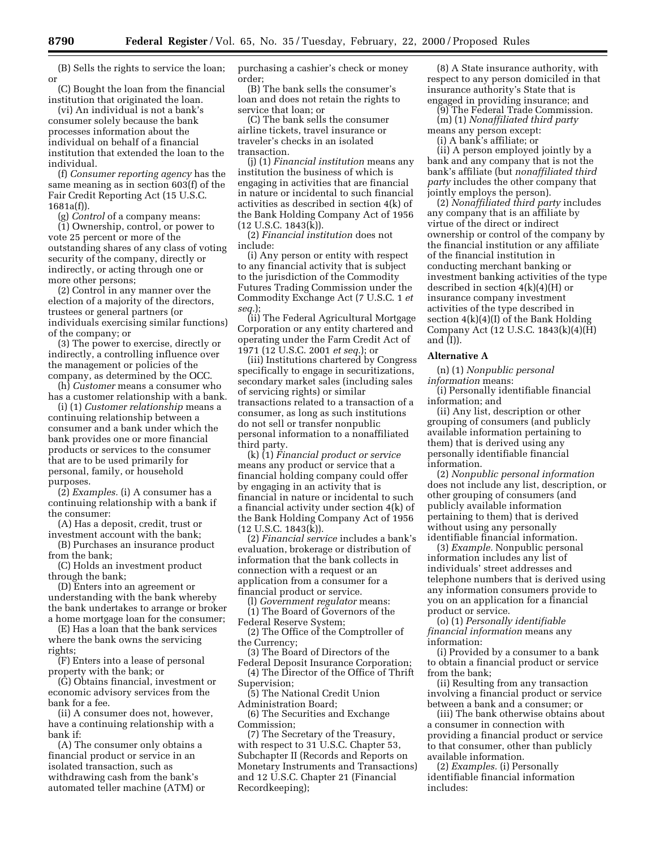(B) Sells the rights to service the loan; or

(C) Bought the loan from the financial institution that originated the loan.

(vi) An individual is not a bank's consumer solely because the bank processes information about the individual on behalf of a financial institution that extended the loan to the individual.

(f) *Consumer reporting agency* has the same meaning as in section 603(f) of the Fair Credit Reporting Act (15 U.S.C. 1681a(f)).

(g) *Control* of a company means:

(1) Ownership, control, or power to vote 25 percent or more of the outstanding shares of any class of voting security of the company, directly or indirectly, or acting through one or more other persons;

(2) Control in any manner over the election of a majority of the directors, trustees or general partners (or individuals exercising similar functions) of the company; or

(3) The power to exercise, directly or indirectly, a controlling influence over the management or policies of the company, as determined by the OCC.

(h) *Customer* means a consumer who has a customer relationship with a bank.

(i) (1) *Customer relationship* means a continuing relationship between a consumer and a bank under which the bank provides one or more financial products or services to the consumer that are to be used primarily for personal, family, or household purposes.

(2) *Examples.* (i) A consumer has a continuing relationship with a bank if the consumer:

(A) Has a deposit, credit, trust or investment account with the bank;

(B) Purchases an insurance product from the bank;

(C) Holds an investment product through the bank;

(D) Enters into an agreement or understanding with the bank whereby the bank undertakes to arrange or broker a home mortgage loan for the consumer;

(E) Has a loan that the bank services where the bank owns the servicing rights;

(F) Enters into a lease of personal property with the bank; or

(G) Obtains financial, investment or economic advisory services from the bank for a fee.

(ii) A consumer does not, however, have a continuing relationship with a bank if:

(A) The consumer only obtains a financial product or service in an isolated transaction, such as withdrawing cash from the bank's automated teller machine (ATM) or purchasing a cashier's check or money order;

(B) The bank sells the consumer's loan and does not retain the rights to service that loan; or

(C) The bank sells the consumer airline tickets, travel insurance or traveler's checks in an isolated transaction.

(j) (1) *Financial institution* means any institution the business of which is engaging in activities that are financial in nature or incidental to such financial activities as described in section 4(k) of the Bank Holding Company Act of 1956  $(12 \text{ U.S.C. } 1843 \text{ (k)})$ .

(2) *Financial institution* does not include:

(i) Any person or entity with respect to any financial activity that is subject to the jurisdiction of the Commodity Futures Trading Commission under the Commodity Exchange Act (7 U.S.C. 1 *et seq.*);

(ii) The Federal Agricultural Mortgage Corporation or any entity chartered and operating under the Farm Credit Act of 1971 (12 U.S.C. 2001 *et seq.*); or

(iii) Institutions chartered by Congress specifically to engage in securitizations, secondary market sales (including sales of servicing rights) or similar transactions related to a transaction of a consumer, as long as such institutions do not sell or transfer nonpublic personal information to a nonaffiliated third party.

(k) (1) *Financial product or service* means any product or service that a financial holding company could offer by engaging in an activity that is financial in nature or incidental to such a financial activity under section 4(k) of the Bank Holding Company Act of 1956  $(12 \text{ U.S.C. } 1843(\bar{k})).$ 

(2) *Financial service* includes a bank's evaluation, brokerage or distribution of information that the bank collects in connection with a request or an application from a consumer for a financial product or service.

(l) *Government regulator* means: (1) The Board of Governors of the

Federal Reserve System;

(2) The Office of the Comptroller of the Currency;

(3) The Board of Directors of the Federal Deposit Insurance Corporation;

(4) The Director of the Office of Thrift Supervision; (5) The National Credit Union

Administration Board;

(6) The Securities and Exchange Commission;

(7) The Secretary of the Treasury, with respect to 31 U.S.C. Chapter 53, Subchapter II (Records and Reports on Monetary Instruments and Transactions) and 12 U.S.C. Chapter 21 (Financial Recordkeeping);

(8) A State insurance authority, with respect to any person domiciled in that insurance authority's State that is engaged in providing insurance; and

(9) The Federal Trade Commission. (m) (1) *Nonaffiliated third party*

means any person except: (i) A bank's affiliate; or

(ii) A person employed jointly by a bank and any company that is not the bank's affiliate (but *nonaffiliated third party* includes the other company that jointly employs the person).

(2) *Nonaffiliated third party* includes any company that is an affiliate by virtue of the direct or indirect ownership or control of the company by the financial institution or any affiliate of the financial institution in conducting merchant banking or investment banking activities of the type described in section  $4(k)(4)(H)$  or insurance company investment activities of the type described in section  $4(k)(4)(I)$  of the Bank Holding Company Act (12 U.S.C. 1843(k)(4)(H) and (I)).

#### **Alternative A**

(n) (1) *Nonpublic personal information* means:

(i) Personally identifiable financial information; and

(ii) Any list, description or other grouping of consumers (and publicly available information pertaining to them) that is derived using any personally identifiable financial information.

(2) *Nonpublic personal information* does not include any list, description, or other grouping of consumers (and publicly available information pertaining to them) that is derived without using any personally identifiable financial information.

(3) *Example.* Nonpublic personal information includes any list of individuals' street addresses and telephone numbers that is derived using any information consumers provide to you on an application for a financial product or service.

(o) (1) *Personally identifiable financial information* means any information:

(i) Provided by a consumer to a bank to obtain a financial product or service from the bank;

(ii) Resulting from any transaction involving a financial product or service between a bank and a consumer; or

(iii) The bank otherwise obtains about a consumer in connection with providing a financial product or service to that consumer, other than publicly available information.

(2) *Examples.* (i) Personally identifiable financial information includes: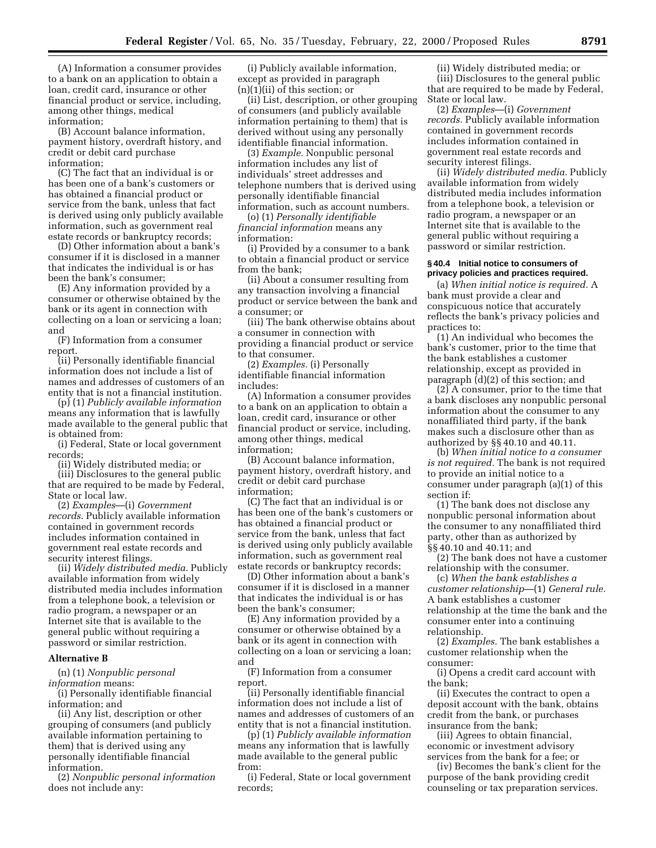(A) Information a consumer provides to a bank on an application to obtain a loan, credit card, insurance or other financial product or service, including, among other things, medical information;

(B) Account balance information, payment history, overdraft history, and credit or debit card purchase information;

(C) The fact that an individual is or has been one of a bank's customers or has obtained a financial product or service from the bank, unless that fact is derived using only publicly available information, such as government real estate records or bankruptcy records;

(D) Other information about a bank's consumer if it is disclosed in a manner that indicates the individual is or has been the bank's consumer;

(E) Any information provided by a consumer or otherwise obtained by the bank or its agent in connection with collecting on a loan or servicing a loan; and

(F) Information from a consumer report.

(ii) Personally identifiable financial information does not include a list of names and addresses of customers of an entity that is not a financial institution.

(p) (1) *Publicly available information* means any information that is lawfully made available to the general public that is obtained from:

(i) Federal, State or local government records;

(ii) Widely distributed media; or

(iii) Disclosures to the general public that are required to be made by Federal, State or local law.

(2) *Examples*—(i) *Government records.* Publicly available information contained in government records includes information contained in government real estate records and security interest filings.

(ii) *Widely distributed media.* Publicly available information from widely distributed media includes information from a telephone book, a television or radio program, a newspaper or an Internet site that is available to the general public without requiring a password or similar restriction.

#### **Alternative B**

(n) (1) *Nonpublic personal information* means:

(i) Personally identifiable financial information; and

(ii) Any list, description or other grouping of consumers (and publicly available information pertaining to them) that is derived using any personally identifiable financial information.

(2) *Nonpublic personal information* does not include any:

(i) Publicly available information, except as provided in paragraph (n)(1)(ii) of this section; or

(ii) List, description, or other grouping of consumers (and publicly available information pertaining to them) that is derived without using any personally identifiable financial information.

(3) *Example.* Nonpublic personal information includes any list of individuals' street addresses and telephone numbers that is derived using personally identifiable financial information, such as account numbers.

(o) (1) *Personally identifiable financial information* means any information:

(i) Provided by a consumer to a bank to obtain a financial product or service from the bank;

(ii) About a consumer resulting from any transaction involving a financial product or service between the bank and a consumer; or

(iii) The bank otherwise obtains about a consumer in connection with providing a financial product or service to that consumer.

(2) *Examples.* (i) Personally identifiable financial information includes:

(A) Information a consumer provides to a bank on an application to obtain a loan, credit card, insurance or other financial product or service, including, among other things, medical information;

(B) Account balance information, payment history, overdraft history, and credit or debit card purchase information;

(C) The fact that an individual is or has been one of the bank's customers or has obtained a financial product or service from the bank, unless that fact is derived using only publicly available information, such as government real estate records or bankruptcy records;

(D) Other information about a bank's consumer if it is disclosed in a manner that indicates the individual is or has been the bank's consumer;

(E) Any information provided by a consumer or otherwise obtained by a bank or its agent in connection with collecting on a loan or servicing a loan; and

(F) Information from a consumer report.

(ii) Personally identifiable financial information does not include a list of names and addresses of customers of an entity that is not a financial institution.

(p) (1) *Publicly available information* means any information that is lawfully made available to the general public from:

(i) Federal, State or local government records;

(ii) Widely distributed media; or (iii) Disclosures to the general public that are required to be made by Federal, State or local law.

(2) *Examples*—(i) *Government records.* Publicly available information contained in government records includes information contained in government real estate records and security interest filings.

(ii) *Widely distributed media.* Publicly available information from widely distributed media includes information from a telephone book, a television or radio program, a newspaper or an Internet site that is available to the general public without requiring a password or similar restriction.

#### **§ 40.4 Initial notice to consumers of privacy policies and practices required.**

(a) *When initial notice is required.* A bank must provide a clear and conspicuous notice that accurately reflects the bank's privacy policies and practices to:

(1) An individual who becomes the bank's customer, prior to the time that the bank establishes a customer relationship, except as provided in paragraph (d)(2) of this section; and

(2) A consumer, prior to the time that a bank discloses any nonpublic personal information about the consumer to any nonaffiliated third party, if the bank makes such a disclosure other than as authorized by §§ 40.10 and 40.11.

(b) *When initial notice to a consumer is not required.* The bank is not required to provide an initial notice to a consumer under paragraph (a)(1) of this section if:

(1) The bank does not disclose any nonpublic personal information about the consumer to any nonaffiliated third party, other than as authorized by §§ 40.10 and 40.11; and

(2) The bank does not have a customer relationship with the consumer.

(c) *When the bank establishes a customer relationship*—(1) *General rule.* A bank establishes a customer relationship at the time the bank and the consumer enter into a continuing relationship.

(2) *Examples.* The bank establishes a customer relationship when the consumer:

(i) Opens a credit card account with the bank;

(ii) Executes the contract to open a deposit account with the bank, obtains credit from the bank, or purchases insurance from the bank;

(iii) Agrees to obtain financial, economic or investment advisory services from the bank for a fee; or

(iv) Becomes the bank's client for the purpose of the bank providing credit counseling or tax preparation services.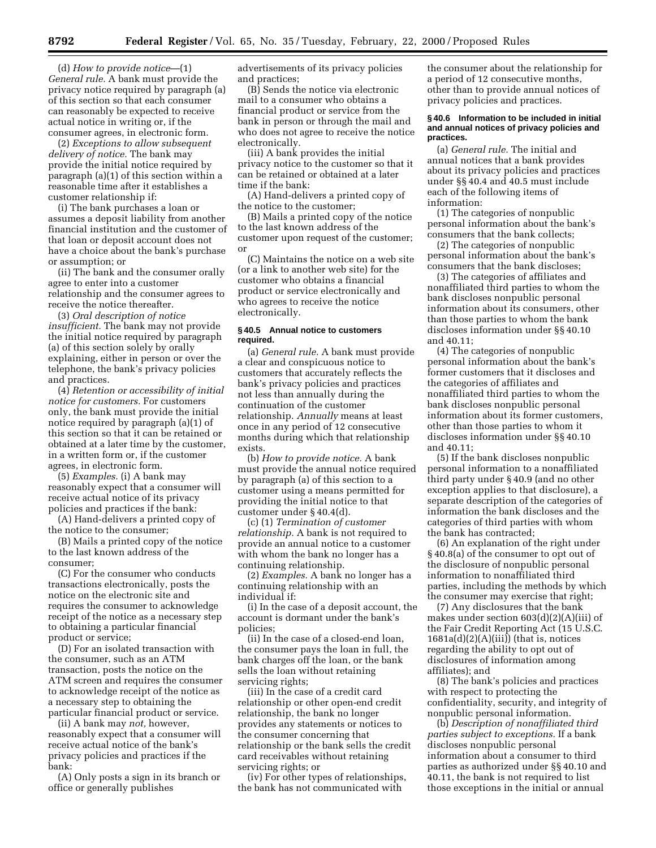(d) *How to provide notice*—(1) *General rule.* A bank must provide the privacy notice required by paragraph (a) of this section so that each consumer can reasonably be expected to receive actual notice in writing or, if the consumer agrees, in electronic form.

(2) *Exceptions to allow subsequent delivery of notice.* The bank may provide the initial notice required by paragraph (a)(1) of this section within a reasonable time after it establishes a customer relationship if:

(i) The bank purchases a loan or assumes a deposit liability from another financial institution and the customer of that loan or deposit account does not have a choice about the bank's purchase or assumption; or

(ii) The bank and the consumer orally agree to enter into a customer relationship and the consumer agrees to receive the notice thereafter.

(3) *Oral description of notice insufficient.* The bank may not provide the initial notice required by paragraph (a) of this section solely by orally explaining, either in person or over the telephone, the bank's privacy policies and practices.

(4) *Retention or accessibility of initial notice for customers.* For customers only, the bank must provide the initial notice required by paragraph (a)(1) of this section so that it can be retained or obtained at a later time by the customer, in a written form or, if the customer agrees, in electronic form.

(5) *Examples.* (i) A bank may reasonably expect that a consumer will receive actual notice of its privacy policies and practices if the bank:

(A) Hand-delivers a printed copy of the notice to the consumer;

(B) Mails a printed copy of the notice to the last known address of the consumer;

(C) For the consumer who conducts transactions electronically, posts the notice on the electronic site and requires the consumer to acknowledge receipt of the notice as a necessary step to obtaining a particular financial product or service;

(D) For an isolated transaction with the consumer, such as an ATM transaction, posts the notice on the ATM screen and requires the consumer to acknowledge receipt of the notice as a necessary step to obtaining the particular financial product or service.

(ii) A bank may *not,* however, reasonably expect that a consumer will receive actual notice of the bank's privacy policies and practices if the bank:

(A) Only posts a sign in its branch or office or generally publishes

advertisements of its privacy policies and practices;

(B) Sends the notice via electronic mail to a consumer who obtains a financial product or service from the bank in person or through the mail and who does not agree to receive the notice electronically.

(iii) A bank provides the initial privacy notice to the customer so that it can be retained or obtained at a later time if the bank:

(A) Hand-delivers a printed copy of the notice to the customer;

(B) Mails a printed copy of the notice to the last known address of the customer upon request of the customer; or

(C) Maintains the notice on a web site (or a link to another web site) for the customer who obtains a financial product or service electronically and who agrees to receive the notice electronically.

#### **§ 40.5 Annual notice to customers required.**

(a) *General rule.* A bank must provide a clear and conspicuous notice to customers that accurately reflects the bank's privacy policies and practices not less than annually during the continuation of the customer relationship. *Annually* means at least once in any period of 12 consecutive months during which that relationship exists.

(b) *How to provide notice.* A bank must provide the annual notice required by paragraph (a) of this section to a customer using a means permitted for providing the initial notice to that customer under § 40.4(d).

(c) (1) *Termination of customer relationship.* A bank is not required to provide an annual notice to a customer with whom the bank no longer has a continuing relationship.

(2) *Examples.* A bank no longer has a continuing relationship with an individual if:

(i) In the case of a deposit account, the account is dormant under the bank's policies;

(ii) In the case of a closed-end loan, the consumer pays the loan in full, the bank charges off the loan, or the bank sells the loan without retaining servicing rights;

(iii) In the case of a credit card relationship or other open-end credit relationship, the bank no longer provides any statements or notices to the consumer concerning that relationship or the bank sells the credit card receivables without retaining servicing rights; or

(iv) For other types of relationships, the bank has not communicated with

the consumer about the relationship for a period of 12 consecutive months, other than to provide annual notices of privacy policies and practices.

#### **§ 40.6 Information to be included in initial and annual notices of privacy policies and practices.**

(a) *General rule.* The initial and annual notices that a bank provides about its privacy policies and practices under §§ 40.4 and 40.5 must include each of the following items of information:

(1) The categories of nonpublic personal information about the bank's consumers that the bank collects;

(2) The categories of nonpublic personal information about the bank's consumers that the bank discloses;

(3) The categories of affiliates and nonaffiliated third parties to whom the bank discloses nonpublic personal information about its consumers, other than those parties to whom the bank discloses information under §§ 40.10 and 40.11;

(4) The categories of nonpublic personal information about the bank's former customers that it discloses and the categories of affiliates and nonaffiliated third parties to whom the bank discloses nonpublic personal information about its former customers, other than those parties to whom it discloses information under §§ 40.10 and  $40.11$ ;

(5) If the bank discloses nonpublic personal information to a nonaffiliated third party under § 40.9 (and no other exception applies to that disclosure), a separate description of the categories of information the bank discloses and the categories of third parties with whom the bank has contracted;

(6) An explanation of the right under § 40.8(a) of the consumer to opt out of the disclosure of nonpublic personal information to nonaffiliated third parties, including the methods by which the consumer may exercise that right;

(7) Any disclosures that the bank makes under section 603(d)(2)(A)(iii) of the Fair Credit Reporting Act (15 U.S.C.  $1681a(d)(2)(A(iii))$  (that is, notices regarding the ability to opt out of disclosures of information among affiliates); and

(8) The bank's policies and practices with respect to protecting the confidentiality, security, and integrity of nonpublic personal information.

(b) *Description of nonaffiliated third parties subject to exceptions.* If a bank discloses nonpublic personal information about a consumer to third parties as authorized under §§ 40.10 and 40.11, the bank is not required to list those exceptions in the initial or annual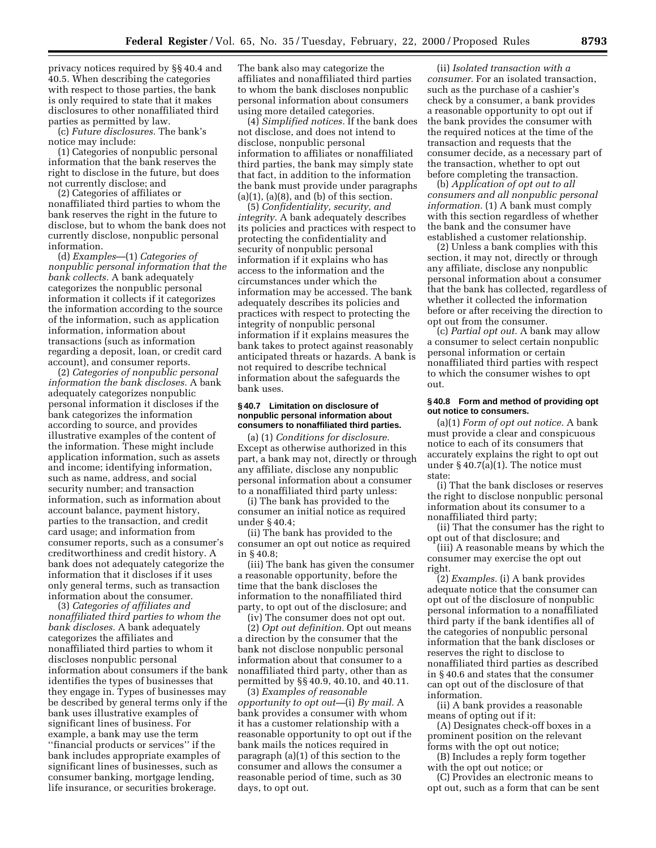privacy notices required by §§ 40.4 and 40.5. When describing the categories with respect to those parties, the bank is only required to state that it makes disclosures to other nonaffiliated third parties as permitted by law.

(c) *Future disclosures.* The bank's notice may include:

(1) Categories of nonpublic personal information that the bank reserves the right to disclose in the future, but does not currently disclose; and

(2) Categories of affiliates or nonaffiliated third parties to whom the bank reserves the right in the future to disclose, but to whom the bank does not currently disclose, nonpublic personal information.

(d) *Examples*—(1) *Categories of nonpublic personal information that the bank collects.* A bank adequately categorizes the nonpublic personal information it collects if it categorizes the information according to the source of the information, such as application information, information about transactions (such as information regarding a deposit, loan, or credit card account), and consumer reports.

(2) *Categories of nonpublic personal information the bank discloses.* A bank adequately categorizes nonpublic personal information it discloses if the bank categorizes the information according to source, and provides illustrative examples of the content of the information. These might include application information, such as assets and income; identifying information, such as name, address, and social security number; and transaction information, such as information about account balance, payment history, parties to the transaction, and credit card usage; and information from consumer reports, such as a consumer's creditworthiness and credit history. A bank does not adequately categorize the information that it discloses if it uses only general terms, such as transaction information about the consumer.

(3) *Categories of affiliates and nonaffiliated third parties to whom the bank discloses.* A bank adequately categorizes the affiliates and nonaffiliated third parties to whom it discloses nonpublic personal information about consumers if the bank identifies the types of businesses that they engage in. Types of businesses may be described by general terms only if the bank uses illustrative examples of significant lines of business. For example, a bank may use the term ''financial products or services'' if the bank includes appropriate examples of significant lines of businesses, such as consumer banking, mortgage lending, life insurance, or securities brokerage.

The bank also may categorize the affiliates and nonaffiliated third parties to whom the bank discloses nonpublic personal information about consumers using more detailed categories.

(4) *Simplified notices.* If the bank does not disclose, and does not intend to disclose, nonpublic personal information to affiliates or nonaffiliated third parties, the bank may simply state that fact, in addition to the information the bank must provide under paragraphs  $(a)(1)$ ,  $(a)(8)$ , and  $(b)$  of this section.

(5) *Confidentiality, security, and integrity.* A bank adequately describes its policies and practices with respect to protecting the confidentiality and security of nonpublic personal information if it explains who has access to the information and the circumstances under which the information may be accessed. The bank adequately describes its policies and practices with respect to protecting the integrity of nonpublic personal information if it explains measures the bank takes to protect against reasonably anticipated threats or hazards. A bank is not required to describe technical information about the safeguards the bank uses.

#### **§ 40.7 Limitation on disclosure of nonpublic personal information about consumers to nonaffiliated third parties.**

(a) (1) *Conditions for disclosure.* Except as otherwise authorized in this part, a bank may not, directly or through any affiliate, disclose any nonpublic personal information about a consumer to a nonaffiliated third party unless:

(i) The bank has provided to the consumer an initial notice as required under § 40.4;

(ii) The bank has provided to the consumer an opt out notice as required in § 40.8;

(iii) The bank has given the consumer a reasonable opportunity, before the time that the bank discloses the information to the nonaffiliated third party, to opt out of the disclosure; and

(iv) The consumer does not opt out. (2) *Opt out definition.* Opt out means a direction by the consumer that the bank not disclose nonpublic personal information about that consumer to a nonaffiliated third party, other than as permitted by §§ 40.9, 40.10, and 40.11.

(3) *Examples of reasonable opportunity to opt out—*(i) *By mail.* A bank provides a consumer with whom it has a customer relationship with a reasonable opportunity to opt out if the bank mails the notices required in paragraph (a)(1) of this section to the consumer and allows the consumer a reasonable period of time, such as 30 days, to opt out.

(ii) *Isolated transaction with a consumer.* For an isolated transaction, such as the purchase of a cashier's check by a consumer, a bank provides a reasonable opportunity to opt out if the bank provides the consumer with the required notices at the time of the transaction and requests that the consumer decide, as a necessary part of the transaction, whether to opt out before completing the transaction.

(b) *Application of opt out to all consumers and all nonpublic personal information.* (1) A bank must comply with this section regardless of whether the bank and the consumer have established a customer relationship.

(2) Unless a bank complies with this section, it may not, directly or through any affiliate, disclose any nonpublic personal information about a consumer that the bank has collected, regardless of whether it collected the information before or after receiving the direction to opt out from the consumer.

(c) *Partial opt out.* A bank may allow a consumer to select certain nonpublic personal information or certain nonaffiliated third parties with respect to which the consumer wishes to opt out.

#### **§ 40.8 Form and method of providing opt out notice to consumers.**

(a)(1) *Form of opt out notice.* A bank must provide a clear and conspicuous notice to each of its consumers that accurately explains the right to opt out under § 40.7(a)(1). The notice must state:

(i) That the bank discloses or reserves the right to disclose nonpublic personal information about its consumer to a nonaffiliated third party;

(ii) That the consumer has the right to opt out of that disclosure; and

(iii) A reasonable means by which the consumer may exercise the opt out right.

(2) *Examples.* (i) A bank provides adequate notice that the consumer can opt out of the disclosure of nonpublic personal information to a nonaffiliated third party if the bank identifies all of the categories of nonpublic personal information that the bank discloses or reserves the right to disclose to nonaffiliated third parties as described in § 40.6 and states that the consumer can opt out of the disclosure of that information.

(ii) A bank provides a reasonable means of opting out if it:

(A) Designates check-off boxes in a prominent position on the relevant forms with the opt out notice;

(B) Includes a reply form together with the opt out notice; or

(C) Provides an electronic means to opt out, such as a form that can be sent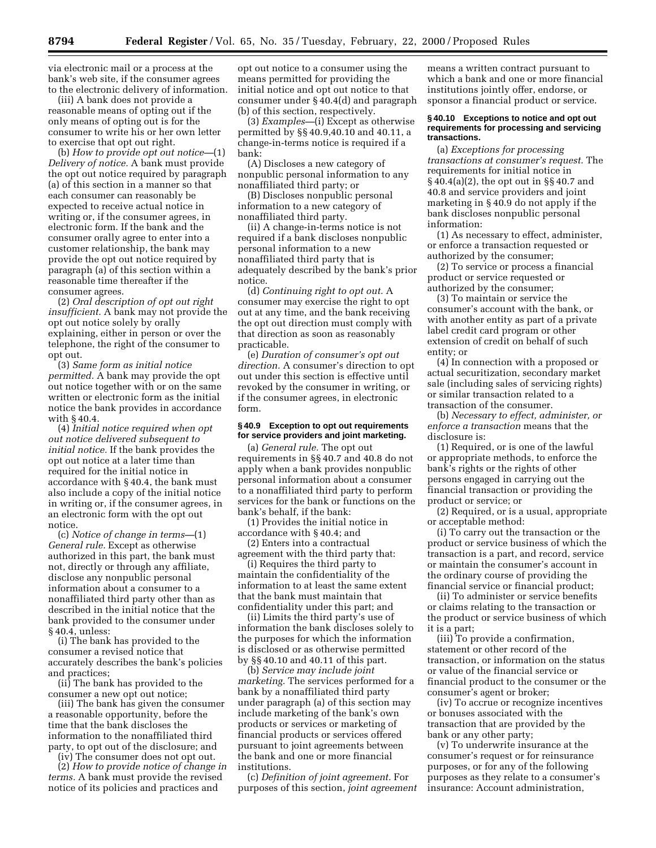via electronic mail or a process at the bank's web site, if the consumer agrees to the electronic delivery of information.

(iii) A bank does not provide a reasonable means of opting out if the only means of opting out is for the consumer to write his or her own letter to exercise that opt out right.

(b) *How to provide opt out notice—*(1) *Delivery of notice.* A bank must provide the opt out notice required by paragraph (a) of this section in a manner so that each consumer can reasonably be expected to receive actual notice in writing or, if the consumer agrees, in electronic form. If the bank and the consumer orally agree to enter into a customer relationship, the bank may provide the opt out notice required by paragraph (a) of this section within a reasonable time thereafter if the consumer agrees.

(2) *Oral description of opt out right insufficient.* A bank may not provide the opt out notice solely by orally explaining, either in person or over the telephone, the right of the consumer to opt out.

(3) *Same form as initial notice permitted.* A bank may provide the opt out notice together with or on the same written or electronic form as the initial notice the bank provides in accordance with § 40.4.

(4) *Initial notice required when opt out notice delivered subsequent to initial notice.* If the bank provides the opt out notice at a later time than required for the initial notice in accordance with § 40.4, the bank must also include a copy of the initial notice in writing or, if the consumer agrees, in an electronic form with the opt out notice.

(c) *Notice of change in terms—*(1) *General rule.* Except as otherwise authorized in this part, the bank must not, directly or through any affiliate, disclose any nonpublic personal information about a consumer to a nonaffiliated third party other than as described in the initial notice that the bank provided to the consumer under § 40.4, unless:

(i) The bank has provided to the consumer a revised notice that accurately describes the bank's policies and practices;

(ii) The bank has provided to the consumer a new opt out notice;

(iii) The bank has given the consumer a reasonable opportunity, before the time that the bank discloses the information to the nonaffiliated third party, to opt out of the disclosure; and

(iv) The consumer does not opt out. (2) *How to provide notice of change in*

*terms.* A bank must provide the revised notice of its policies and practices and

opt out notice to a consumer using the means permitted for providing the initial notice and opt out notice to that consumer under § 40.4(d) and paragraph (b) of this section, respectively.

(3) *Examples—*(i) Except as otherwise permitted by §§ 40.9,40.10 and 40.11, a change-in-terms notice is required if a bank:

(A) Discloses a new category of nonpublic personal information to any nonaffiliated third party; or

(B) Discloses nonpublic personal information to a new category of nonaffiliated third party.

(ii) A change-in-terms notice is not required if a bank discloses nonpublic personal information to a new nonaffiliated third party that is adequately described by the bank's prior notice.

(d) *Continuing right to opt out.* A consumer may exercise the right to opt out at any time, and the bank receiving the opt out direction must comply with that direction as soon as reasonably practicable.

(e) *Duration of consumer's opt out direction.* A consumer's direction to opt out under this section is effective until revoked by the consumer in writing, or if the consumer agrees, in electronic form.

#### **§ 40.9 Exception to opt out requirements for service providers and joint marketing.**

(a) *General rule.* The opt out requirements in §§ 40.7 and 40.8 do not apply when a bank provides nonpublic personal information about a consumer to a nonaffiliated third party to perform services for the bank or functions on the bank's behalf, if the bank:

(1) Provides the initial notice in accordance with § 40.4; and

(2) Enters into a contractual agreement with the third party that:

(i) Requires the third party to maintain the confidentiality of the information to at least the same extent that the bank must maintain that confidentiality under this part; and

(ii) Limits the third party's use of information the bank discloses solely to the purposes for which the information is disclosed or as otherwise permitted by §§ 40.10 and 40.11 of this part.

(b) *Service may include joint marketing.* The services performed for a bank by a nonaffiliated third party under paragraph (a) of this section may include marketing of the bank's own products or services or marketing of financial products or services offered pursuant to joint agreements between the bank and one or more financial institutions.

(c) *Definition of joint agreement.* For purposes of this section, *joint agreement*

means a written contract pursuant to which a bank and one or more financial institutions jointly offer, endorse, or sponsor a financial product or service.

#### **§ 40.10 Exceptions to notice and opt out requirements for processing and servicing transactions.**

(a) *Exceptions for processing transactions at consumer's request.* The requirements for initial notice in § 40.4(a)(2), the opt out in §§ 40.7 and 40.8 and service providers and joint marketing in § 40.9 do not apply if the bank discloses nonpublic personal information:

(1) As necessary to effect, administer, or enforce a transaction requested or authorized by the consumer;

(2) To service or process a financial product or service requested or authorized by the consumer;

(3) To maintain or service the consumer's account with the bank, or with another entity as part of a private label credit card program or other extension of credit on behalf of such entity; or

(4) In connection with a proposed or actual securitization, secondary market sale (including sales of servicing rights) or similar transaction related to a transaction of the consumer.

(b) *Necessary to effect, administer, or enforce a transaction* means that the disclosure is:

(1) Required, or is one of the lawful or appropriate methods, to enforce the bank's rights or the rights of other persons engaged in carrying out the financial transaction or providing the product or service; or

(2) Required, or is a usual, appropriate or acceptable method:

(i) To carry out the transaction or the product or service business of which the transaction is a part, and record, service or maintain the consumer's account in the ordinary course of providing the financial service or financial product;

(ii) To administer or service benefits or claims relating to the transaction or the product or service business of which it is a part;

(iii) To provide a confirmation, statement or other record of the transaction, or information on the status or value of the financial service or financial product to the consumer or the consumer's agent or broker;

(iv) To accrue or recognize incentives or bonuses associated with the transaction that are provided by the bank or any other party;

(v) To underwrite insurance at the consumer's request or for reinsurance purposes, or for any of the following purposes as they relate to a consumer's insurance: Account administration,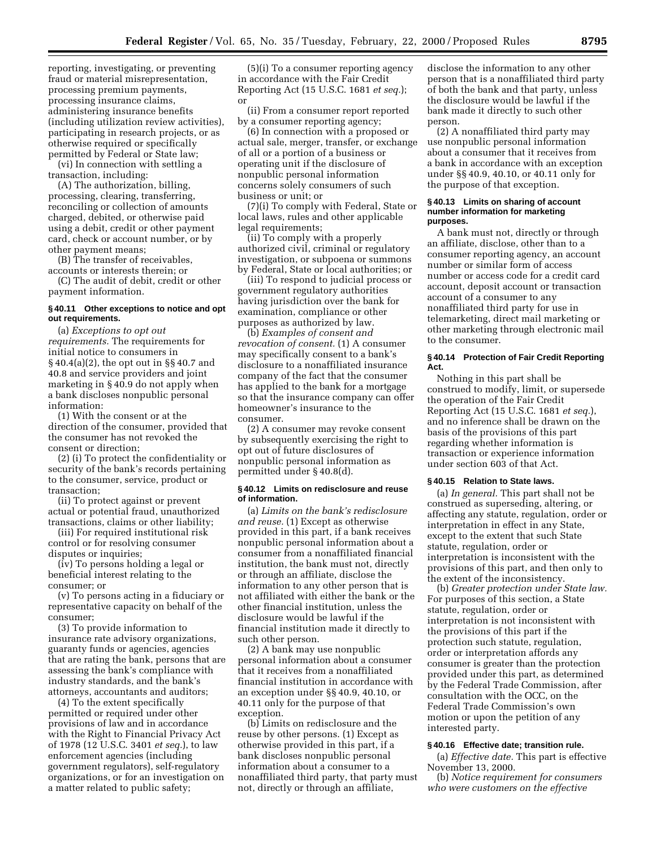reporting, investigating, or preventing fraud or material misrepresentation, processing premium payments, processing insurance claims, administering insurance benefits (including utilization review activities), participating in research projects, or as otherwise required or specifically permitted by Federal or State law;

(vi) In connection with settling a transaction, including:

(A) The authorization, billing, processing, clearing, transferring, reconciling or collection of amounts charged, debited, or otherwise paid using a debit, credit or other payment card, check or account number, or by other payment means;

(B) The transfer of receivables, accounts or interests therein; or

(C) The audit of debit, credit or other payment information.

#### **§ 40.11 Other exceptions to notice and opt out requirements.**

(a) *Exceptions to opt out requirements.* The requirements for initial notice to consumers in § 40.4(a)(2), the opt out in §§ 40.7 and 40.8 and service providers and joint marketing in § 40.9 do not apply when a bank discloses nonpublic personal information:

(1) With the consent or at the direction of the consumer, provided that the consumer has not revoked the consent or direction;

(2) (i) To protect the confidentiality or security of the bank's records pertaining to the consumer, service, product or transaction;

(ii) To protect against or prevent actual or potential fraud, unauthorized transactions, claims or other liability;

(iii) For required institutional risk control or for resolving consumer disputes or inquiries;

(iv) To persons holding a legal or beneficial interest relating to the consumer; or

(v) To persons acting in a fiduciary or representative capacity on behalf of the consumer;

(3) To provide information to insurance rate advisory organizations, guaranty funds or agencies, agencies that are rating the bank, persons that are assessing the bank's compliance with industry standards, and the bank's attorneys, accountants and auditors;

(4) To the extent specifically permitted or required under other provisions of law and in accordance with the Right to Financial Privacy Act of 1978 (12 U.S.C. 3401 *et seq.*), to law enforcement agencies (including government regulators), self-regulatory organizations, or for an investigation on a matter related to public safety;

(5)(i) To a consumer reporting agency in accordance with the Fair Credit Reporting Act (15 U.S.C. 1681 *et seq.*); or

(ii) From a consumer report reported by a consumer reporting agency;

(6) In connection with a proposed or actual sale, merger, transfer, or exchange of all or a portion of a business or operating unit if the disclosure of nonpublic personal information concerns solely consumers of such business or unit; or

(7)(i) To comply with Federal, State or local laws, rules and other applicable legal requirements;

(ii) To comply with a properly authorized civil, criminal or regulatory investigation, or subpoena or summons by Federal, State or local authorities; or

(iii) To respond to judicial process or government regulatory authorities having jurisdiction over the bank for examination, compliance or other purposes as authorized by law.

(b) *Examples of consent and revocation of consent.* (1) A consumer may specifically consent to a bank's disclosure to a nonaffiliated insurance company of the fact that the consumer has applied to the bank for a mortgage so that the insurance company can offer homeowner's insurance to the consumer.

(2) A consumer may revoke consent by subsequently exercising the right to opt out of future disclosures of nonpublic personal information as permitted under § 40.8(d).

#### **§ 40.12 Limits on redisclosure and reuse of information.**

(a) *Limits on the bank's redisclosure and reuse.* (1) Except as otherwise provided in this part, if a bank receives nonpublic personal information about a consumer from a nonaffiliated financial institution, the bank must not, directly or through an affiliate, disclose the information to any other person that is not affiliated with either the bank or the other financial institution, unless the disclosure would be lawful if the financial institution made it directly to such other person.

(2) A bank may use nonpublic personal information about a consumer that it receives from a nonaffiliated financial institution in accordance with an exception under §§ 40.9, 40.10, or 40.11 only for the purpose of that exception.

(b) Limits on redisclosure and the reuse by other persons. (1) Except as otherwise provided in this part, if a bank discloses nonpublic personal information about a consumer to a nonaffiliated third party, that party must not, directly or through an affiliate,

disclose the information to any other person that is a nonaffiliated third party of both the bank and that party, unless the disclosure would be lawful if the bank made it directly to such other person.

(2) A nonaffiliated third party may use nonpublic personal information about a consumer that it receives from a bank in accordance with an exception under §§ 40.9, 40.10, or 40.11 only for the purpose of that exception.

#### **§ 40.13 Limits on sharing of account number information for marketing purposes.**

A bank must not, directly or through an affiliate, disclose, other than to a consumer reporting agency, an account number or similar form of access number or access code for a credit card account, deposit account or transaction account of a consumer to any nonaffiliated third party for use in telemarketing, direct mail marketing or other marketing through electronic mail to the consumer.

#### **§ 40.14 Protection of Fair Credit Reporting Act.**

Nothing in this part shall be construed to modify, limit, or supersede the operation of the Fair Credit Reporting Act (15 U.S.C. 1681 *et seq.*), and no inference shall be drawn on the basis of the provisions of this part regarding whether information is transaction or experience information under section 603 of that Act.

#### **§ 40.15 Relation to State laws.**

(a) *In general.* This part shall not be construed as superseding, altering, or affecting any statute, regulation, order or interpretation in effect in any State, except to the extent that such State statute, regulation, order or interpretation is inconsistent with the provisions of this part, and then only to the extent of the inconsistency.

(b) *Greater protection under State law.* For purposes of this section, a State statute, regulation, order or interpretation is not inconsistent with the provisions of this part if the protection such statute, regulation, order or interpretation affords any consumer is greater than the protection provided under this part, as determined by the Federal Trade Commission, after consultation with the OCC, on the Federal Trade Commission's own motion or upon the petition of any interested party.

#### **§ 40.16 Effective date; transition rule.**

(a) *Effective date.* This part is effective November 13, 2000.

(b) *Notice requirement for consumers who were customers on the effective*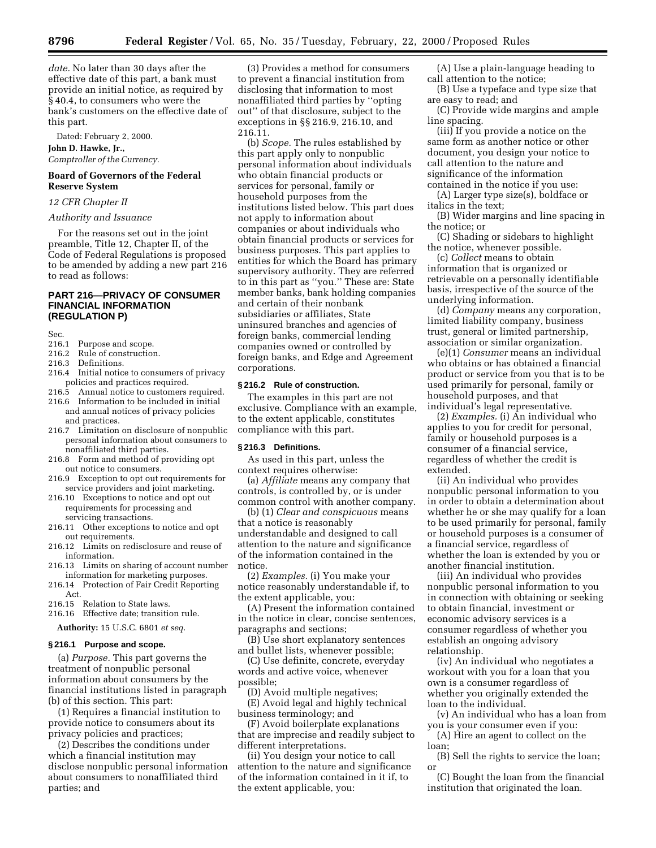*date.* No later than 30 days after the effective date of this part, a bank must provide an initial notice, as required by § 40.4, to consumers who were the bank's customers on the effective date of this part.

Dated: February 2, 2000.

#### **John D. Hawke, Jr.,**

*Comptroller of the Currency.*

#### **Board of Governors of the Federal Reserve System**

#### *12 CFR Chapter II*

#### *Authority and Issuance*

For the reasons set out in the joint preamble, Title 12, Chapter II, of the Code of Federal Regulations is proposed to be amended by adding a new part 216 to read as follows:

#### **PART 216—PRIVACY OF CONSUMER FINANCIAL INFORMATION (REGULATION P)**

- Sec.<br>216.1 216.1 Purpose and scope.<br>216.2 Rule of construction
- Rule of construction.
- 216.3 Definitions.
- 216.4 Initial notice to consumers of privacy policies and practices required.
- 216.5 Annual notice to customers required.
- 216.6 Information to be included in initial and annual notices of privacy policies
- and practices. 216.7 Limitation on disclosure of nonpublic personal information about consumers to
- nonaffiliated third parties. 216.8 Form and method of providing opt out notice to consumers.
- 216.9 Exception to opt out requirements for service providers and joint marketing.
- 216.10 Exceptions to notice and opt out requirements for processing and servicing transactions.
- 216.11 Other exceptions to notice and opt out requirements.
- 216.12 Limits on redisclosure and reuse of information.
- 216.13 Limits on sharing of account number information for marketing purposes.
- 216.14 Protection of Fair Credit Reporting Act.
- 216.15 Relation to State laws.

216.16 Effective date; transition rule. **Authority:** 15 U.S.C. 6801 *et seq.*

#### **§ 216.1 Purpose and scope.**

(a) *Purpose.* This part governs the treatment of nonpublic personal information about consumers by the financial institutions listed in paragraph (b) of this section. This part:

(1) Requires a financial institution to provide notice to consumers about its privacy policies and practices;

(2) Describes the conditions under which a financial institution may disclose nonpublic personal information about consumers to nonaffiliated third parties; and

(3) Provides a method for consumers to prevent a financial institution from disclosing that information to most nonaffiliated third parties by ''opting out'' of that disclosure, subject to the exceptions in §§ 216.9, 216.10, and 216.11.

(b) *Scope.* The rules established by this part apply only to nonpublic personal information about individuals who obtain financial products or services for personal, family or household purposes from the institutions listed below. This part does not apply to information about companies or about individuals who obtain financial products or services for business purposes. This part applies to entities for which the Board has primary supervisory authority. They are referred to in this part as ''you.'' These are: State member banks, bank holding companies and certain of their nonbank subsidiaries or affiliates, State uninsured branches and agencies of foreign banks, commercial lending companies owned or controlled by foreign banks, and Edge and Agreement corporations.

#### **§ 216.2 Rule of construction.**

The examples in this part are not exclusive. Compliance with an example, to the extent applicable, constitutes compliance with this part.

#### **§ 216.3 Definitions.**

As used in this part, unless the context requires otherwise:

(a) *Affiliate* means any company that controls, is controlled by, or is under common control with another company.

(b) (1) *Clear and conspicuous* means that a notice is reasonably understandable and designed to call attention to the nature and significance of the information contained in the notice.

(2) *Examples.* (i) You make your notice reasonably understandable if, to the extent applicable, you:

(A) Present the information contained in the notice in clear, concise sentences, paragraphs and sections;

(B) Use short explanatory sentences and bullet lists, whenever possible;

(C) Use definite, concrete, everyday words and active voice, whenever possible;

(D) Avoid multiple negatives; (E) Avoid legal and highly technical business terminology; and

(F) Avoid boilerplate explanations that are imprecise and readily subject to different interpretations.

(ii) You design your notice to call attention to the nature and significance of the information contained in it if, to the extent applicable, you:

(A) Use a plain-language heading to call attention to the notice;

(B) Use a typeface and type size that are easy to read; and

(C) Provide wide margins and ample line spacing.

(iii) If you provide a notice on the same form as another notice or other document, you design your notice to call attention to the nature and significance of the information contained in the notice if you use:

(A) Larger type size(s), boldface or italics in the text;

(B) Wider margins and line spacing in the notice; or

(C) Shading or sidebars to highlight the notice, whenever possible.

(c) *Collect* means to obtain information that is organized or retrievable on a personally identifiable basis, irrespective of the source of the underlying information.

(d) *Company* means any corporation, limited liability company, business trust, general or limited partnership, association or similar organization.

(e)(1) *Consumer* means an individual who obtains or has obtained a financial product or service from you that is to be used primarily for personal, family or household purposes, and that individual's legal representative.

(2) *Examples.* (i) An individual who applies to you for credit for personal, family or household purposes is a consumer of a financial service, regardless of whether the credit is extended.

(ii) An individual who provides nonpublic personal information to you in order to obtain a determination about whether he or she may qualify for a loan to be used primarily for personal, family or household purposes is a consumer of a financial service, regardless of whether the loan is extended by you or another financial institution.

(iii) An individual who provides nonpublic personal information to you in connection with obtaining or seeking to obtain financial, investment or economic advisory services is a consumer regardless of whether you establish an ongoing advisory relationship.

(iv) An individual who negotiates a workout with you for a loan that you own is a consumer regardless of whether you originally extended the loan to the individual.

(v) An individual who has a loan from you is your consumer even if you:

(A) Hire an agent to collect on the loan;

(B) Sell the rights to service the loan; or

(C) Bought the loan from the financial institution that originated the loan.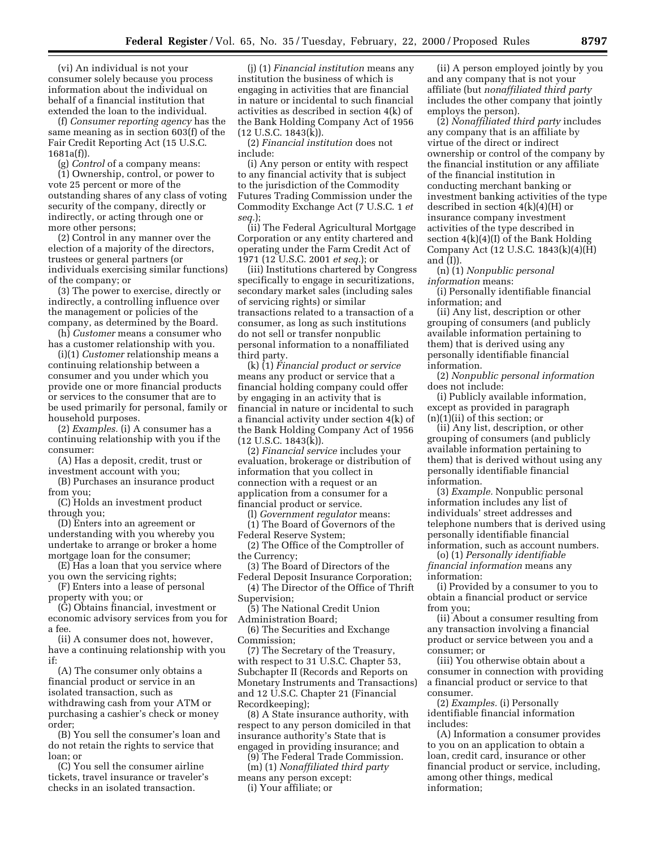(vi) An individual is not your consumer solely because you process information about the individual on behalf of a financial institution that extended the loan to the individual.

(f) *Consumer reporting agency* has the same meaning as in section 603(f) of the Fair Credit Reporting Act (15 U.S.C. 1681a(f)).

(g) *Control* of a company means:

(1) Ownership, control, or power to vote 25 percent or more of the outstanding shares of any class of voting security of the company, directly or indirectly, or acting through one or more other persons;

(2) Control in any manner over the election of a majority of the directors, trustees or general partners (or individuals exercising similar functions) of the company; or

(3) The power to exercise, directly or indirectly, a controlling influence over the management or policies of the company, as determined by the Board.

(h) *Customer* means a consumer who has a customer relationship with you.

(i)(1) *Customer* relationship means a continuing relationship between a consumer and you under which you provide one or more financial products or services to the consumer that are to be used primarily for personal, family or household purposes.

(2) *Examples.* (i) A consumer has a continuing relationship with you if the consumer:

(A) Has a deposit, credit, trust or investment account with you;

(B) Purchases an insurance product from you;

(C) Holds an investment product through you;

(D) Enters into an agreement or understanding with you whereby you undertake to arrange or broker a home mortgage loan for the consumer;

(E) Has a loan that you service where you own the servicing rights;

(F) Enters into a lease of personal property with you; or

(G) Obtains financial, investment or economic advisory services from you for a fee.

(ii) A consumer does not, however, have a continuing relationship with you if:

(A) The consumer only obtains a financial product or service in an isolated transaction, such as withdrawing cash from your ATM or purchasing a cashier's check or money order;

(B) You sell the consumer's loan and do not retain the rights to service that loan; or

(C) You sell the consumer airline tickets, travel insurance or traveler's checks in an isolated transaction.

(j) (1) *Financial institution* means any institution the business of which is engaging in activities that are financial in nature or incidental to such financial activities as described in section 4(k) of the Bank Holding Company Act of 1956 (12 U.S.C. 1843(k)).

(2) *Financial institution* does not include:

(i) Any person or entity with respect to any financial activity that is subject to the jurisdiction of the Commodity Futures Trading Commission under the Commodity Exchange Act (7 U.S.C. 1 *et seq.*);

(ii) The Federal Agricultural Mortgage Corporation or any entity chartered and operating under the Farm Credit Act of 1971 (12 U.S.C. 2001 *et seq.*); or

(iii) Institutions chartered by Congress specifically to engage in securitizations, secondary market sales (including sales of servicing rights) or similar transactions related to a transaction of a consumer, as long as such institutions do not sell or transfer nonpublic personal information to a nonaffiliated third party.

(k) (1) *Financial product or service* means any product or service that a financial holding company could offer by engaging in an activity that is financial in nature or incidental to such a financial activity under section 4(k) of the Bank Holding Company Act of 1956 (12 U.S.C. 1843(k)).

(2) *Financial service* includes your evaluation, brokerage or distribution of information that you collect in connection with a request or an application from a consumer for a financial product or service.

(l) *Government regulator* means:

(1) The Board of Governors of the Federal Reserve System;

(2) The Office of the Comptroller of the Currency;

(3) The Board of Directors of the Federal Deposit Insurance Corporation;

(4) The Director of the Office of Thrift Supervision;

(5) The National Credit Union Administration Board;

(6) The Securities and Exchange Commission;

(7) The Secretary of the Treasury, with respect to 31 U.S.C. Chapter 53, Subchapter II (Records and Reports on Monetary Instruments and Transactions) and 12 U.S.C. Chapter 21 (Financial Recordkeeping);

(8) A State insurance authority, with respect to any person domiciled in that insurance authority's State that is engaged in providing insurance; and

(9) The Federal Trade Commission. (m) (1) *Nonaffiliated third party*

means any person except:

(i) Your affiliate; or

(ii) A person employed jointly by you and any company that is not your affiliate (but *nonaffiliated third party* includes the other company that jointly employs the person).

(2) *Nonaffiliated third party* includes any company that is an affiliate by virtue of the direct or indirect ownership or control of the company by the financial institution or any affiliate of the financial institution in conducting merchant banking or investment banking activities of the type described in section  $4(k)(4)(H)$  or insurance company investment activities of the type described in section 4(k)(4)(I) of the Bank Holding Company Act (12 U.S.C. 1843(k)(4)(H) and (I)).

(n) (1) *Nonpublic personal information* means:

(i) Personally identifiable financial information; and

(ii) Any list, description or other grouping of consumers (and publicly available information pertaining to them) that is derived using any personally identifiable financial information.

(2) *Nonpublic personal information* does not include:

(i) Publicly available information, except as provided in paragraph  $(n)(1)(ii)$  of this section; or

(ii) Any list, description, or other grouping of consumers (and publicly available information pertaining to them) that is derived without using any personally identifiable financial information.

(3) *Example.* Nonpublic personal information includes any list of individuals' street addresses and telephone numbers that is derived using personally identifiable financial information, such as account numbers.

(o) (1) *Personally identifiable financial information* means any information:

(i) Provided by a consumer to you to obtain a financial product or service from you;

(ii) About a consumer resulting from any transaction involving a financial product or service between you and a consumer; or

(iii) You otherwise obtain about a consumer in connection with providing a financial product or service to that consumer.

(2) *Examples.* (i) Personally identifiable financial information includes:

(A) Information a consumer provides to you on an application to obtain a loan, credit card, insurance or other financial product or service, including, among other things, medical information;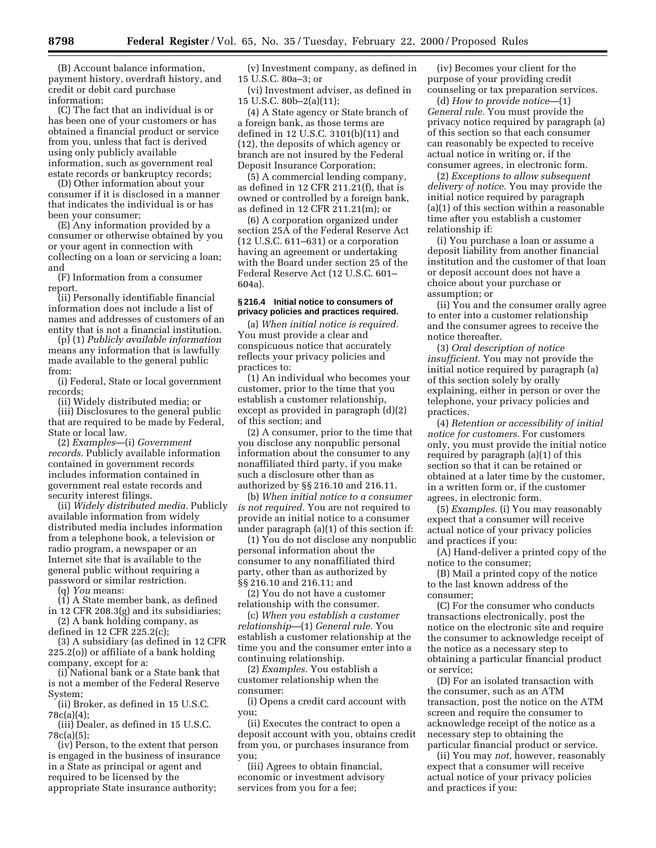(B) Account balance information, payment history, overdraft history, and credit or debit card purchase information;

(C) The fact that an individual is or has been one of your customers or has obtained a financial product or service from you, unless that fact is derived using only publicly available information, such as government real estate records or bankruptcy records;

(D) Other information about your consumer if it is disclosed in a manner that indicates the individual is or has been your consumer;

(E) Any information provided by a consumer or otherwise obtained by you or your agent in connection with collecting on a loan or servicing a loan; and

(F) Information from a consumer report.

(ii) Personally identifiable financial information does not include a list of names and addresses of customers of an entity that is not a financial institution.

(p) (1) *Publicly available information* means any information that is lawfully made available to the general public from:

(i) Federal, State or local government records;

(ii) Widely distributed media; or

(iii) Disclosures to the general public that are required to be made by Federal, State or local law.

(2) *Examples*—(i) *Government records.* Publicly available information contained in government records includes information contained in government real estate records and security interest filings.

(ii) *Widely distributed media.* Publicly available information from widely distributed media includes information from a telephone book, a television or radio program, a newspaper or an Internet site that is available to the general public without requiring a password or similar restriction.

(q) *You* means:

(1) A State member bank, as defined in 12 CFR 208.3(g) and its subsidiaries;

(2) A bank holding company, as defined in 12 CFR 225.2(c);

(3) A subsidiary (as defined in 12 CFR 225.2(o)) or affiliate of a bank holding company, except for a:

(i) National bank or a State bank that is not a member of the Federal Reserve System;

(ii) Broker, as defined in 15 U.S.C. 78c(a)(4);

(iii) Dealer, as defined in 15 U.S.C. 78c(a)(5);

(iv) Person, to the extent that person is engaged in the business of insurance in a State as principal or agent and required to be licensed by the appropriate State insurance authority;

(v) Investment company, as defined in 15 U.S.C. 80a–3; or

(vi) Investment adviser, as defined in 15 U.S.C. 80b–2(a)(11);

(4) A State agency or State branch of a foreign bank, as those terms are defined in 12 U.S.C. 3101(b)(11) and (12), the deposits of which agency or branch are not insured by the Federal Deposit Insurance Corporation;

(5) A commercial lending company, as defined in 12 CFR 211.21(f), that is owned or controlled by a foreign bank, as defined in 12 CFR 211.21(m); or

(6) A corporation organized under section 25A of the Federal Reserve Act (12 U.S.C. 611–631) or a corporation having an agreement or undertaking with the Board under section 25 of the Federal Reserve Act (12 U.S.C. 601– 604a).

#### **§ 216.4 Initial notice to consumers of privacy policies and practices required.**

(a) *When initial notice is required.* You must provide a clear and conspicuous notice that accurately reflects your privacy policies and practices to:

(1) An individual who becomes your customer, prior to the time that you establish a customer relationship, except as provided in paragraph (d)(2) of this section; and

(2) A consumer, prior to the time that you disclose any nonpublic personal information about the consumer to any nonaffiliated third party, if you make such a disclosure other than as authorized by §§ 216.10 and 216.11.

(b) *When initial notice to a consumer is not required.* You are not required to provide an initial notice to a consumer under paragraph (a)(1) of this section if:

(1) You do not disclose any nonpublic personal information about the consumer to any nonaffiliated third party, other than as authorized by §§ 216.10 and 216.11; and

(2) You do not have a customer relationship with the consumer.

(c) *When you establish a customer relationship*—(1) *General rule.* You establish a customer relationship at the time you and the consumer enter into a continuing relationship.

(2) *Examples.* You establish a customer relationship when the consumer:

(i) Opens a credit card account with you;

(ii) Executes the contract to open a deposit account with you, obtains credit from you, or purchases insurance from you;

(iii) Agrees to obtain financial, economic or investment advisory services from you for a fee;

(iv) Becomes your client for the purpose of your providing credit counseling or tax preparation services.

(d) *How to provide notice*—(1) *General rule.* You must provide the privacy notice required by paragraph (a) of this section so that each consumer can reasonably be expected to receive actual notice in writing or, if the consumer agrees, in electronic form.

(2) *Exceptions to allow subsequent delivery of notice.* You may provide the initial notice required by paragraph (a)(1) of this section within a reasonable time after you establish a customer relationship if:

(i) You purchase a loan or assume a deposit liability from another financial institution and the customer of that loan or deposit account does not have a choice about your purchase or assumption; or

(ii) You and the consumer orally agree to enter into a customer relationship and the consumer agrees to receive the notice thereafter.

(3) *Oral description of notice insufficient.* You may not provide the initial notice required by paragraph (a) of this section solely by orally explaining, either in person or over the telephone, your privacy policies and practices.

(4) *Retention or accessibility of initial notice for customers.* For customers only, you must provide the initial notice required by paragraph (a)(1) of this section so that it can be retained or obtained at a later time by the customer, in a written form or, if the customer agrees, in electronic form.

(5) *Examples.* (i) You may reasonably expect that a consumer will receive actual notice of your privacy policies and practices if you:

(A) Hand-deliver a printed copy of the notice to the consumer;

(B) Mail a printed copy of the notice to the last known address of the consumer;

(C) For the consumer who conducts transactions electronically, post the notice on the electronic site and require the consumer to acknowledge receipt of the notice as a necessary step to obtaining a particular financial product or service;

(D) For an isolated transaction with the consumer, such as an ATM transaction, post the notice on the ATM screen and require the consumer to acknowledge receipt of the notice as a necessary step to obtaining the particular financial product or service.

(ii) You may *not,* however, reasonably expect that a consumer will receive actual notice of your privacy policies and practices if you: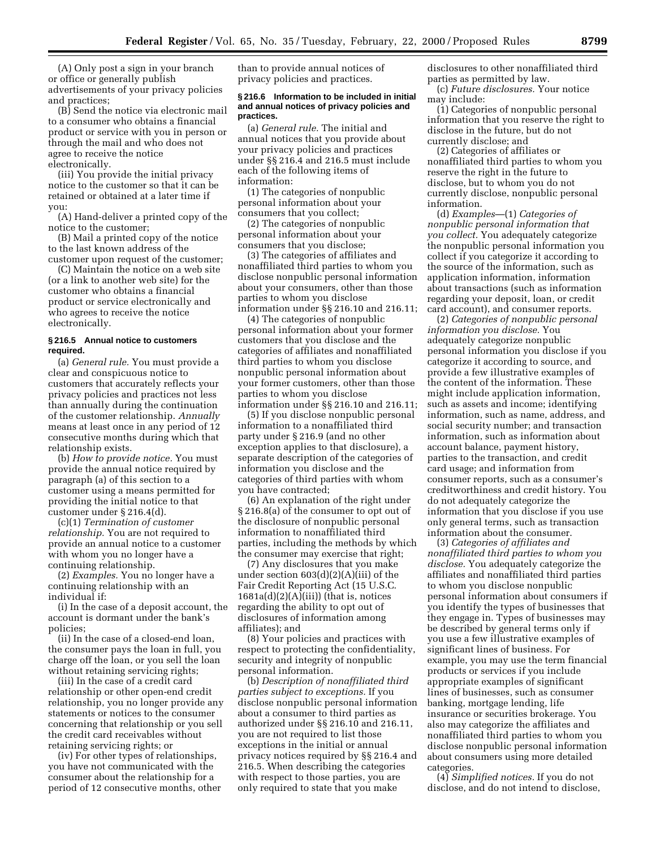(A) Only post a sign in your branch or office or generally publish advertisements of your privacy policies and practices;

(B) Send the notice via electronic mail to a consumer who obtains a financial product or service with you in person or through the mail and who does not agree to receive the notice electronically.

(iii) You provide the initial privacy notice to the customer so that it can be retained or obtained at a later time if you:

(A) Hand-deliver a printed copy of the notice to the customer;

(B) Mail a printed copy of the notice to the last known address of the customer upon request of the customer;

(C) Maintain the notice on a web site (or a link to another web site) for the customer who obtains a financial product or service electronically and who agrees to receive the notice electronically.

#### **§ 216.5 Annual notice to customers required.**

(a) *General rule.* You must provide a clear and conspicuous notice to customers that accurately reflects your privacy policies and practices not less than annually during the continuation of the customer relationship. *Annually* means at least once in any period of 12 consecutive months during which that relationship exists.

(b) *How to provide notice.* You must provide the annual notice required by paragraph (a) of this section to a customer using a means permitted for providing the initial notice to that customer under § 216.4(d).

(c)(1) *Termination of customer relationship.* You are not required to provide an annual notice to a customer with whom you no longer have a continuing relationship.

(2) *Examples.* You no longer have a continuing relationship with an individual if:

(i) In the case of a deposit account, the account is dormant under the bank's policies;

(ii) In the case of a closed-end loan, the consumer pays the loan in full, you charge off the loan, or you sell the loan without retaining servicing rights;

(iii) In the case of a credit card relationship or other open-end credit relationship, you no longer provide any statements or notices to the consumer concerning that relationship or you sell the credit card receivables without retaining servicing rights; or

(iv) For other types of relationships, you have not communicated with the consumer about the relationship for a period of 12 consecutive months, other than to provide annual notices of privacy policies and practices.

#### **§ 216.6 Information to be included in initial and annual notices of privacy policies and practices.**

(a) *General rule.* The initial and annual notices that you provide about your privacy policies and practices under §§ 216.4 and 216.5 must include each of the following items of information:

(1) The categories of nonpublic personal information about your consumers that you collect;

(2) The categories of nonpublic personal information about your consumers that you disclose;

(3) The categories of affiliates and nonaffiliated third parties to whom you disclose nonpublic personal information about your consumers, other than those parties to whom you disclose information under §§ 216.10 and 216.11;

(4) The categories of nonpublic personal information about your former customers that you disclose and the categories of affiliates and nonaffiliated third parties to whom you disclose nonpublic personal information about your former customers, other than those parties to whom you disclose information under §§ 216.10 and 216.11;

(5) If you disclose nonpublic personal information to a nonaffiliated third party under § 216.9 (and no other exception applies to that disclosure), a separate description of the categories of information you disclose and the categories of third parties with whom you have contracted;

(6) An explanation of the right under § 216.8(a) of the consumer to opt out of the disclosure of nonpublic personal information to nonaffiliated third parties, including the methods by which the consumer may exercise that right;

(7) Any disclosures that you make under section 603(d)(2)(A)(iii) of the Fair Credit Reporting Act (15 U.S.C.  $1681a(d)(2)(A(iii))$  (that is, notices regarding the ability to opt out of disclosures of information among affiliates); and

(8) Your policies and practices with respect to protecting the confidentiality, security and integrity of nonpublic personal information.

(b) *Description of nonaffiliated third parties subject to exceptions.* If you disclose nonpublic personal information about a consumer to third parties as authorized under §§ 216.10 and 216.11, you are not required to list those exceptions in the initial or annual privacy notices required by §§ 216.4 and 216.5. When describing the categories with respect to those parties, you are only required to state that you make

disclosures to other nonaffiliated third parties as permitted by law.

(c) *Future disclosures.* Your notice may include:

(1) Categories of nonpublic personal information that you reserve the right to disclose in the future, but do not currently disclose; and

(2) Categories of affiliates or nonaffiliated third parties to whom you reserve the right in the future to disclose, but to whom you do not currently disclose, nonpublic personal information.

(d) *Examples*—(1) *Categories of nonpublic personal information that you collect.* You adequately categorize the nonpublic personal information you collect if you categorize it according to the source of the information, such as application information, information about transactions (such as information regarding your deposit, loan, or credit card account), and consumer reports.

(2) *Categories of nonpublic personal information you disclose.* You adequately categorize nonpublic personal information you disclose if you categorize it according to source, and provide a few illustrative examples of the content of the information. These might include application information, such as assets and income; identifying information, such as name, address, and social security number; and transaction information, such as information about account balance, payment history, parties to the transaction, and credit card usage; and information from consumer reports, such as a consumer's creditworthiness and credit history. You do not adequately categorize the information that you disclose if you use only general terms, such as transaction information about the consumer.

(3) *Categories of affiliates and nonaffiliated third parties to whom you disclose.* You adequately categorize the affiliates and nonaffiliated third parties to whom you disclose nonpublic personal information about consumers if you identify the types of businesses that they engage in. Types of businesses may be described by general terms only if you use a few illustrative examples of significant lines of business. For example, you may use the term financial products or services if you include appropriate examples of significant lines of businesses, such as consumer banking, mortgage lending, life insurance or securities brokerage. You also may categorize the affiliates and nonaffiliated third parties to whom you disclose nonpublic personal information about consumers using more detailed categories.

(4) *Simplified notices.* If you do not disclose, and do not intend to disclose,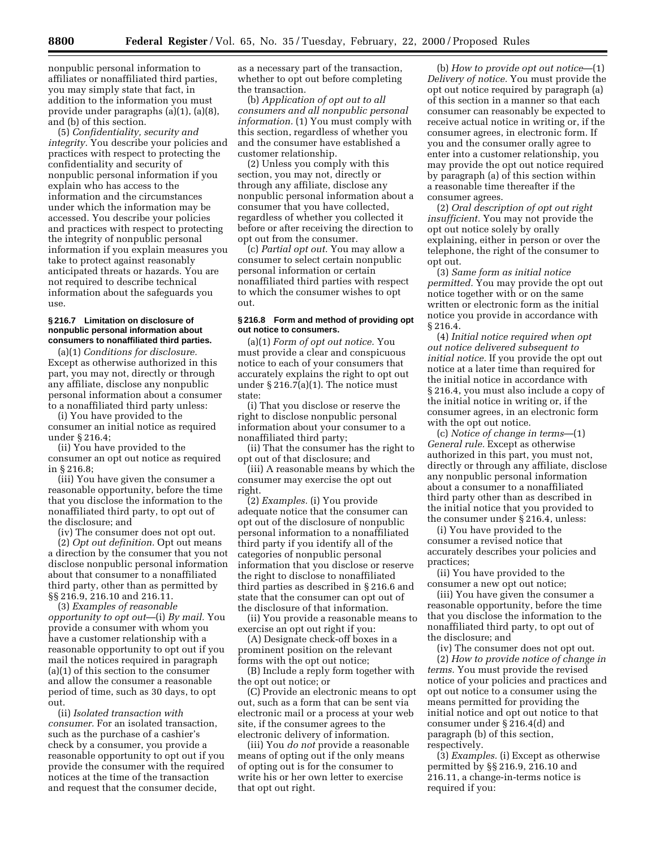nonpublic personal information to affiliates or nonaffiliated third parties, you may simply state that fact, in addition to the information you must provide under paragraphs (a)(1), (a)(8), and (b) of this section.

(5) *Confidentiality, security and integrity.* You describe your policies and practices with respect to protecting the confidentiality and security of nonpublic personal information if you explain who has access to the information and the circumstances under which the information may be accessed. You describe your policies and practices with respect to protecting the integrity of nonpublic personal information if you explain measures you take to protect against reasonably anticipated threats or hazards. You are not required to describe technical information about the safeguards you use.

#### **§ 216.7 Limitation on disclosure of nonpublic personal information about consumers to nonaffiliated third parties.**

(a)(1) *Conditions for disclosure.* Except as otherwise authorized in this part, you may not, directly or through any affiliate, disclose any nonpublic personal information about a consumer to a nonaffiliated third party unless:

(i) You have provided to the consumer an initial notice as required under § 216.4;

(ii) You have provided to the consumer an opt out notice as required in § 216.8;

(iii) You have given the consumer a reasonable opportunity, before the time that you disclose the information to the nonaffiliated third party, to opt out of the disclosure; and

(iv) The consumer does not opt out.

(2) *Opt out definition.* Opt out means a direction by the consumer that you not disclose nonpublic personal information about that consumer to a nonaffiliated third party, other than as permitted by §§ 216.9, 216.10 and 216.11.

(3) *Examples of reasonable opportunity to opt out*—(i) *By mail.* You provide a consumer with whom you have a customer relationship with a reasonable opportunity to opt out if you mail the notices required in paragraph (a)(1) of this section to the consumer and allow the consumer a reasonable period of time, such as 30 days, to opt out.

(ii) *Isolated transaction with consumer.* For an isolated transaction, such as the purchase of a cashier's check by a consumer, you provide a reasonable opportunity to opt out if you provide the consumer with the required notices at the time of the transaction and request that the consumer decide,

as a necessary part of the transaction, whether to opt out before completing the transaction.

(b) *Application of opt out to all consumers and all nonpublic personal information.* (1) You must comply with this section, regardless of whether you and the consumer have established a customer relationship.

(2) Unless you comply with this section, you may not, directly or through any affiliate, disclose any nonpublic personal information about a consumer that you have collected, regardless of whether you collected it before or after receiving the direction to opt out from the consumer.

(c) *Partial opt out.* You may allow a consumer to select certain nonpublic personal information or certain nonaffiliated third parties with respect to which the consumer wishes to opt out.

#### **§ 216.8 Form and method of providing opt out notice to consumers.**

(a)(1) *Form of opt out notice.* You must provide a clear and conspicuous notice to each of your consumers that accurately explains the right to opt out under  $\S 216.7(a)(1)$ . The notice must state:

(i) That you disclose or reserve the right to disclose nonpublic personal information about your consumer to a nonaffiliated third party;

(ii) That the consumer has the right to opt out of that disclosure; and

(iii) A reasonable means by which the consumer may exercise the opt out right.

(2) *Examples.* (i) You provide adequate notice that the consumer can opt out of the disclosure of nonpublic personal information to a nonaffiliated third party if you identify all of the categories of nonpublic personal information that you disclose or reserve the right to disclose to nonaffiliated third parties as described in § 216.6 and state that the consumer can opt out of the disclosure of that information.

(ii) You provide a reasonable means to exercise an opt out right if you:

(A) Designate check-off boxes in a prominent position on the relevant forms with the opt out notice;

(B) Include a reply form together with the opt out notice; or

(C) Provide an electronic means to opt out, such as a form that can be sent via electronic mail or a process at your web site, if the consumer agrees to the electronic delivery of information.

(iii) You *do not* provide a reasonable means of opting out if the only means of opting out is for the consumer to write his or her own letter to exercise that opt out right.

(b) *How to provide opt out notice*—(1) *Delivery of notice.* You must provide the opt out notice required by paragraph (a) of this section in a manner so that each consumer can reasonably be expected to receive actual notice in writing or, if the consumer agrees, in electronic form. If you and the consumer orally agree to enter into a customer relationship, you may provide the opt out notice required by paragraph (a) of this section within a reasonable time thereafter if the consumer agrees.

(2) *Oral description of opt out right insufficient.* You may not provide the opt out notice solely by orally explaining, either in person or over the telephone, the right of the consumer to opt out.

(3) *Same form as initial notice permitted.* You may provide the opt out notice together with or on the same written or electronic form as the initial notice you provide in accordance with § 216.4.

(4) *Initial notice required when opt out notice delivered subsequent to initial notice.* If you provide the opt out notice at a later time than required for the initial notice in accordance with § 216.4, you must also include a copy of the initial notice in writing or, if the consumer agrees, in an electronic form with the opt out notice.

(c) *Notice of change in terms*—(1) *General rule.* Except as otherwise authorized in this part, you must not, directly or through any affiliate, disclose any nonpublic personal information about a consumer to a nonaffiliated third party other than as described in the initial notice that you provided to the consumer under § 216.4, unless:

(i) You have provided to the consumer a revised notice that accurately describes your policies and practices;

(ii) You have provided to the consumer a new opt out notice;

(iii) You have given the consumer a reasonable opportunity, before the time that you disclose the information to the nonaffiliated third party, to opt out of the disclosure; and

(iv) The consumer does not opt out. (2) *How to provide notice of change in terms.* You must provide the revised notice of your policies and practices and opt out notice to a consumer using the means permitted for providing the initial notice and opt out notice to that consumer under § 216.4(d) and paragraph (b) of this section, respectively.

(3) *Examples.* (i) Except as otherwise permitted by §§ 216.9, 216.10 and 216.11, a change-in-terms notice is required if you: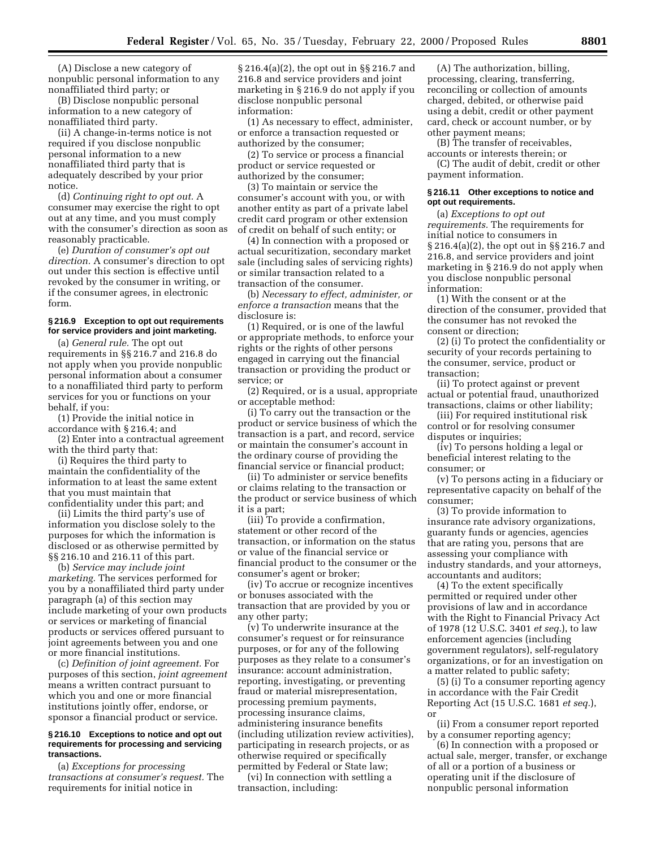(A) Disclose a new category of nonpublic personal information to any nonaffiliated third party; or

(B) Disclose nonpublic personal information to a new category of nonaffiliated third party.

(ii) A change-in-terms notice is not required if you disclose nonpublic personal information to a new nonaffiliated third party that is adequately described by your prior notice.

(d) *Continuing right to opt out.* A consumer may exercise the right to opt out at any time, and you must comply with the consumer's direction as soon as reasonably practicable.

(e) *Duration of consumer's opt out direction.* A consumer's direction to opt out under this section is effective until revoked by the consumer in writing, or if the consumer agrees, in electronic form.

#### **§ 216.9 Exception to opt out requirements for service providers and joint marketing.**

(a) *General rule.* The opt out requirements in §§ 216.7 and 216.8 do not apply when you provide nonpublic personal information about a consumer to a nonaffiliated third party to perform services for you or functions on your behalf, if you:

(1) Provide the initial notice in accordance with § 216.4; and

(2) Enter into a contractual agreement with the third party that:

(i) Requires the third party to maintain the confidentiality of the information to at least the same extent that you must maintain that confidentiality under this part; and

(ii) Limits the third party's use of information you disclose solely to the purposes for which the information is disclosed or as otherwise permitted by §§ 216.10 and 216.11 of this part.

(b) *Service may include joint marketing.* The services performed for you by a nonaffiliated third party under paragraph (a) of this section may include marketing of your own products or services or marketing of financial products or services offered pursuant to joint agreements between you and one or more financial institutions.

(c) *Definition of joint agreement.* For purposes of this section, *joint agreement* means a written contract pursuant to which you and one or more financial institutions jointly offer, endorse, or sponsor a financial product or service.

#### **§ 216.10 Exceptions to notice and opt out requirements for processing and servicing transactions.**

(a) *Exceptions for processing transactions at consumer's request.* The requirements for initial notice in

§ 216.4(a)(2), the opt out in §§ 216.7 and 216.8 and service providers and joint marketing in § 216.9 do not apply if you disclose nonpublic personal information:

(1) As necessary to effect, administer, or enforce a transaction requested or authorized by the consumer;

(2) To service or process a financial product or service requested or authorized by the consumer;

(3) To maintain or service the consumer's account with you, or with another entity as part of a private label credit card program or other extension of credit on behalf of such entity; or

(4) In connection with a proposed or actual securitization, secondary market sale (including sales of servicing rights) or similar transaction related to a transaction of the consumer.

(b) *Necessary to effect, administer, or enforce a transaction* means that the disclosure is:

(1) Required, or is one of the lawful or appropriate methods, to enforce your rights or the rights of other persons engaged in carrying out the financial transaction or providing the product or service; or

(2) Required, or is a usual, appropriate or acceptable method:

(i) To carry out the transaction or the product or service business of which the transaction is a part, and record, service or maintain the consumer's account in the ordinary course of providing the financial service or financial product;

(ii) To administer or service benefits or claims relating to the transaction or the product or service business of which it is a part;

(iii) To provide a confirmation, statement or other record of the transaction, or information on the status or value of the financial service or financial product to the consumer or the consumer's agent or broker;

(iv) To accrue or recognize incentives or bonuses associated with the transaction that are provided by you or any other party;

(v) To underwrite insurance at the consumer's request or for reinsurance purposes, or for any of the following purposes as they relate to a consumer's insurance: account administration, reporting, investigating, or preventing fraud or material misrepresentation, processing premium payments, processing insurance claims, administering insurance benefits (including utilization review activities), participating in research projects, or as otherwise required or specifically permitted by Federal or State law;

(vi) In connection with settling a transaction, including:

(A) The authorization, billing, processing, clearing, transferring, reconciling or collection of amounts charged, debited, or otherwise paid using a debit, credit or other payment card, check or account number, or by other payment means;

(B) The transfer of receivables, accounts or interests therein; or

(C) The audit of debit, credit or other payment information.

#### **§ 216.11 Other exceptions to notice and opt out requirements.**

(a) *Exceptions to opt out requirements.* The requirements for initial notice to consumers in § 216.4(a)(2), the opt out in §§ 216.7 and 216.8, and service providers and joint marketing in § 216.9 do not apply when you disclose nonpublic personal information:

(1) With the consent or at the direction of the consumer, provided that the consumer has not revoked the consent or direction;

(2) (i) To protect the confidentiality or security of your records pertaining to the consumer, service, product or transaction;

(ii) To protect against or prevent actual or potential fraud, unauthorized transactions, claims or other liability;

(iii) For required institutional risk control or for resolving consumer disputes or inquiries;

(iv) To persons holding a legal or beneficial interest relating to the consumer; or

(v) To persons acting in a fiduciary or representative capacity on behalf of the consumer;

(3) To provide information to insurance rate advisory organizations, guaranty funds or agencies, agencies that are rating you, persons that are assessing your compliance with industry standards, and your attorneys, accountants and auditors;

(4) To the extent specifically permitted or required under other provisions of law and in accordance with the Right to Financial Privacy Act of 1978 (12 U.S.C. 3401 *et seq.*), to law enforcement agencies (including government regulators), self-regulatory organizations, or for an investigation on a matter related to public safety;

(5) (i) To a consumer reporting agency in accordance with the Fair Credit Reporting Act (15 U.S.C. 1681 *et seq.*), or

(ii) From a consumer report reported by a consumer reporting agency;

(6) In connection with a proposed or actual sale, merger, transfer, or exchange of all or a portion of a business or operating unit if the disclosure of nonpublic personal information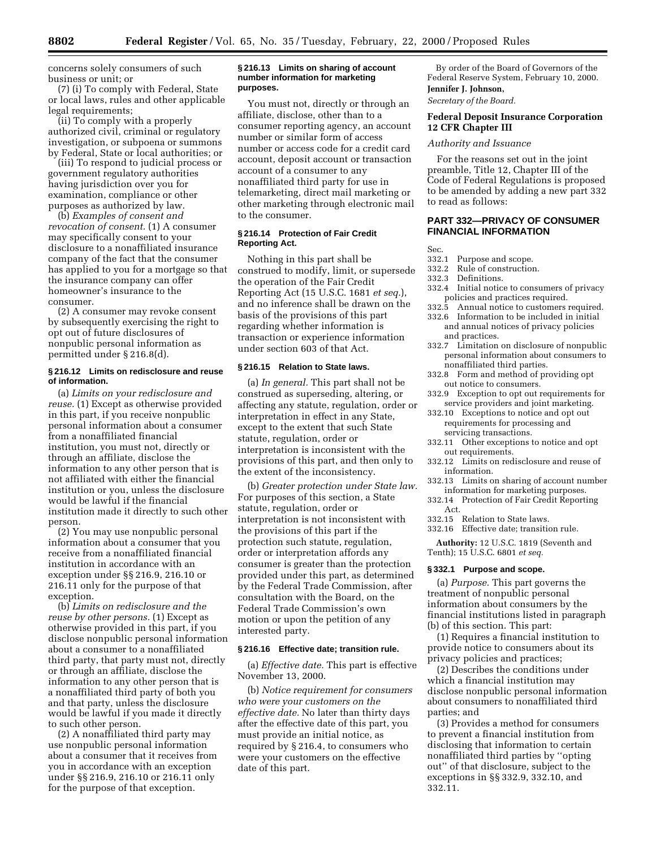concerns solely consumers of such business or unit; or

(7) (i) To comply with Federal, State or local laws, rules and other applicable legal requirements;

(ii) To comply with a properly authorized civil, criminal or regulatory investigation, or subpoena or summons by Federal, State or local authorities; or

(iii) To respond to judicial process or government regulatory authorities having jurisdiction over you for examination, compliance or other purposes as authorized by law.

(b) *Examples of consent and revocation of consent.* (1) A consumer may specifically consent to your disclosure to a nonaffiliated insurance company of the fact that the consumer has applied to you for a mortgage so that the insurance company can offer homeowner's insurance to the consumer.

(2) A consumer may revoke consent by subsequently exercising the right to opt out of future disclosures of nonpublic personal information as permitted under § 216.8(d).

#### **§ 216.12 Limits on redisclosure and reuse of information.**

(a) *Limits on your redisclosure and reuse.* (1) Except as otherwise provided in this part, if you receive nonpublic personal information about a consumer from a nonaffiliated financial institution, you must not, directly or through an affiliate, disclose the information to any other person that is not affiliated with either the financial institution or you, unless the disclosure would be lawful if the financial institution made it directly to such other person.

(2) You may use nonpublic personal information about a consumer that you receive from a nonaffiliated financial institution in accordance with an exception under §§ 216.9, 216.10 or 216.11 only for the purpose of that exception.

(b) *Limits on redisclosure and the reuse by other persons.* (1) Except as otherwise provided in this part, if you disclose nonpublic personal information about a consumer to a nonaffiliated third party, that party must not, directly or through an affiliate, disclose the information to any other person that is a nonaffiliated third party of both you and that party, unless the disclosure would be lawful if you made it directly to such other person.

(2) A nonaffiliated third party may use nonpublic personal information about a consumer that it receives from you in accordance with an exception under §§ 216.9, 216.10 or 216.11 only for the purpose of that exception.

#### **§ 216.13 Limits on sharing of account number information for marketing purposes.**

You must not, directly or through an affiliate, disclose, other than to a consumer reporting agency, an account number or similar form of access number or access code for a credit card account, deposit account or transaction account of a consumer to any nonaffiliated third party for use in telemarketing, direct mail marketing or other marketing through electronic mail to the consumer.

#### **§ 216.14 Protection of Fair Credit Reporting Act.**

Nothing in this part shall be construed to modify, limit, or supersede the operation of the Fair Credit Reporting Act (15 U.S.C. 1681 *et seq.*), and no inference shall be drawn on the basis of the provisions of this part regarding whether information is transaction or experience information under section 603 of that Act.

#### **§ 216.15 Relation to State laws.**

(a) *In general.* This part shall not be construed as superseding, altering, or affecting any statute, regulation, order or interpretation in effect in any State, except to the extent that such State statute, regulation, order or interpretation is inconsistent with the provisions of this part, and then only to the extent of the inconsistency.

(b) *Greater protection under State law.* For purposes of this section, a State statute, regulation, order or interpretation is not inconsistent with the provisions of this part if the protection such statute, regulation, order or interpretation affords any consumer is greater than the protection provided under this part, as determined by the Federal Trade Commission, after consultation with the Board, on the Federal Trade Commission's own motion or upon the petition of any interested party.

#### **§ 216.16 Effective date; transition rule.**

(a) *Effective date.* This part is effective November 13, 2000.

(b) *Notice requirement for consumers who were your customers on the effective date.* No later than thirty days after the effective date of this part, you must provide an initial notice, as required by § 216.4, to consumers who were your customers on the effective date of this part.

By order of the Board of Governors of the Federal Reserve System, February 10, 2000. **Jennifer J. Johnson,**

*Secretary of the Board.*

#### **Federal Deposit Insurance Corporation 12 CFR Chapter III**

#### *Authority and Issuance*

For the reasons set out in the joint preamble, Title 12, Chapter III of the Code of Federal Regulations is proposed to be amended by adding a new part 332 to read as follows:

#### **PART 332—PRIVACY OF CONSUMER FINANCIAL INFORMATION**

Sec.

- 332.1 Purpose and scope.
- 332.2 Rule of construction.
- 332.3 Definitions.
- 332.4 Initial notice to consumers of privacy policies and practices required.
- 332.5 Annual notice to customers required.
- Information to be included in initial and annual notices of privacy policies and practices.
- 332.7 Limitation on disclosure of nonpublic personal information about consumers to nonaffiliated third parties.
- 332.8 Form and method of providing opt out notice to consumers.
- 332.9 Exception to opt out requirements for service providers and joint marketing.
- 332.10 Exceptions to notice and opt out requirements for processing and servicing transactions.
- 332.11 Other exceptions to notice and opt out requirements.
- 332.12 Limits on redisclosure and reuse of information.
- 332.13 Limits on sharing of account number information for marketing purposes.
- 332.14 Protection of Fair Credit Reporting Act.
- 332.15 Relation to State laws.
- 332.16 Effective date; transition rule.

**Authority:** 12 U.S.C. 1819 (Seventh and Tenth); 15 U.S.C. 6801 *et seq.*

#### **§ 332.1 Purpose and scope.**

(a) *Purpose.* This part governs the treatment of nonpublic personal information about consumers by the financial institutions listed in paragraph (b) of this section. This part:

(1) Requires a financial institution to provide notice to consumers about its privacy policies and practices;

(2) Describes the conditions under which a financial institution may disclose nonpublic personal information about consumers to nonaffiliated third parties; and

(3) Provides a method for consumers to prevent a financial institution from disclosing that information to certain nonaffiliated third parties by ''opting out'' of that disclosure, subject to the exceptions in §§ 332.9, 332.10, and 332.11.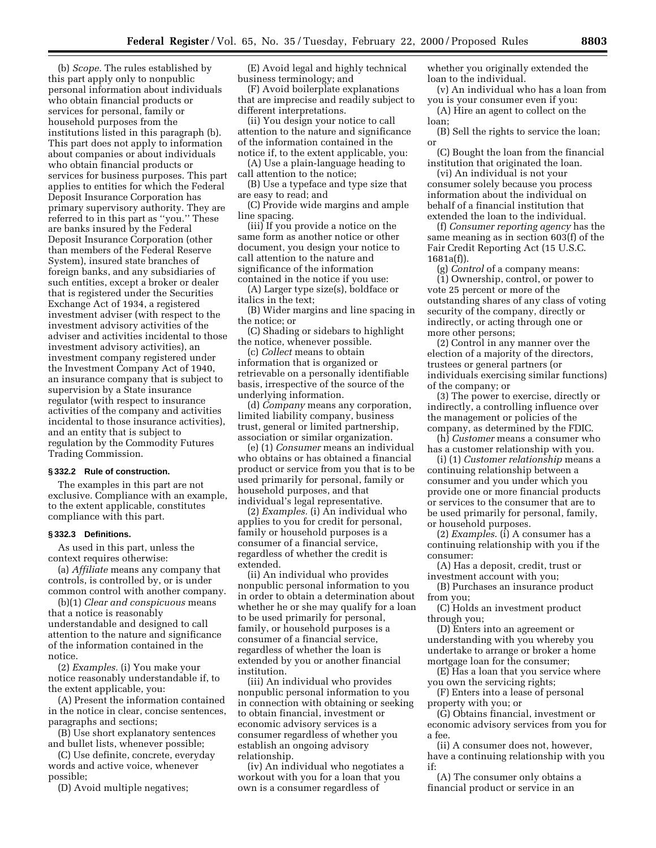(b) *Scope.* The rules established by this part apply only to nonpublic personal information about individuals who obtain financial products or services for personal, family or household purposes from the institutions listed in this paragraph (b). This part does not apply to information about companies or about individuals who obtain financial products or services for business purposes. This part applies to entities for which the Federal Deposit Insurance Corporation has primary supervisory authority. They are referred to in this part as ''you.'' These are banks insured by the Federal Deposit Insurance Corporation (other than members of the Federal Reserve System), insured state branches of foreign banks, and any subsidiaries of such entities, except a broker or dealer that is registered under the Securities Exchange Act of 1934, a registered investment adviser (with respect to the investment advisory activities of the adviser and activities incidental to those investment advisory activities), an investment company registered under the Investment Company Act of 1940, an insurance company that is subject to supervision by a State insurance regulator (with respect to insurance activities of the company and activities incidental to those insurance activities), and an entity that is subject to regulation by the Commodity Futures Trading Commission.

#### **§ 332.2 Rule of construction.**

The examples in this part are not exclusive. Compliance with an example, to the extent applicable, constitutes compliance with this part.

#### **§ 332.3 Definitions.**

As used in this part, unless the context requires otherwise:

(a) *Affiliate* means any company that controls, is controlled by, or is under common control with another company.

(b)(1) *Clear and conspicuous* means that a notice is reasonably understandable and designed to call attention to the nature and significance of the information contained in the notice.

(2) *Examples.* (i) You make your notice reasonably understandable if, to the extent applicable, you:

(A) Present the information contained in the notice in clear, concise sentences, paragraphs and sections;

(B) Use short explanatory sentences and bullet lists, whenever possible;

(C) Use definite, concrete, everyday words and active voice, whenever possible;

(D) Avoid multiple negatives;

(E) Avoid legal and highly technical business terminology; and

(F) Avoid boilerplate explanations that are imprecise and readily subject to different interpretations.

(ii) You design your notice to call attention to the nature and significance of the information contained in the notice if, to the extent applicable, you:

(A) Use a plain-language heading to call attention to the notice;

(B) Use a typeface and type size that are easy to read; and

(C) Provide wide margins and ample line spacing.

(iii) If you provide a notice on the same form as another notice or other document, you design your notice to call attention to the nature and significance of the information contained in the notice if you use:

(A) Larger type size(s), boldface or italics in the text;

(B) Wider margins and line spacing in the notice; or

(C) Shading or sidebars to highlight the notice, whenever possible.

(c) *Collect* means to obtain information that is organized or retrievable on a personally identifiable basis, irrespective of the source of the underlying information.

(d) *Company* means any corporation, limited liability company, business trust, general or limited partnership, association or similar organization.

(e) (1) *Consumer* means an individual who obtains or has obtained a financial product or service from you that is to be used primarily for personal, family or household purposes, and that individual's legal representative.

(2) *Examples.* (i) An individual who applies to you for credit for personal, family or household purposes is a consumer of a financial service, regardless of whether the credit is extended.

(ii) An individual who provides nonpublic personal information to you in order to obtain a determination about whether he or she may qualify for a loan to be used primarily for personal, family, or household purposes is a consumer of a financial service, regardless of whether the loan is extended by you or another financial institution.

(iii) An individual who provides nonpublic personal information to you in connection with obtaining or seeking to obtain financial, investment or economic advisory services is a consumer regardless of whether you establish an ongoing advisory relationship.

(iv) An individual who negotiates a workout with you for a loan that you own is a consumer regardless of

whether you originally extended the loan to the individual.

(v) An individual who has a loan from you is your consumer even if you:

(A) Hire an agent to collect on the loan;

(B) Sell the rights to service the loan; or

(C) Bought the loan from the financial institution that originated the loan.

(vi) An individual is not your consumer solely because you process information about the individual on behalf of a financial institution that extended the loan to the individual.

(f) *Consumer reporting agency* has the same meaning as in section 603(f) of the Fair Credit Reporting Act (15 U.S.C. 1681a(f)).

(g) *Control* of a company means: (1) Ownership, control, or power to vote 25 percent or more of the outstanding shares of any class of voting security of the company, directly or indirectly, or acting through one or more other persons;

(2) Control in any manner over the election of a majority of the directors, trustees or general partners (or individuals exercising similar functions) of the company; or

(3) The power to exercise, directly or indirectly, a controlling influence over the management or policies of the company, as determined by the FDIC.

(h) *Customer* means a consumer who has a customer relationship with you.

(i) (1) *Customer relationship* means a continuing relationship between a consumer and you under which you provide one or more financial products or services to the consumer that are to be used primarily for personal, family, or household purposes.

(2) *Examples*. (i) A consumer has a continuing relationship with you if the consumer:

(A) Has a deposit, credit, trust or investment account with you;

(B) Purchases an insurance product from you;

(C) Holds an investment product through you;

(D) Enters into an agreement or understanding with you whereby you undertake to arrange or broker a home mortgage loan for the consumer;

(E) Has a loan that you service where you own the servicing rights;

(F) Enters into a lease of personal property with you; or

(G) Obtains financial, investment or economic advisory services from you for a fee.

(ii) A consumer does not, however, have a continuing relationship with you if:

(A) The consumer only obtains a financial product or service in an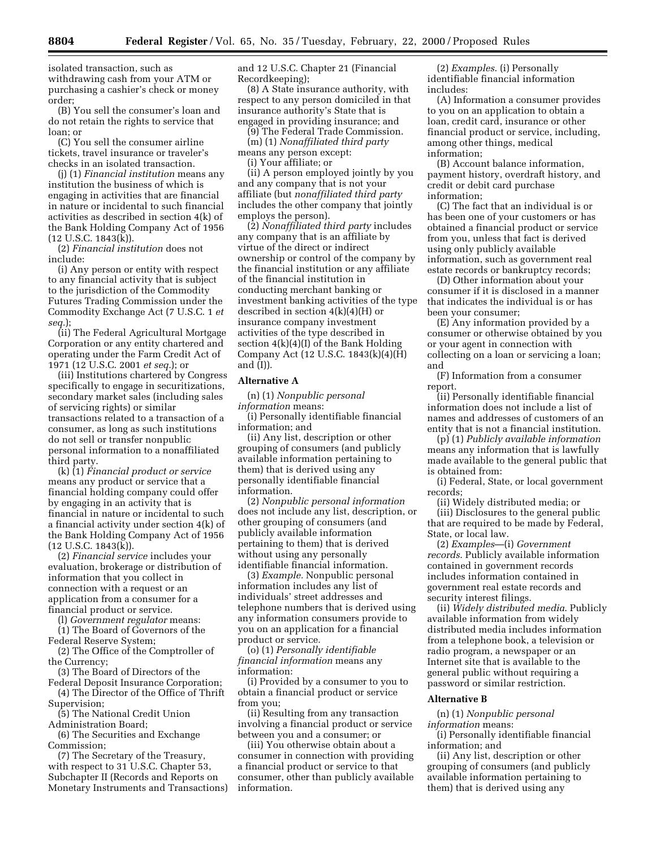isolated transaction, such as withdrawing cash from your ATM or purchasing a cashier's check or money order;

(B) You sell the consumer's loan and do not retain the rights to service that loan; or

(C) You sell the consumer airline tickets, travel insurance or traveler's checks in an isolated transaction.

(j) (1) *Financial institution* means any institution the business of which is engaging in activities that are financial in nature or incidental to such financial activities as described in section 4(k) of the Bank Holding Company Act of 1956 (12 U.S.C. 1843(k)).

(2) *Financial institution* does not include:

(i) Any person or entity with respect to any financial activity that is subject to the jurisdiction of the Commodity Futures Trading Commission under the Commodity Exchange Act (7 U.S.C. 1 *et seq.*);

(ii) The Federal Agricultural Mortgage Corporation or any entity chartered and operating under the Farm Credit Act of 1971 (12 U.S.C. 2001 *et seq.*); or

(iii) Institutions chartered by Congress specifically to engage in securitizations, secondary market sales (including sales of servicing rights) or similar transactions related to a transaction of a consumer, as long as such institutions do not sell or transfer nonpublic personal information to a nonaffiliated third party.

(k) (1) *Financial product or service* means any product or service that a financial holding company could offer by engaging in an activity that is financial in nature or incidental to such a financial activity under section 4(k) of the Bank Holding Company Act of 1956 (12 U.S.C. 1843(k)).

(2) *Financial service* includes your evaluation, brokerage or distribution of information that you collect in connection with a request or an application from a consumer for a financial product or service.

(l) *Government regulator* means:

(1) The Board of Governors of the Federal Reserve System;

(2) The Office of the Comptroller of the Currency;

(3) The Board of Directors of the

Federal Deposit Insurance Corporation; (4) The Director of the Office of Thrift Supervision;

(5) The National Credit Union Administration Board;

(6) The Securities and Exchange Commission;

(7) The Secretary of the Treasury, with respect to 31 U.S.C. Chapter 53, Subchapter II (Records and Reports on Monetary Instruments and Transactions) and 12 U.S.C. Chapter 21 (Financial Recordkeeping);

(8) A State insurance authority, with respect to any person domiciled in that insurance authority's State that is engaged in providing insurance; and

(9) The Federal Trade Commission.

(m) (1) *Nonaffiliated third party* means any person except:

(i) Your affiliate; or

(ii) A person employed jointly by you and any company that is not your affiliate (but *nonaffiliated third party* includes the other company that jointly employs the person).

(2) *Nonaffiliated third party* includes any company that is an affiliate by virtue of the direct or indirect ownership or control of the company by the financial institution or any affiliate of the financial institution in conducting merchant banking or investment banking activities of the type described in section  $4(k)(4)(H)$  or insurance company investment activities of the type described in section 4(k)(4)(I) of the Bank Holding Company Act (12 U.S.C. 1843(k)(4)(H) and (I)).

#### **Alternative A**

(n) (1) *Nonpublic personal information* means:

(i) Personally identifiable financial information; and

(ii) Any list, description or other grouping of consumers (and publicly available information pertaining to them) that is derived using any personally identifiable financial information.

(2) *Nonpublic personal information* does not include any list, description, or other grouping of consumers (and publicly available information pertaining to them) that is derived without using any personally identifiable financial information.

(3) *Example.* Nonpublic personal information includes any list of individuals' street addresses and telephone numbers that is derived using any information consumers provide to you on an application for a financial product or service.

(o) (1) *Personally identifiable financial information* means any information:

(i) Provided by a consumer to you to obtain a financial product or service from you;

(ii) Resulting from any transaction involving a financial product or service between you and a consumer; or

(iii) You otherwise obtain about a consumer in connection with providing a financial product or service to that consumer, other than publicly available information.

(2) *Examples*. (i) Personally identifiable financial information includes:

(A) Information a consumer provides to you on an application to obtain a loan, credit card, insurance or other financial product or service, including, among other things, medical information;

(B) Account balance information, payment history, overdraft history, and credit or debit card purchase information;

(C) The fact that an individual is or has been one of your customers or has obtained a financial product or service from you, unless that fact is derived using only publicly available information, such as government real estate records or bankruptcy records;

(D) Other information about your consumer if it is disclosed in a manner that indicates the individual is or has been your consumer;

(E) Any information provided by a consumer or otherwise obtained by you or your agent in connection with collecting on a loan or servicing a loan; and

(F) Information from a consumer report.

(ii) Personally identifiable financial information does not include a list of names and addresses of customers of an entity that is not a financial institution.

(p) (1) *Publicly available information* means any information that is lawfully made available to the general public that is obtained from:

(i) Federal, State, or local government records;

(ii) Widely distributed media; or (iii) Disclosures to the general public that are required to be made by Federal, State, or local law.

(2) *Examples*—(i) *Government records*. Publicly available information contained in government records includes information contained in government real estate records and security interest filings.

(ii) *Widely distributed media*. Publicly available information from widely distributed media includes information from a telephone book, a television or radio program, a newspaper or an Internet site that is available to the general public without requiring a password or similar restriction.

#### **Alternative B**

(n) (1) *Nonpublic personal information* means:

(i) Personally identifiable financial information; and

(ii) Any list, description or other grouping of consumers (and publicly available information pertaining to them) that is derived using any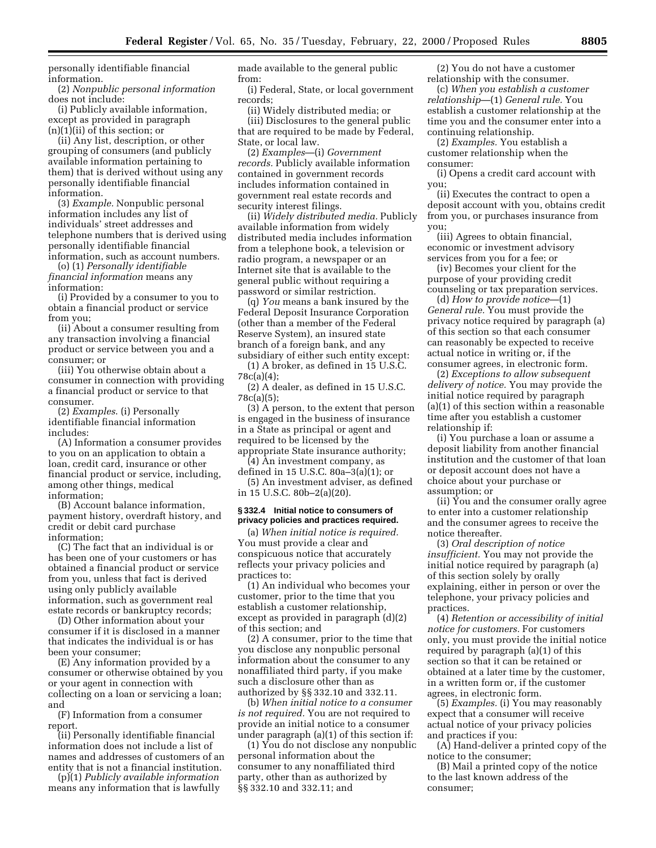personally identifiable financial information.

(2) *Nonpublic personal information* does not include:

(i) Publicly available information, except as provided in paragraph (n)(1)(ii) of this section; or

(ii) Any list, description, or other grouping of consumers (and publicly available information pertaining to them) that is derived without using any personally identifiable financial information.

(3) *Example.* Nonpublic personal information includes any list of individuals' street addresses and telephone numbers that is derived using personally identifiable financial information, such as account numbers.

(o) (1) *Personally identifiable financial information* means any information:

(i) Provided by a consumer to you to obtain a financial product or service from you;

(ii) About a consumer resulting from any transaction involving a financial product or service between you and a consumer; or

(iii) You otherwise obtain about a consumer in connection with providing a financial product or service to that consumer.

(2) *Examples*. (i) Personally identifiable financial information includes:

(A) Information a consumer provides to you on an application to obtain a loan, credit card, insurance or other financial product or service, including, among other things, medical information;

(B) Account balance information, payment history, overdraft history, and credit or debit card purchase information;

(C) The fact that an individual is or has been one of your customers or has obtained a financial product or service from you, unless that fact is derived using only publicly available information, such as government real estate records or bankruptcy records;

(D) Other information about your consumer if it is disclosed in a manner that indicates the individual is or has been your consumer;

(E) Any information provided by a consumer or otherwise obtained by you or your agent in connection with collecting on a loan or servicing a loan; and

(F) Information from a consumer report.

(ii) Personally identifiable financial information does not include a list of names and addresses of customers of an entity that is not a financial institution.

(p)(1) *Publicly available information* means any information that is lawfully made available to the general public from:

(i) Federal, State, or local government records;

(ii) Widely distributed media; or

(iii) Disclosures to the general public that are required to be made by Federal, State, or local law.

(2) *Examples*—(i) *Government records.* Publicly available information contained in government records includes information contained in government real estate records and security interest filings.

(ii) *Widely distributed media.* Publicly available information from widely distributed media includes information from a telephone book, a television or radio program, a newspaper or an Internet site that is available to the general public without requiring a password or similar restriction.

(q) *You* means a bank insured by the Federal Deposit Insurance Corporation (other than a member of the Federal Reserve System), an insured state branch of a foreign bank, and any subsidiary of either such entity except:

(1) A broker, as defined in 15 U.S.C. 78c(a)(4);

(2) A dealer, as defined in 15 U.S.C. 78c(a)(5);

(3) A person, to the extent that person is engaged in the business of insurance in a State as principal or agent and required to be licensed by the appropriate State insurance authority;

(4) An investment company, as

defined in 15 U.S.C. 80a–3(a)(1); or (5) An investment adviser, as defined in 15 U.S.C. 80b–2(a)(20).

#### **§ 332.4 Initial notice to consumers of privacy policies and practices required.**

(a) *When initial notice is required.* You must provide a clear and conspicuous notice that accurately reflects your privacy policies and practices to:

(1) An individual who becomes your customer, prior to the time that you establish a customer relationship, except as provided in paragraph (d)(2) of this section; and

(2) A consumer, prior to the time that you disclose any nonpublic personal information about the consumer to any nonaffiliated third party, if you make such a disclosure other than as authorized by §§ 332.10 and 332.11.

(b) *When initial notice to a consumer is not required.* You are not required to provide an initial notice to a consumer under paragraph (a)(1) of this section if:

(1) You do not disclose any nonpublic personal information about the consumer to any nonaffiliated third party, other than as authorized by §§ 332.10 and 332.11; and

(2) You do not have a customer relationship with the consumer.

(c) *When you establish a customer relationship*—(1) *General rule.* You establish a customer relationship at the time you and the consumer enter into a continuing relationship.

(2) *Examples.* You establish a customer relationship when the consumer:

(i) Opens a credit card account with you;

(ii) Executes the contract to open a deposit account with you, obtains credit from you, or purchases insurance from you;

(iii) Agrees to obtain financial, economic or investment advisory services from you for a fee; or

(iv) Becomes your client for the purpose of your providing credit counseling or tax preparation services.

(d) *How to provide notice*—(1) *General rule.* You must provide the privacy notice required by paragraph (a) of this section so that each consumer can reasonably be expected to receive actual notice in writing or, if the consumer agrees, in electronic form.

(2) *Exceptions to allow subsequent delivery of notice.* You may provide the initial notice required by paragraph (a)(1) of this section within a reasonable time after you establish a customer relationship if:

(i) You purchase a loan or assume a deposit liability from another financial institution and the customer of that loan or deposit account does not have a choice about your purchase or assumption; or

(ii) You and the consumer orally agree to enter into a customer relationship and the consumer agrees to receive the notice thereafter.

(3) *Oral description of notice insufficient.* You may not provide the initial notice required by paragraph (a) of this section solely by orally explaining, either in person or over the telephone, your privacy policies and practices.

(4) *Retention or accessibility of initial notice for customers.* For customers only, you must provide the initial notice required by paragraph (a)(1) of this section so that it can be retained or obtained at a later time by the customer, in a written form or, if the customer agrees, in electronic form.

(5) *Examples.* (i) You may reasonably expect that a consumer will receive actual notice of your privacy policies and practices if you:

(A) Hand-deliver a printed copy of the notice to the consumer;

(B) Mail a printed copy of the notice to the last known address of the consumer;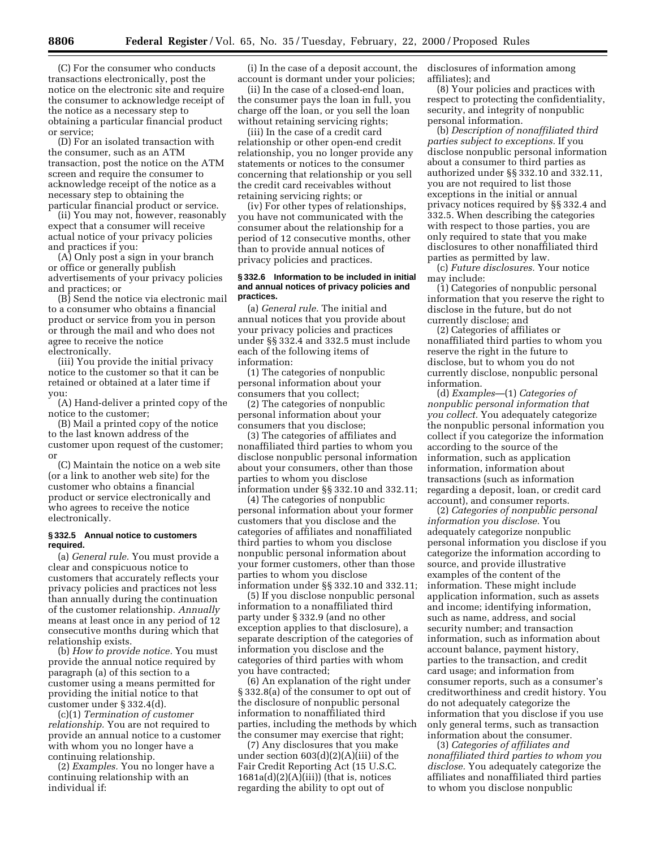(C) For the consumer who conducts transactions electronically, post the notice on the electronic site and require the consumer to acknowledge receipt of the notice as a necessary step to obtaining a particular financial product or service;

(D) For an isolated transaction with the consumer, such as an ATM transaction, post the notice on the ATM screen and require the consumer to acknowledge receipt of the notice as a necessary step to obtaining the particular financial product or service.

(ii) You may not, however, reasonably expect that a consumer will receive actual notice of your privacy policies and practices if you:

(A) Only post a sign in your branch or office or generally publish advertisements of your privacy policies and practices; or

(B) Send the notice via electronic mail to a consumer who obtains a financial product or service from you in person or through the mail and who does not agree to receive the notice electronically.

(iii) You provide the initial privacy notice to the customer so that it can be retained or obtained at a later time if you:

(A) Hand-deliver a printed copy of the notice to the customer;

(B) Mail a printed copy of the notice to the last known address of the customer upon request of the customer; or

(C) Maintain the notice on a web site (or a link to another web site) for the customer who obtains a financial product or service electronically and who agrees to receive the notice electronically.

#### **§ 332.5 Annual notice to customers required.**

(a) *General rule.* You must provide a clear and conspicuous notice to customers that accurately reflects your privacy policies and practices not less than annually during the continuation of the customer relationship. *Annually* means at least once in any period of 12 consecutive months during which that relationship exists.

(b) *How to provide notice.* You must provide the annual notice required by paragraph (a) of this section to a customer using a means permitted for providing the initial notice to that customer under § 332.4(d).

(c)(1) *Termination of customer relationship.* You are not required to provide an annual notice to a customer with whom you no longer have a continuing relationship.

(2) *Examples.* You no longer have a continuing relationship with an individual if:

(i) In the case of a deposit account, the account is dormant under your policies;

(ii) In the case of a closed-end loan, the consumer pays the loan in full, you charge off the loan, or you sell the loan without retaining servicing rights;

(iii) In the case of a credit card relationship or other open-end credit relationship, you no longer provide any statements or notices to the consumer concerning that relationship or you sell the credit card receivables without retaining servicing rights; or

(iv) For other types of relationships, you have not communicated with the consumer about the relationship for a period of 12 consecutive months, other than to provide annual notices of privacy policies and practices.

#### **§ 332.6 Information to be included in initial and annual notices of privacy policies and practices.**

(a) *General rule.* The initial and annual notices that you provide about your privacy policies and practices under §§ 332.4 and 332.5 must include each of the following items of information:

(1) The categories of nonpublic personal information about your consumers that you collect;

(2) The categories of nonpublic personal information about your consumers that you disclose;

(3) The categories of affiliates and nonaffiliated third parties to whom you disclose nonpublic personal information about your consumers, other than those parties to whom you disclose information under §§ 332.10 and 332.11;

(4) The categories of nonpublic personal information about your former customers that you disclose and the categories of affiliates and nonaffiliated third parties to whom you disclose nonpublic personal information about your former customers, other than those parties to whom you disclose information under §§ 332.10 and 332.11;

(5) If you disclose nonpublic personal information to a nonaffiliated third party under § 332.9 (and no other exception applies to that disclosure), a separate description of the categories of information you disclose and the categories of third parties with whom you have contracted;

(6) An explanation of the right under § 332.8(a) of the consumer to opt out of the disclosure of nonpublic personal information to nonaffiliated third parties, including the methods by which the consumer may exercise that right;

(7) Any disclosures that you make under section 603(d)(2)(A)(iii) of the Fair Credit Reporting Act (15 U.S.C.  $1681a(d)(2)(A(iii))$  (that is, notices regarding the ability to opt out of

disclosures of information among affiliates); and

(8) Your policies and practices with respect to protecting the confidentiality, security, and integrity of nonpublic personal information.

(b) *Description of nonaffiliated third parties subject to exceptions.* If you disclose nonpublic personal information about a consumer to third parties as authorized under §§ 332.10 and 332.11, you are not required to list those exceptions in the initial or annual privacy notices required by §§ 332.4 and 332.5. When describing the categories with respect to those parties, you are only required to state that you make disclosures to other nonaffiliated third parties as permitted by law.

(c) *Future disclosures.* Your notice may include:

(1) Categories of nonpublic personal information that you reserve the right to disclose in the future, but do not currently disclose; and

(2) Categories of affiliates or nonaffiliated third parties to whom you reserve the right in the future to disclose, but to whom you do not currently disclose, nonpublic personal information.

(d) *Examples*—(1) *Categories of nonpublic personal information that you collect.* You adequately categorize the nonpublic personal information you collect if you categorize the information according to the source of the information, such as application information, information about transactions (such as information regarding a deposit, loan, or credit card account), and consumer reports.

(2) *Categories of nonpublic personal information you disclose.* You adequately categorize nonpublic personal information you disclose if you categorize the information according to source, and provide illustrative examples of the content of the information. These might include application information, such as assets and income; identifying information, such as name, address, and social security number; and transaction information, such as information about account balance, payment history, parties to the transaction, and credit card usage; and information from consumer reports, such as a consumer's creditworthiness and credit history. You do not adequately categorize the information that you disclose if you use only general terms, such as transaction information about the consumer.

(3) *Categories of affiliates and nonaffiliated third parties to whom you disclose.* You adequately categorize the affiliates and nonaffiliated third parties to whom you disclose nonpublic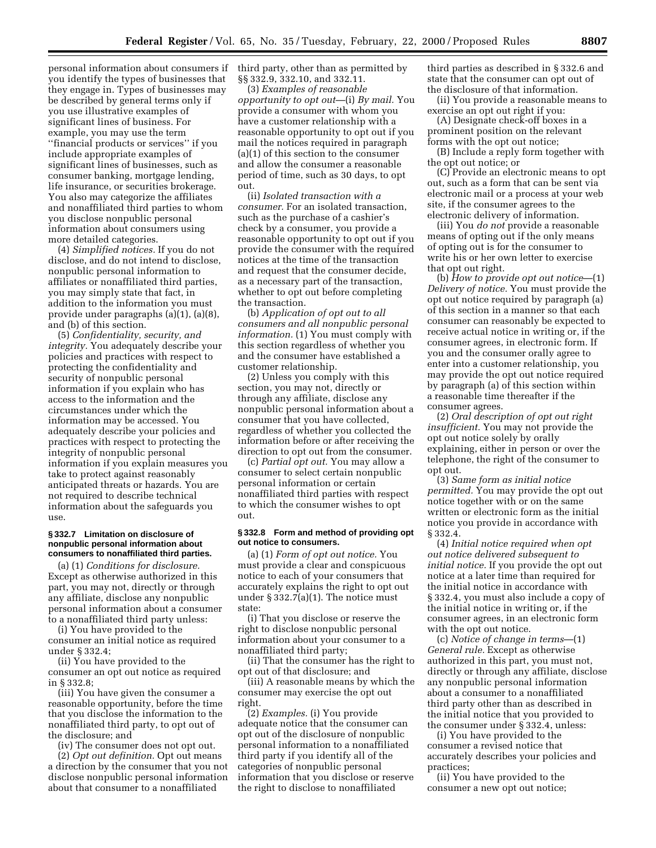personal information about consumers if you identify the types of businesses that they engage in. Types of businesses may be described by general terms only if you use illustrative examples of significant lines of business. For example, you may use the term ''financial products or services'' if you include appropriate examples of significant lines of businesses, such as consumer banking, mortgage lending, life insurance, or securities brokerage. You also may categorize the affiliates and nonaffiliated third parties to whom you disclose nonpublic personal information about consumers using more detailed categories.

(4) *Simplified notices.* If you do not disclose, and do not intend to disclose, nonpublic personal information to affiliates or nonaffiliated third parties, you may simply state that fact, in addition to the information you must provide under paragraphs (a)(1), (a)(8), and (b) of this section.

(5) *Confidentiality, security, and integrity.* You adequately describe your policies and practices with respect to protecting the confidentiality and security of nonpublic personal information if you explain who has access to the information and the circumstances under which the information may be accessed. You adequately describe your policies and practices with respect to protecting the integrity of nonpublic personal information if you explain measures you take to protect against reasonably anticipated threats or hazards. You are not required to describe technical information about the safeguards you use.

#### **§ 332.7 Limitation on disclosure of nonpublic personal information about consumers to nonaffiliated third parties.**

(a) (1) *Conditions for disclosure.* Except as otherwise authorized in this part, you may not, directly or through any affiliate, disclose any nonpublic personal information about a consumer to a nonaffiliated third party unless:

(i) You have provided to the consumer an initial notice as required under § 332.4;

(ii) You have provided to the consumer an opt out notice as required in § 332.8;

(iii) You have given the consumer a reasonable opportunity, before the time that you disclose the information to the nonaffiliated third party, to opt out of the disclosure; and

(iv) The consumer does not opt out.

(2) *Opt out definition.* Opt out means a direction by the consumer that you not disclose nonpublic personal information about that consumer to a nonaffiliated

third party, other than as permitted by §§ 332.9, 332.10, and 332.11.

(3) *Examples of reasonable opportunity to opt out*—(i) *By mail.* You provide a consumer with whom you have a customer relationship with a reasonable opportunity to opt out if you mail the notices required in paragraph (a)(1) of this section to the consumer and allow the consumer a reasonable period of time, such as 30 days, to opt out.

(ii) *Isolated transaction with a consumer.* For an isolated transaction, such as the purchase of a cashier's check by a consumer, you provide a reasonable opportunity to opt out if you provide the consumer with the required notices at the time of the transaction and request that the consumer decide, as a necessary part of the transaction, whether to opt out before completing the transaction.

(b) *Application of opt out to all consumers and all nonpublic personal information.* (1) You must comply with this section regardless of whether you and the consumer have established a customer relationship.

(2) Unless you comply with this section, you may not, directly or through any affiliate, disclose any nonpublic personal information about a consumer that you have collected, regardless of whether you collected the information before or after receiving the direction to opt out from the consumer.

(c) *Partial opt out.* You may allow a consumer to select certain nonpublic personal information or certain nonaffiliated third parties with respect to which the consumer wishes to opt out.

#### **§ 332.8 Form and method of providing opt out notice to consumers.**

(a) (1) *Form of opt out notice.* You must provide a clear and conspicuous notice to each of your consumers that accurately explains the right to opt out under § 332.7(a)(1). The notice must state:

(i) That you disclose or reserve the right to disclose nonpublic personal information about your consumer to a nonaffiliated third party;

(ii) That the consumer has the right to opt out of that disclosure; and

(iii) A reasonable means by which the consumer may exercise the opt out right.

(2) *Examples.* (i) You provide adequate notice that the consumer can opt out of the disclosure of nonpublic personal information to a nonaffiliated third party if you identify all of the categories of nonpublic personal information that you disclose or reserve the right to disclose to nonaffiliated

third parties as described in § 332.6 and state that the consumer can opt out of the disclosure of that information.

(ii) You provide a reasonable means to exercise an opt out right if you:

(A) Designate check-off boxes in a prominent position on the relevant forms with the opt out notice;

(B) Include a reply form together with the opt out notice; or

(C) Provide an electronic means to opt out, such as a form that can be sent via electronic mail or a process at your web site, if the consumer agrees to the electronic delivery of information.

(iii) You *do not* provide a reasonable means of opting out if the only means of opting out is for the consumer to write his or her own letter to exercise that opt out right.

(b) *How to provide opt out notice*—(1) *Delivery of notice.* You must provide the opt out notice required by paragraph (a) of this section in a manner so that each consumer can reasonably be expected to receive actual notice in writing or, if the consumer agrees, in electronic form. If you and the consumer orally agree to enter into a customer relationship, you may provide the opt out notice required by paragraph (a) of this section within a reasonable time thereafter if the consumer agrees.

(2) *Oral description of opt out right insufficient.* You may not provide the opt out notice solely by orally explaining, either in person or over the telephone, the right of the consumer to opt out.

(3) *Same form as initial notice permitted.* You may provide the opt out notice together with or on the same written or electronic form as the initial notice you provide in accordance with § 332.4.

(4) *Initial notice required when opt out notice delivered subsequent to initial notice.* If you provide the opt out notice at a later time than required for the initial notice in accordance with § 332.4, you must also include a copy of the initial notice in writing or, if the consumer agrees, in an electronic form with the opt out notice.

(c) *Notice of change in terms*—(1) *General rule.* Except as otherwise authorized in this part, you must not, directly or through any affiliate, disclose any nonpublic personal information about a consumer to a nonaffiliated third party other than as described in the initial notice that you provided to the consumer under § 332.4, unless:

(i) You have provided to the consumer a revised notice that accurately describes your policies and practices;

(ii) You have provided to the consumer a new opt out notice;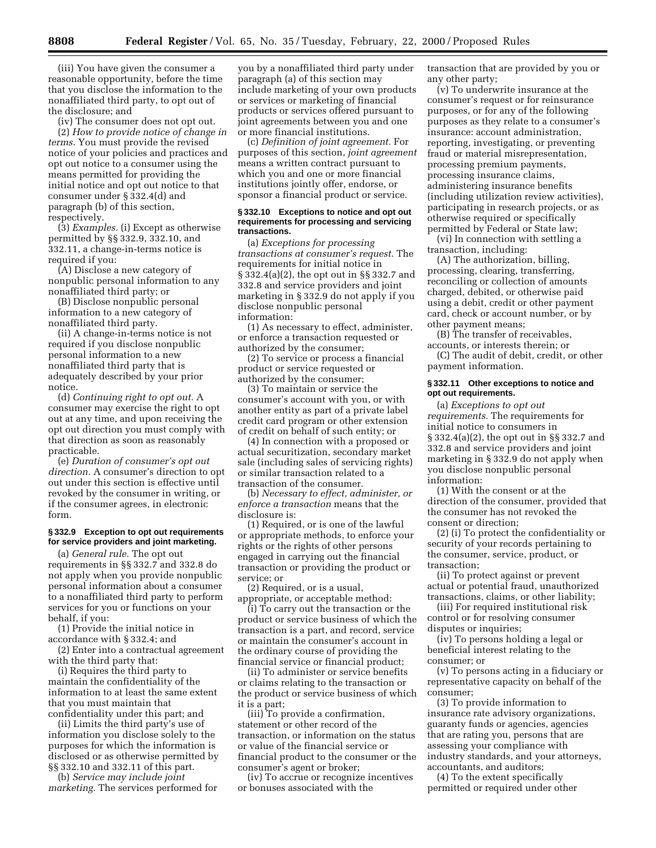(iii) You have given the consumer a reasonable opportunity, before the time that you disclose the information to the nonaffiliated third party, to opt out of the disclosure; and

(iv) The consumer does not opt out. (2) *How to provide notice of change in terms.* You must provide the revised notice of your policies and practices and opt out notice to a consumer using the means permitted for providing the initial notice and opt out notice to that consumer under § 332.4(d) and paragraph (b) of this section, respectively.

(3) *Examples.* (i) Except as otherwise permitted by §§ 332.9, 332.10, and 332.11, a change-in-terms notice is required if you:

(A) Disclose a new category of nonpublic personal information to any nonaffiliated third party; or

(B) Disclose nonpublic personal information to a new category of nonaffiliated third party.

(ii) A change-in-terms notice is not required if you disclose nonpublic personal information to a new nonaffiliated third party that is adequately described by your prior notice.

(d) *Continuing right to opt out.* A consumer may exercise the right to opt out at any time, and upon receiving the opt out direction you must comply with that direction as soon as reasonably practicable.

(e) *Duration of consumer's opt out direction.* A consumer's direction to opt out under this section is effective until revoked by the consumer in writing, or if the consumer agrees, in electronic form.

#### **§ 332.9 Exception to opt out requirements for service providers and joint marketing.**

(a) *General rule.* The opt out requirements in §§ 332.7 and 332.8 do not apply when you provide nonpublic personal information about a consumer to a nonaffiliated third party to perform services for you or functions on your behalf, if you:

(1) Provide the initial notice in accordance with § 332.4; and

(2) Enter into a contractual agreement with the third party that:

(i) Requires the third party to maintain the confidentiality of the information to at least the same extent that you must maintain that confidentiality under this part; and

(ii) Limits the third party's use of information you disclose solely to the purposes for which the information is disclosed or as otherwise permitted by §§ 332.10 and 332.11 of this part.

(b) *Service may include joint marketing.* The services performed for you by a nonaffiliated third party under paragraph (a) of this section may include marketing of your own products or services or marketing of financial products or services offered pursuant to joint agreements between you and one or more financial institutions.

(c) *Definition of joint agreement.* For purposes of this section, *joint agreement* means a written contract pursuant to which you and one or more financial institutions jointly offer, endorse, or sponsor a financial product or service.

#### **§ 332.10 Exceptions to notice and opt out requirements for processing and servicing transactions.**

(a) *Exceptions for processing transactions at consumer's request.* The requirements for initial notice in § 332.4(a)(2), the opt out in §§ 332.7 and 332.8 and service providers and joint marketing in § 332.9 do not apply if you disclose nonpublic personal information:

(1) As necessary to effect, administer, or enforce a transaction requested or authorized by the consumer;

(2) To service or process a financial product or service requested or authorized by the consumer;

(3) To maintain or service the consumer's account with you, or with another entity as part of a private label credit card program or other extension of credit on behalf of such entity; or

(4) In connection with a proposed or actual securitization, secondary market sale (including sales of servicing rights) or similar transaction related to a transaction of the consumer.

(b) *Necessary to effect, administer, or enforce a transaction* means that the disclosure is:

(1) Required, or is one of the lawful or appropriate methods, to enforce your rights or the rights of other persons engaged in carrying out the financial transaction or providing the product or service; or

(2) Required, or is a usual, appropriate, or acceptable method:

(i) To carry out the transaction or the product or service business of which the transaction is a part, and record, service or maintain the consumer's account in the ordinary course of providing the financial service or financial product;

(ii) To administer or service benefits or claims relating to the transaction or the product or service business of which it is a part;

(iii) To provide a confirmation, statement or other record of the transaction, or information on the status or value of the financial service or financial product to the consumer or the consumer's agent or broker;

(iv) To accrue or recognize incentives or bonuses associated with the

transaction that are provided by you or any other party;

(v) To underwrite insurance at the consumer's request or for reinsurance purposes, or for any of the following purposes as they relate to a consumer's insurance: account administration, reporting, investigating, or preventing fraud or material misrepresentation, processing premium payments, processing insurance claims, administering insurance benefits (including utilization review activities), participating in research projects, or as otherwise required or specifically permitted by Federal or State law;

(vi) In connection with settling a transaction, including:

(A) The authorization, billing, processing, clearing, transferring, reconciling or collection of amounts charged, debited, or otherwise paid using a debit, credit or other payment card, check or account number, or by other payment means;

(B) The transfer of receivables, accounts, or interests therein; or (C) The audit of debit, credit, or other

payment information.

#### **§ 332.11 Other exceptions to notice and opt out requirements.**

(a) *Exceptions to opt out requirements.* The requirements for initial notice to consumers in § 332.4(a)(2), the opt out in §§ 332.7 and 332.8 and service providers and joint marketing in § 332.9 do not apply when you disclose nonpublic personal information:

(1) With the consent or at the direction of the consumer, provided that the consumer has not revoked the consent or direction;

(2) (i) To protect the confidentiality or security of your records pertaining to the consumer, service, product, or transaction;

(ii) To protect against or prevent actual or potential fraud, unauthorized transactions, claims, or other liability;

(iii) For required institutional risk control or for resolving consumer disputes or inquiries;

(iv) To persons holding a legal or beneficial interest relating to the consumer; or

(v) To persons acting in a fiduciary or representative capacity on behalf of the consumer;

(3) To provide information to insurance rate advisory organizations, guaranty funds or agencies, agencies that are rating you, persons that are assessing your compliance with industry standards, and your attorneys, accountants, and auditors;

(4) To the extent specifically permitted or required under other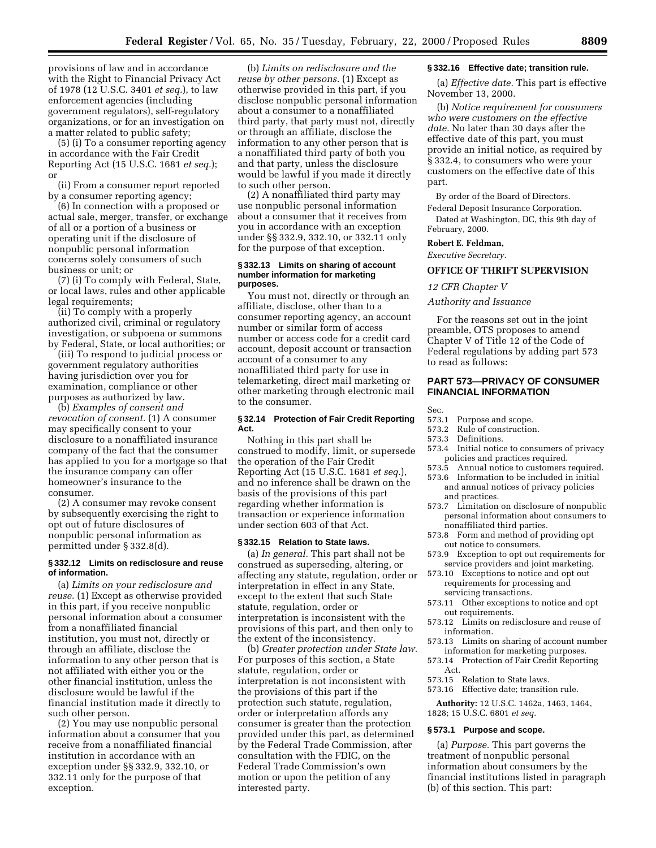provisions of law and in accordance with the Right to Financial Privacy Act of 1978 (12 U.S.C. 3401 *et seq.*), to law enforcement agencies (including government regulators), self-regulatory organizations, or for an investigation on a matter related to public safety;

(5) (i) To a consumer reporting agency in accordance with the Fair Credit Reporting Act (15 U.S.C. 1681 *et seq.*); or

(ii) From a consumer report reported by a consumer reporting agency;

(6) In connection with a proposed or actual sale, merger, transfer, or exchange of all or a portion of a business or operating unit if the disclosure of nonpublic personal information concerns solely consumers of such business or unit; or

(7) (i) To comply with Federal, State, or local laws, rules and other applicable legal requirements;

(ii) To comply with a properly authorized civil, criminal or regulatory investigation, or subpoena or summons by Federal, State, or local authorities; or

(iii) To respond to judicial process or government regulatory authorities having jurisdiction over you for examination, compliance or other purposes as authorized by law.

(b) *Examples of consent and revocation of consent.* (1) A consumer may specifically consent to your disclosure to a nonaffiliated insurance company of the fact that the consumer has applied to you for a mortgage so that the insurance company can offer homeowner's insurance to the consumer.

(2) A consumer may revoke consent by subsequently exercising the right to opt out of future disclosures of nonpublic personal information as permitted under § 332.8(d).

#### **§ 332.12 Limits on redisclosure and reuse of information.**

(a) *Limits on your redisclosure and reuse.* (1) Except as otherwise provided in this part, if you receive nonpublic personal information about a consumer from a nonaffiliated financial institution, you must not, directly or through an affiliate, disclose the information to any other person that is not affiliated with either you or the other financial institution, unless the disclosure would be lawful if the financial institution made it directly to such other person.

(2) You may use nonpublic personal information about a consumer that you receive from a nonaffiliated financial institution in accordance with an exception under §§ 332.9, 332.10, or 332.11 only for the purpose of that exception.

(b) *Limits on redisclosure and the reuse by other persons.* (1) Except as otherwise provided in this part, if you disclose nonpublic personal information about a consumer to a nonaffiliated third party, that party must not, directly or through an affiliate, disclose the information to any other person that is a nonaffiliated third party of both you and that party, unless the disclosure would be lawful if you made it directly to such other person.

(2) A nonaffiliated third party may use nonpublic personal information about a consumer that it receives from you in accordance with an exception under §§ 332.9, 332.10, or 332.11 only for the purpose of that exception.

#### **§ 332.13 Limits on sharing of account number information for marketing purposes.**

You must not, directly or through an affiliate, disclose, other than to a consumer reporting agency, an account number or similar form of access number or access code for a credit card account, deposit account or transaction account of a consumer to any nonaffiliated third party for use in telemarketing, direct mail marketing or other marketing through electronic mail to the consumer.

#### **§ 32.14 Protection of Fair Credit Reporting Act.**

Nothing in this part shall be construed to modify, limit, or supersede the operation of the Fair Credit Reporting Act (15 U.S.C. 1681 *et seq.*), and no inference shall be drawn on the basis of the provisions of this part regarding whether information is transaction or experience information under section 603 of that Act.

#### **§ 332.15 Relation to State laws.**

(a) *In general.* This part shall not be construed as superseding, altering, or affecting any statute, regulation, order or interpretation in effect in any State, except to the extent that such State statute, regulation, order or interpretation is inconsistent with the provisions of this part, and then only to the extent of the inconsistency.

(b) *Greater protection under State law.* For purposes of this section, a State statute, regulation, order or interpretation is not inconsistent with the provisions of this part if the protection such statute, regulation, order or interpretation affords any consumer is greater than the protection provided under this part, as determined by the Federal Trade Commission, after consultation with the FDIC, on the Federal Trade Commission's own motion or upon the petition of any interested party.

#### **§ 332.16 Effective date; transition rule.**

(a) *Effective date.* This part is effective November 13, 2000.

(b) *Notice requirement for consumers who were customers on the effective date.* No later than 30 days after the effective date of this part, you must provide an initial notice, as required by § 332.4, to consumers who were your customers on the effective date of this part.

By order of the Board of Directors.

Federal Deposit Insurance Corporation. Dated at Washington, DC, this 9th day of February, 2000.

#### **Robert E. Feldman,**

*Executive Secretary.*

#### **OFFICE OF THRIFT SUPERVISION**

#### *12 CFR Chapter V*

*Authority and Issuance*

For the reasons set out in the joint preamble, OTS proposes to amend Chapter V of Title 12 of the Code of Federal regulations by adding part 573 to read as follows:

#### **PART 573—PRIVACY OF CONSUMER FINANCIAL INFORMATION**

Sec.

- 573.1 Purpose and scope.
- 573.2 Rule of construction.
- 573.3 Definitions.
- 573.4 Initial notice to consumers of privacy policies and practices required.
- 573.5 Annual notice to customers required.
- 573.6 Information to be included in initial and annual notices of privacy policies and practices.
- 573.7 Limitation on disclosure of nonpublic personal information about consumers to nonaffiliated third parties.
- 573.8 Form and method of providing opt out notice to consumers.
- 573.9 Exception to opt out requirements for service providers and joint marketing.
- 573.10 Exceptions to notice and opt out requirements for processing and servicing transactions.
- 573.11 Other exceptions to notice and opt out requirements.
- 573.12 Limits on redisclosure and reuse of information.
- 573.13 Limits on sharing of account number information for marketing purposes.
- 573.14 Protection of Fair Credit Reporting Act.
- 573.15 Relation to State laws.
- 573.16 Effective date; transition rule.

**Authority:** 12 U.S.C. 1462a, 1463, 1464, 1828; 15 U.S.C. 6801 *et seq.*

#### **§ 573.1 Purpose and scope.**

(a) *Purpose.* This part governs the treatment of nonpublic personal information about consumers by the financial institutions listed in paragraph (b) of this section. This part: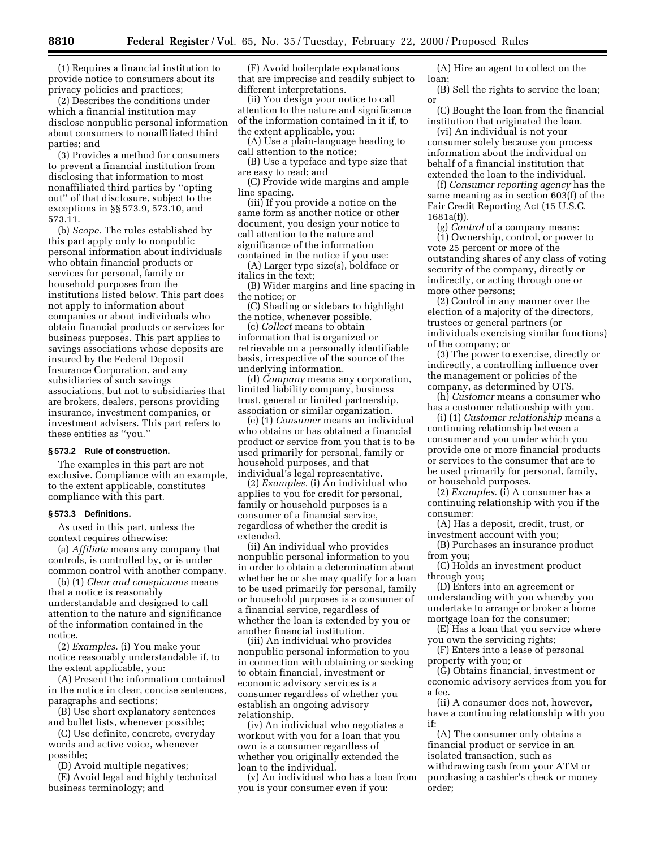(1) Requires a financial institution to provide notice to consumers about its privacy policies and practices;

(2) Describes the conditions under which a financial institution may disclose nonpublic personal information about consumers to nonaffiliated third parties; and

(3) Provides a method for consumers to prevent a financial institution from disclosing that information to most nonaffiliated third parties by ''opting out'' of that disclosure, subject to the exceptions in §§ 573.9, 573.10, and 573.11.

(b) *Scope.* The rules established by this part apply only to nonpublic personal information about individuals who obtain financial products or services for personal, family or household purposes from the institutions listed below. This part does not apply to information about companies or about individuals who obtain financial products or services for business purposes. This part applies to savings associations whose deposits are insured by the Federal Deposit Insurance Corporation, and any subsidiaries of such savings associations, but not to subsidiaries that are brokers, dealers, persons providing insurance, investment companies, or investment advisers. This part refers to these entities as ''you.''

#### **§ 573.2 Rule of construction.**

The examples in this part are not exclusive. Compliance with an example, to the extent applicable, constitutes compliance with this part.

#### **§ 573.3 Definitions.**

As used in this part, unless the context requires otherwise:

(a) *Affiliate* means any company that controls, is controlled by, or is under common control with another company.

(b) (1) *Clear and conspicuous* means that a notice is reasonably understandable and designed to call attention to the nature and significance of the information contained in the notice.

(2) *Examples.* (i) You make your notice reasonably understandable if, to the extent applicable, you:

(A) Present the information contained in the notice in clear, concise sentences, paragraphs and sections;

(B) Use short explanatory sentences and bullet lists, whenever possible;

(C) Use definite, concrete, everyday words and active voice, whenever possible;

(D) Avoid multiple negatives;

(E) Avoid legal and highly technical business terminology; and

(F) Avoid boilerplate explanations that are imprecise and readily subject to different interpretations.

(ii) You design your notice to call attention to the nature and significance of the information contained in it if, to the extent applicable, you:

(A) Use a plain-language heading to call attention to the notice;

(B) Use a typeface and type size that are easy to read; and

(C) Provide wide margins and ample line spacing.

(iii) If you provide a notice on the same form as another notice or other document, you design your notice to call attention to the nature and significance of the information contained in the notice if you use:

(A) Larger type size(s), boldface or italics in the text;

(B) Wider margins and line spacing in the notice; or

(C) Shading or sidebars to highlight the notice, whenever possible.

(c) *Collect* means to obtain information that is organized or retrievable on a personally identifiable basis, irrespective of the source of the underlying information.

(d) *Company* means any corporation, limited liability company, business trust, general or limited partnership, association or similar organization.

(e) (1) *Consumer* means an individual who obtains or has obtained a financial product or service from you that is to be used primarily for personal, family or household purposes, and that individual's legal representative.

(2) *Examples.* (i) An individual who applies to you for credit for personal, family or household purposes is a consumer of a financial service, regardless of whether the credit is extended.

(ii) An individual who provides nonpublic personal information to you in order to obtain a determination about whether he or she may qualify for a loan to be used primarily for personal, family or household purposes is a consumer of a financial service, regardless of whether the loan is extended by you or another financial institution.

(iii) An individual who provides nonpublic personal information to you in connection with obtaining or seeking to obtain financial, investment or economic advisory services is a consumer regardless of whether you establish an ongoing advisory relationship.

(iv) An individual who negotiates a workout with you for a loan that you own is a consumer regardless of whether you originally extended the loan to the individual.

(v) An individual who has a loan from you is your consumer even if you:

(A) Hire an agent to collect on the loan;

(B) Sell the rights to service the loan; or

(C) Bought the loan from the financial institution that originated the loan.

(vi) An individual is not your consumer solely because you process information about the individual on behalf of a financial institution that extended the loan to the individual.

(f) *Consumer reporting agency* has the same meaning as in section 603(f) of the Fair Credit Reporting Act (15 U.S.C. 1681a(f)).

(g) *Control* of a company means: (1) Ownership, control, or power to vote 25 percent or more of the outstanding shares of any class of voting security of the company, directly or indirectly, or acting through one or more other persons;

(2) Control in any manner over the election of a majority of the directors, trustees or general partners (or individuals exercising similar functions) of the company; or

(3) The power to exercise, directly or indirectly, a controlling influence over the management or policies of the company, as determined by OTS.

(h) *Customer* means a consumer who has a customer relationship with you.

(i) (1) *Customer relationship* means a continuing relationship between a consumer and you under which you provide one or more financial products or services to the consumer that are to be used primarily for personal, family, or household purposes.

(2) *Examples*. (i) A consumer has a continuing relationship with you if the consumer:

(A) Has a deposit, credit, trust, or investment account with you;

(B) Purchases an insurance product from you;

(C) Holds an investment product through you;

(D) Enters into an agreement or understanding with you whereby you undertake to arrange or broker a home mortgage loan for the consumer;

(E) Has a loan that you service where you own the servicing rights;

(F) Enters into a lease of personal property with you; or

(G) Obtains financial, investment or economic advisory services from you for a fee.

(ii) A consumer does not, however, have a continuing relationship with you if:

(A) The consumer only obtains a financial product or service in an isolated transaction, such as withdrawing cash from your ATM or purchasing a cashier's check or money order;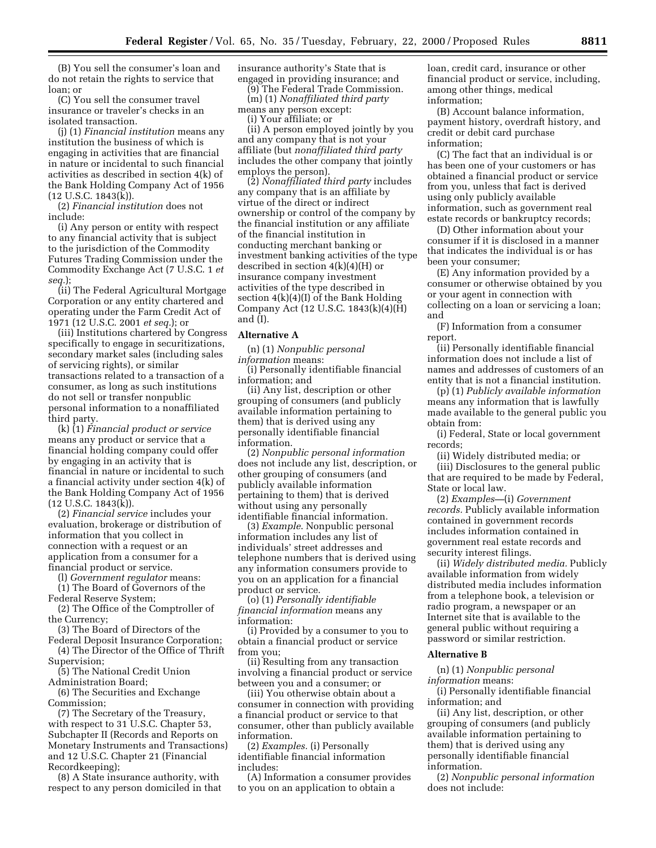(B) You sell the consumer's loan and do not retain the rights to service that loan; or

(C) You sell the consumer travel insurance or traveler's checks in an isolated transaction.

(j) (1) *Financial institution* means any institution the business of which is engaging in activities that are financial in nature or incidental to such financial activities as described in section 4(k) of the Bank Holding Company Act of 1956 (12 U.S.C. 1843(k)).

(2) *Financial institution* does not include:

(i) Any person or entity with respect to any financial activity that is subject to the jurisdiction of the Commodity Futures Trading Commission under the Commodity Exchange Act (7 U.S.C. 1 *et seq.*);

(ii) The Federal Agricultural Mortgage Corporation or any entity chartered and operating under the Farm Credit Act of 1971 (12 U.S.C. 2001 *et seq.*); or

(iii) Institutions chartered by Congress specifically to engage in securitizations, secondary market sales (including sales of servicing rights), or similar transactions related to a transaction of a consumer, as long as such institutions do not sell or transfer nonpublic personal information to a nonaffiliated third party.

(k) (1) *Financial product or service* means any product or service that a financial holding company could offer by engaging in an activity that is financial in nature or incidental to such a financial activity under section 4(k) of the Bank Holding Company Act of 1956  $(12 \text{ U.S.C. } 1843 \text{ (k)}).$ 

(2) *Financial service* includes your evaluation, brokerage or distribution of information that you collect in connection with a request or an application from a consumer for a financial product or service.

(l) *Government regulator* means:

(1) The Board of Governors of the Federal Reserve System;

(2) The Office of the Comptroller of the Currency;

(3) The Board of Directors of the Federal Deposit Insurance Corporation;

(4) The Director of the Office of Thrift Supervision;

(5) The National Credit Union Administration Board;

(6) The Securities and Exchange Commission;

(7) The Secretary of the Treasury, with respect to 31 U.S.C. Chapter 53, Subchapter II (Records and Reports on Monetary Instruments and Transactions) and 12 U.S.C. Chapter 21 (Financial Recordkeeping);

(8) A State insurance authority, with respect to any person domiciled in that insurance authority's State that is engaged in providing insurance; and

(9) The Federal Trade Commission.

(m) (1) *Nonaffiliated third party* means any person except:

(i) Your affiliate; or

(ii) A person employed jointly by you and any company that is not your affiliate (but *nonaffiliated third party* includes the other company that jointly employs the person).

(2) *Nonaffiliated third party* includes any company that is an affiliate by virtue of the direct or indirect ownership or control of the company by the financial institution or any affiliate of the financial institution in conducting merchant banking or investment banking activities of the type described in section  $4(k)(4)(H)$  or insurance company investment activities of the type described in section 4(k)(4)(I) of the Bank Holding Company Act (12 U.S.C. 1843(k)(4)(H) and  $(I)$ .

#### **Alternative A**

(n) (1) *Nonpublic personal*

*information* means: (i) Personally identifiable financial

information; and (ii) Any list, description or other

grouping of consumers (and publicly available information pertaining to them) that is derived using any personally identifiable financial information.

(2) *Nonpublic personal information* does not include any list, description, or other grouping of consumers (and publicly available information pertaining to them) that is derived without using any personally identifiable financial information.

(3) *Example*. Nonpublic personal information includes any list of individuals' street addresses and telephone numbers that is derived using any information consumers provide to you on an application for a financial product or service.

(o) (1) *Personally identifiable financial information* means any information:

(i) Provided by a consumer to you to obtain a financial product or service from you;

(ii) Resulting from any transaction involving a financial product or service between you and a consumer; or

(iii) You otherwise obtain about a consumer in connection with providing a financial product or service to that consumer, other than publicly available information.

(2) *Examples.* (i) Personally identifiable financial information includes:

(A) Information a consumer provides to you on an application to obtain a

loan, credit card, insurance or other financial product or service, including, among other things, medical information;

(B) Account balance information, payment history, overdraft history, and credit or debit card purchase information;

(C) The fact that an individual is or has been one of your customers or has obtained a financial product or service from you, unless that fact is derived using only publicly available information, such as government real estate records or bankruptcy records;

(D) Other information about your consumer if it is disclosed in a manner that indicates the individual is or has been your consumer;

(E) Any information provided by a consumer or otherwise obtained by you or your agent in connection with collecting on a loan or servicing a loan; and

(F) Information from a consumer report.

(ii) Personally identifiable financial information does not include a list of names and addresses of customers of an entity that is not a financial institution.

(p) (1) *Publicly available information* means any information that is lawfully made available to the general public you obtain from:

(i) Federal, State or local government records;

(ii) Widely distributed media; or

(iii) Disclosures to the general public that are required to be made by Federal, State or local law.

(2) *Examples—*(i) *Government records.* Publicly available information contained in government records includes information contained in government real estate records and security interest filings.

(ii) *Widely distributed media.* Publicly available information from widely distributed media includes information from a telephone book, a television or radio program, a newspaper or an Internet site that is available to the general public without requiring a password or similar restriction.

#### **Alternative B**

(n) (1) *Nonpublic personal information* means:

(i) Personally identifiable financial information; and

(ii) Any list, description, or other grouping of consumers (and publicly available information pertaining to them) that is derived using any personally identifiable financial information.

(2) *Nonpublic personal information* does not include: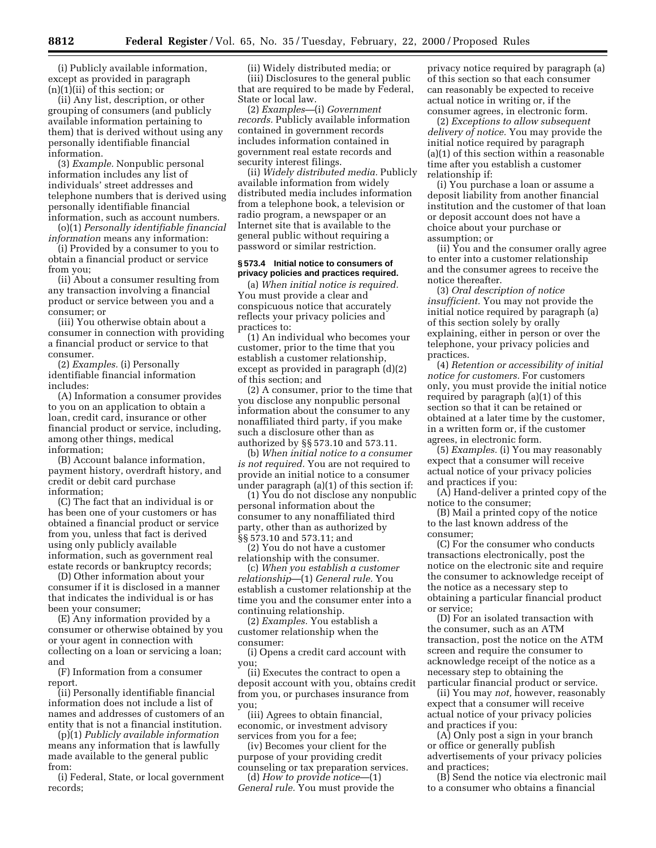(i) Publicly available information, except as provided in paragraph (n)(1)(ii) of this section; or

(ii) Any list, description, or other grouping of consumers (and publicly available information pertaining to them) that is derived without using any personally identifiable financial information.

(3) *Example.* Nonpublic personal information includes any list of individuals' street addresses and telephone numbers that is derived using personally identifiable financial information, such as account numbers.

(o)(1) *Personally identifiable financial information* means any information:

(i) Provided by a consumer to you to obtain a financial product or service from you;

(ii) About a consumer resulting from any transaction involving a financial product or service between you and a consumer; or

(iii) You otherwise obtain about a consumer in connection with providing a financial product or service to that consumer.

(2) *Examples.* (i) Personally identifiable financial information includes:

(A) Information a consumer provides to you on an application to obtain a loan, credit card, insurance or other financial product or service, including, among other things, medical information;

(B) Account balance information, payment history, overdraft history, and credit or debit card purchase information;

(C) The fact that an individual is or has been one of your customers or has obtained a financial product or service from you, unless that fact is derived using only publicly available information, such as government real estate records or bankruptcy records;

(D) Other information about your consumer if it is disclosed in a manner that indicates the individual is or has been your consumer;

(E) Any information provided by a consumer or otherwise obtained by you or your agent in connection with collecting on a loan or servicing a loan; and

(F) Information from a consumer report.

(ii) Personally identifiable financial information does not include a list of names and addresses of customers of an entity that is not a financial institution.

(p)(1) *Publicly available information* means any information that is lawfully made available to the general public from:

(i) Federal, State, or local government records;

(ii) Widely distributed media; or (iii) Disclosures to the general public that are required to be made by Federal, State or local law.

(2) *Examples—*(i) *Government records.* Publicly available information contained in government records includes information contained in government real estate records and security interest filings.

(ii) *Widely distributed media.* Publicly available information from widely distributed media includes information from a telephone book, a television or radio program, a newspaper or an Internet site that is available to the general public without requiring a password or similar restriction.

#### **§ 573.4 Initial notice to consumers of privacy policies and practices required.**

(a) *When initial notice is required.* You must provide a clear and conspicuous notice that accurately reflects your privacy policies and practices to:

(1) An individual who becomes your customer, prior to the time that you establish a customer relationship, except as provided in paragraph (d)(2) of this section; and

(2) A consumer, prior to the time that you disclose any nonpublic personal information about the consumer to any nonaffiliated third party, if you make such a disclosure other than as authorized by §§ 573.10 and 573.11.

(b) *When initial notice to a consumer is not required.* You are not required to provide an initial notice to a consumer under paragraph (a)(1) of this section if:

(1) You do not disclose any nonpublic personal information about the consumer to any nonaffiliated third party, other than as authorized by §§ 573.10 and 573.11; and

(2) You do not have a customer relationship with the consumer.

(c) *When you establish a customer relationship*—(1) *General rule.* You establish a customer relationship at the time you and the consumer enter into a continuing relationship.

(2) *Examples.* You establish a customer relationship when the consumer:

(i) Opens a credit card account with you;

(ii) Executes the contract to open a deposit account with you, obtains credit from you, or purchases insurance from you;

(iii) Agrees to obtain financial, economic, or investment advisory services from you for a fee;

(iv) Becomes your client for the purpose of your providing credit counseling or tax preparation services.

(d) *How to provide notice*—(1) *General rule.* You must provide the

privacy notice required by paragraph (a) of this section so that each consumer can reasonably be expected to receive actual notice in writing or, if the consumer agrees, in electronic form.

(2) *Exceptions to allow subsequent delivery of notice.* You may provide the initial notice required by paragraph (a)(1) of this section within a reasonable time after you establish a customer relationship if:

(i) You purchase a loan or assume a deposit liability from another financial institution and the customer of that loan or deposit account does not have a choice about your purchase or assumption; or

(ii) You and the consumer orally agree to enter into a customer relationship and the consumer agrees to receive the notice thereafter.

(3) *Oral description of notice insufficient.* You may not provide the initial notice required by paragraph (a) of this section solely by orally explaining, either in person or over the telephone, your privacy policies and practices.

(4) *Retention or accessibility of initial notice for customers.* For customers only, you must provide the initial notice required by paragraph (a)(1) of this section so that it can be retained or obtained at a later time by the customer, in a written form or, if the customer agrees, in electronic form.

(5) *Examples.* (i) You may reasonably expect that a consumer will receive actual notice of your privacy policies and practices if you:

(A) Hand-deliver a printed copy of the notice to the consumer;

(B) Mail a printed copy of the notice to the last known address of the consumer;

(C) For the consumer who conducts transactions electronically, post the notice on the electronic site and require the consumer to acknowledge receipt of the notice as a necessary step to obtaining a particular financial product or service;

(D) For an isolated transaction with the consumer, such as an ATM transaction, post the notice on the ATM screen and require the consumer to acknowledge receipt of the notice as a necessary step to obtaining the particular financial product or service.

(ii) You may *not,* however, reasonably expect that a consumer will receive actual notice of your privacy policies and practices if you:

(A) Only post a sign in your branch or office or generally publish advertisements of your privacy policies and practices;

(B) Send the notice via electronic mail to a consumer who obtains a financial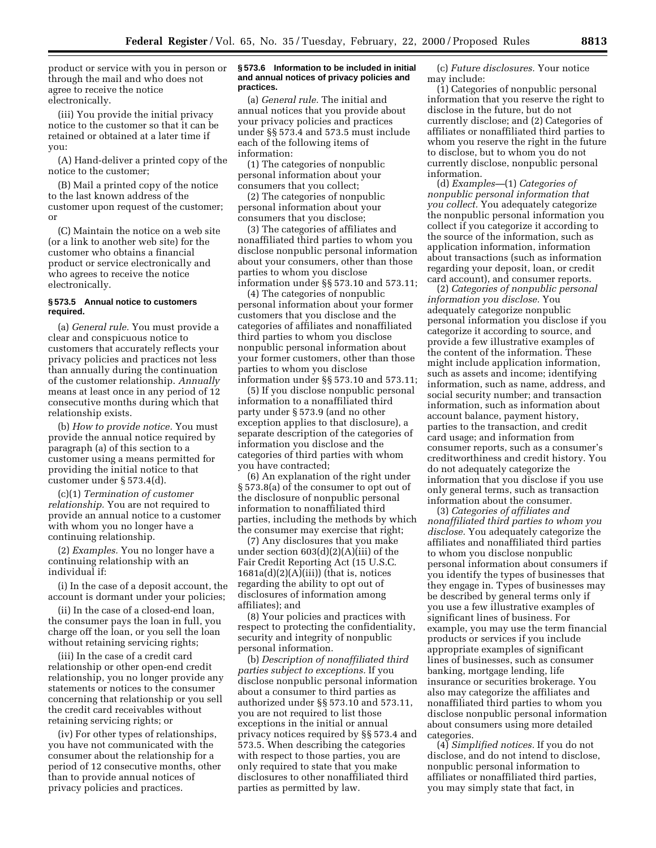product or service with you in person or through the mail and who does not agree to receive the notice electronically.

(iii) You provide the initial privacy notice to the customer so that it can be retained or obtained at a later time if you:

(A) Hand-deliver a printed copy of the notice to the customer;

(B) Mail a printed copy of the notice to the last known address of the customer upon request of the customer; or

(C) Maintain the notice on a web site (or a link to another web site) for the customer who obtains a financial product or service electronically and who agrees to receive the notice electronically.

#### **§ 573.5 Annual notice to customers required.**

(a) *General rule.* You must provide a clear and conspicuous notice to customers that accurately reflects your privacy policies and practices not less than annually during the continuation of the customer relationship. *Annually* means at least once in any period of 12 consecutive months during which that relationship exists.

(b) *How to provide notice.* You must provide the annual notice required by paragraph (a) of this section to a customer using a means permitted for providing the initial notice to that customer under § 573.4(d).

(c)(1) *Termination of customer relationship.* You are not required to provide an annual notice to a customer with whom you no longer have a continuing relationship.

(2) *Examples.* You no longer have a continuing relationship with an individual if:

(i) In the case of a deposit account, the account is dormant under your policies;

(ii) In the case of a closed-end loan, the consumer pays the loan in full, you charge off the loan, or you sell the loan without retaining servicing rights;

(iii) In the case of a credit card relationship or other open-end credit relationship, you no longer provide any statements or notices to the consumer concerning that relationship or you sell the credit card receivables without retaining servicing rights; or

(iv) For other types of relationships, you have not communicated with the consumer about the relationship for a period of 12 consecutive months, other than to provide annual notices of privacy policies and practices.

#### **§ 573.6 Information to be included in initial and annual notices of privacy policies and practices.**

(a) *General rule.* The initial and annual notices that you provide about your privacy policies and practices under §§ 573.4 and 573.5 must include each of the following items of information:

(1) The categories of nonpublic personal information about your consumers that you collect;

(2) The categories of nonpublic personal information about your consumers that you disclose;

(3) The categories of affiliates and nonaffiliated third parties to whom you disclose nonpublic personal information about your consumers, other than those parties to whom you disclose information under §§ 573.10 and 573.11;

(4) The categories of nonpublic personal information about your former customers that you disclose and the categories of affiliates and nonaffiliated third parties to whom you disclose nonpublic personal information about your former customers, other than those parties to whom you disclose information under §§ 573.10 and 573.11;

(5) If you disclose nonpublic personal information to a nonaffiliated third party under § 573.9 (and no other exception applies to that disclosure), a separate description of the categories of information you disclose and the categories of third parties with whom you have contracted;

(6) An explanation of the right under § 573.8(a) of the consumer to opt out of the disclosure of nonpublic personal information to nonaffiliated third parties, including the methods by which the consumer may exercise that right;

(7) Any disclosures that you make under section 603(d)(2)(A)(iii) of the Fair Credit Reporting Act (15 U.S.C.  $1681a(d)(2)(A(iii))$  (that is, notices regarding the ability to opt out of disclosures of information among affiliates); and

(8) Your policies and practices with respect to protecting the confidentiality, security and integrity of nonpublic personal information.

(b) *Description of nonaffiliated third parties subject to exceptions.* If you disclose nonpublic personal information about a consumer to third parties as authorized under §§ 573.10 and 573.11, you are not required to list those exceptions in the initial or annual privacy notices required by §§ 573.4 and 573.5. When describing the categories with respect to those parties, you are only required to state that you make disclosures to other nonaffiliated third parties as permitted by law.

(c) *Future disclosures.* Your notice may include:

(1) Categories of nonpublic personal information that you reserve the right to disclose in the future, but do not currently disclose; and (2) Categories of affiliates or nonaffiliated third parties to whom you reserve the right in the future to disclose, but to whom you do not currently disclose, nonpublic personal information.

(d) *Examples—*(1) *Categories of nonpublic personal information that you collect.* You adequately categorize the nonpublic personal information you collect if you categorize it according to the source of the information, such as application information, information about transactions (such as information regarding your deposit, loan, or credit card account), and consumer reports.

(2) *Categories of nonpublic personal information you disclose.* You adequately categorize nonpublic personal information you disclose if you categorize it according to source, and provide a few illustrative examples of the content of the information. These might include application information, such as assets and income; identifying information, such as name, address, and social security number; and transaction information, such as information about account balance, payment history, parties to the transaction, and credit card usage; and information from consumer reports, such as a consumer's creditworthiness and credit history. You do not adequately categorize the information that you disclose if you use only general terms, such as transaction information about the consumer.

(3) *Categories of affiliates and nonaffiliated third parties to whom you disclose.* You adequately categorize the affiliates and nonaffiliated third parties to whom you disclose nonpublic personal information about consumers if you identify the types of businesses that they engage in. Types of businesses may be described by general terms only if you use a few illustrative examples of significant lines of business. For example, you may use the term financial products or services if you include appropriate examples of significant lines of businesses, such as consumer banking, mortgage lending, life insurance or securities brokerage. You also may categorize the affiliates and nonaffiliated third parties to whom you disclose nonpublic personal information about consumers using more detailed categories.

(4) *Simplified notices.* If you do not disclose, and do not intend to disclose, nonpublic personal information to affiliates or nonaffiliated third parties, you may simply state that fact, in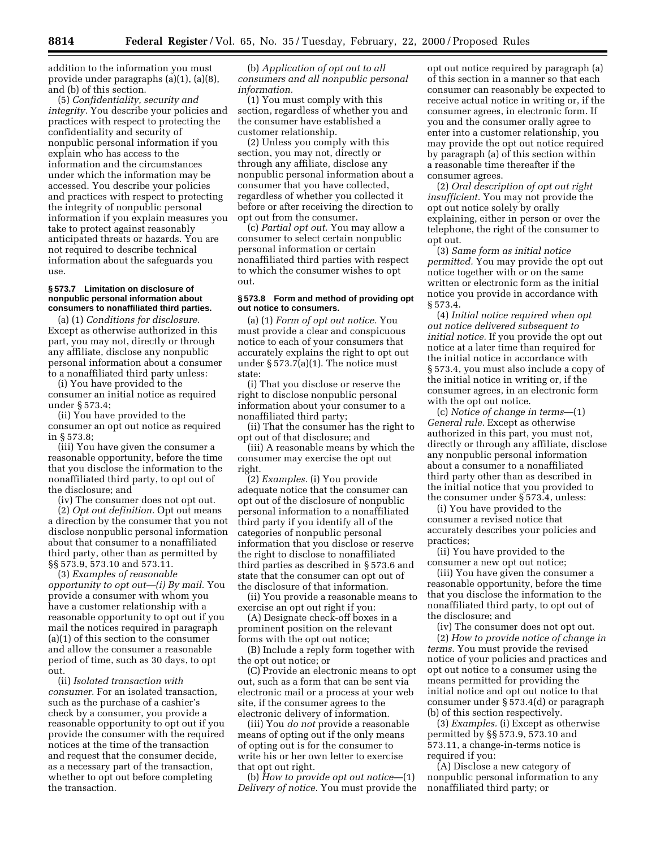addition to the information you must provide under paragraphs (a)(1), (a)(8), and (b) of this section.

(5) *Confidentiality, security and integrity.* You describe your policies and practices with respect to protecting the confidentiality and security of nonpublic personal information if you explain who has access to the information and the circumstances under which the information may be accessed. You describe your policies and practices with respect to protecting the integrity of nonpublic personal information if you explain measures you take to protect against reasonably anticipated threats or hazards. You are not required to describe technical information about the safeguards you use.

#### **§ 573.7 Limitation on disclosure of nonpublic personal information about consumers to nonaffiliated third parties.**

(a) (1) *Conditions for disclosure.* Except as otherwise authorized in this part, you may not, directly or through any affiliate, disclose any nonpublic personal information about a consumer to a nonaffiliated third party unless:

(i) You have provided to the consumer an initial notice as required under § 573.4;

(ii) You have provided to the consumer an opt out notice as required in § 573.8;

(iii) You have given the consumer a reasonable opportunity, before the time that you disclose the information to the nonaffiliated third party, to opt out of the disclosure; and

(iv) The consumer does not opt out.

(2) *Opt out definition.* Opt out means a direction by the consumer that you not disclose nonpublic personal information about that consumer to a nonaffiliated third party, other than as permitted by §§ 573.9, 573.10 and 573.11.

(3) *Examples of reasonable opportunity to opt out—(i) By mail.* You provide a consumer with whom you have a customer relationship with a reasonable opportunity to opt out if you mail the notices required in paragraph (a)(1) of this section to the consumer and allow the consumer a reasonable period of time, such as 30 days, to opt out.

(ii) *Isolated transaction with consumer.* For an isolated transaction, such as the purchase of a cashier's check by a consumer, you provide a reasonable opportunity to opt out if you provide the consumer with the required notices at the time of the transaction and request that the consumer decide, as a necessary part of the transaction, whether to opt out before completing the transaction.

(b) *Application of opt out to all consumers and all nonpublic personal information.* 

(1) You must comply with this section, regardless of whether you and the consumer have established a customer relationship.

(2) Unless you comply with this section, you may not, directly or through any affiliate, disclose any nonpublic personal information about a consumer that you have collected, regardless of whether you collected it before or after receiving the direction to opt out from the consumer.

(c) *Partial opt out.* You may allow a consumer to select certain nonpublic personal information or certain nonaffiliated third parties with respect to which the consumer wishes to opt out.

#### **§ 573.8 Form and method of providing opt out notice to consumers.**

(a) (1) *Form of opt out notice.* You must provide a clear and conspicuous notice to each of your consumers that accurately explains the right to opt out under § 573.7(a)(1). The notice must state:

(i) That you disclose or reserve the right to disclose nonpublic personal information about your consumer to a nonaffiliated third party;

(ii) That the consumer has the right to opt out of that disclosure; and

(iii) A reasonable means by which the consumer may exercise the opt out right.

(2) *Examples.* (i) You provide adequate notice that the consumer can opt out of the disclosure of nonpublic personal information to a nonaffiliated third party if you identify all of the categories of nonpublic personal information that you disclose or reserve the right to disclose to nonaffiliated third parties as described in § 573.6 and state that the consumer can opt out of the disclosure of that information.

(ii) You provide a reasonable means to exercise an opt out right if you:

(A) Designate check-off boxes in a prominent position on the relevant forms with the opt out notice;

(B) Include a reply form together with the opt out notice; or

(C) Provide an electronic means to opt out, such as a form that can be sent via electronic mail or a process at your web site, if the consumer agrees to the electronic delivery of information.

(iii) You *do not* provide a reasonable means of opting out if the only means of opting out is for the consumer to write his or her own letter to exercise that opt out right.

(b) *How to provide opt out notice*—(1) *Delivery of notice.* You must provide the

opt out notice required by paragraph (a) of this section in a manner so that each consumer can reasonably be expected to receive actual notice in writing or, if the consumer agrees, in electronic form. If you and the consumer orally agree to enter into a customer relationship, you may provide the opt out notice required by paragraph (a) of this section within a reasonable time thereafter if the consumer agrees.

(2) *Oral description of opt out right insufficient.* You may not provide the opt out notice solely by orally explaining, either in person or over the telephone, the right of the consumer to opt out.

(3) *Same form as initial notice permitted.* You may provide the opt out notice together with or on the same written or electronic form as the initial notice you provide in accordance with § 573.4.

(4) *Initial notice required when opt out notice delivered subsequent to initial notice.* If you provide the opt out notice at a later time than required for the initial notice in accordance with § 573.4, you must also include a copy of the initial notice in writing or, if the consumer agrees, in an electronic form with the opt out notice.

(c) *Notice of change in terms*—(1) *General rule.* Except as otherwise authorized in this part, you must not, directly or through any affiliate, disclose any nonpublic personal information about a consumer to a nonaffiliated third party other than as described in the initial notice that you provided to the consumer under § 573.4, unless:

(i) You have provided to the consumer a revised notice that accurately describes your policies and practices;

(ii) You have provided to the consumer a new opt out notice;

(iii) You have given the consumer a reasonable opportunity, before the time that you disclose the information to the nonaffiliated third party, to opt out of the disclosure; and

(iv) The consumer does not opt out. (2) *How to provide notice of change in terms.* You must provide the revised notice of your policies and practices and opt out notice to a consumer using the means permitted for providing the initial notice and opt out notice to that consumer under § 573.4(d) or paragraph (b) of this section respectively.

(3) *Examples.* (i) Except as otherwise permitted by §§ 573.9, 573.10 and 573.11, a change-in-terms notice is required if you:

(A) Disclose a new category of nonpublic personal information to any nonaffiliated third party; or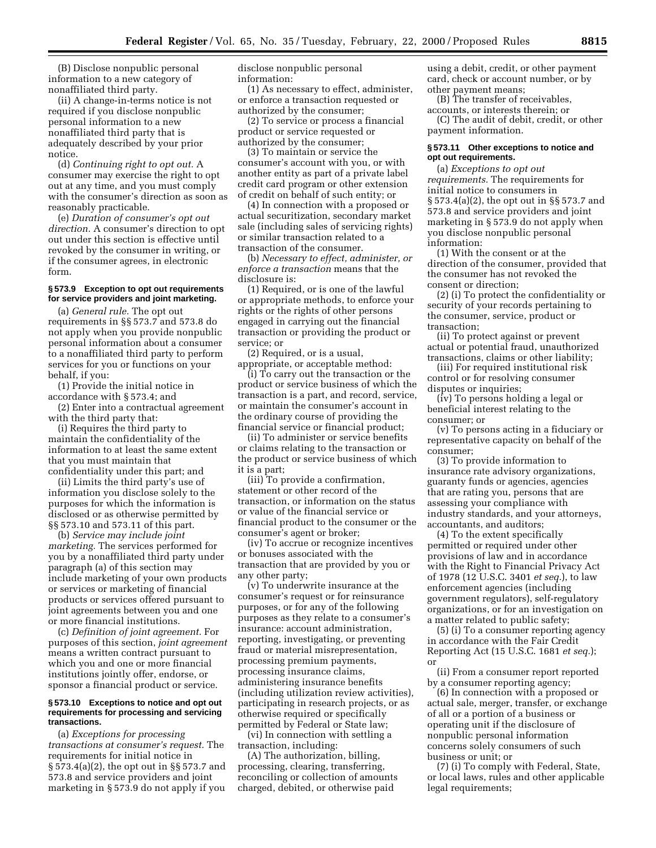(B) Disclose nonpublic personal information to a new category of nonaffiliated third party.

(ii) A change-in-terms notice is not required if you disclose nonpublic personal information to a new nonaffiliated third party that is adequately described by your prior notice.

(d) *Continuing right to opt out.* A consumer may exercise the right to opt out at any time, and you must comply with the consumer's direction as soon as reasonably practicable.

(e) *Duration of consumer's opt out direction.* A consumer's direction to opt out under this section is effective until revoked by the consumer in writing, or if the consumer agrees, in electronic form.

#### **§ 573.9 Exception to opt out requirements for service providers and joint marketing.**

(a) *General rule.* The opt out requirements in §§ 573.7 and 573.8 do not apply when you provide nonpublic personal information about a consumer to a nonaffiliated third party to perform services for you or functions on your behalf, if you:

(1) Provide the initial notice in accordance with § 573.4; and

(2) Enter into a contractual agreement with the third party that:

(i) Requires the third party to maintain the confidentiality of the information to at least the same extent that you must maintain that confidentiality under this part; and

(ii) Limits the third party's use of information you disclose solely to the purposes for which the information is disclosed or as otherwise permitted by §§ 573.10 and 573.11 of this part.

(b) *Service may include joint marketing.* The services performed for you by a nonaffiliated third party under paragraph (a) of this section may include marketing of your own products or services or marketing of financial products or services offered pursuant to joint agreements between you and one or more financial institutions.

(c) *Definition of joint agreement.* For purposes of this section, *joint agreement* means a written contract pursuant to which you and one or more financial institutions jointly offer, endorse, or sponsor a financial product or service.

#### **§ 573.10 Exceptions to notice and opt out requirements for processing and servicing transactions.**

(a) *Exceptions for processing transactions at consumer's request.* The requirements for initial notice in § 573.4(a)(2), the opt out in §§ 573.7 and 573.8 and service providers and joint marketing in § 573.9 do not apply if you disclose nonpublic personal information:

(1) As necessary to effect, administer, or enforce a transaction requested or authorized by the consumer;

(2) To service or process a financial product or service requested or authorized by the consumer;

(3) To maintain or service the consumer's account with you, or with another entity as part of a private label credit card program or other extension of credit on behalf of such entity; or

(4) In connection with a proposed or actual securitization, secondary market sale (including sales of servicing rights) or similar transaction related to a transaction of the consumer.

(b) *Necessary to effect, administer, or enforce a transaction* means that the disclosure is:

(1) Required, or is one of the lawful or appropriate methods, to enforce your rights or the rights of other persons engaged in carrying out the financial transaction or providing the product or service; or

(2) Required, or is a usual, appropriate, or acceptable method:

(i) To carry out the transaction or the product or service business of which the transaction is a part, and record, service, or maintain the consumer's account in the ordinary course of providing the financial service or financial product;

(ii) To administer or service benefits or claims relating to the transaction or the product or service business of which it is a part;

(iii) To provide a confirmation, statement or other record of the transaction, or information on the status or value of the financial service or financial product to the consumer or the consumer's agent or broker;

(iv) To accrue or recognize incentives or bonuses associated with the transaction that are provided by you or any other party;

(v) To underwrite insurance at the consumer's request or for reinsurance purposes, or for any of the following purposes as they relate to a consumer's insurance: account administration, reporting, investigating, or preventing fraud or material misrepresentation, processing premium payments, processing insurance claims, administering insurance benefits (including utilization review activities), participating in research projects, or as otherwise required or specifically permitted by Federal or State law;

(vi) In connection with settling a transaction, including:

(A) The authorization, billing, processing, clearing, transferring, reconciling or collection of amounts charged, debited, or otherwise paid

using a debit, credit, or other payment card, check or account number, or by other payment means;

(B) The transfer of receivables, accounts, or interests therein; or

(C) The audit of debit, credit, or other payment information.

#### **§ 573.11 Other exceptions to notice and opt out requirements.**

(a) *Exceptions to opt out requirements.* The requirements for initial notice to consumers in § 573.4(a)(2), the opt out in §§ 573.7 and 573.8 and service providers and joint marketing in § 573.9 do not apply when you disclose nonpublic personal information:

(1) With the consent or at the direction of the consumer, provided that the consumer has not revoked the consent or direction;

(2) (i) To protect the confidentiality or security of your records pertaining to the consumer, service, product or transaction;

(ii) To protect against or prevent actual or potential fraud, unauthorized transactions, claims or other liability;

(iii) For required institutional risk control or for resolving consumer disputes or inquiries;

(iv) To persons holding a legal or beneficial interest relating to the consumer; or

(v) To persons acting in a fiduciary or representative capacity on behalf of the consumer;

(3) To provide information to insurance rate advisory organizations, guaranty funds or agencies, agencies that are rating you, persons that are assessing your compliance with industry standards, and your attorneys, accountants, and auditors;

(4) To the extent specifically permitted or required under other provisions of law and in accordance with the Right to Financial Privacy Act of 1978 (12 U.S.C. 3401 *et seq.*), to law enforcement agencies (including government regulators), self-regulatory organizations, or for an investigation on a matter related to public safety;

(5) (i) To a consumer reporting agency in accordance with the Fair Credit Reporting Act (15 U.S.C. 1681 *et seq.*); or

(ii) From a consumer report reported by a consumer reporting agency;

(6) In connection with a proposed or actual sale, merger, transfer, or exchange of all or a portion of a business or operating unit if the disclosure of nonpublic personal information concerns solely consumers of such business or unit; or

(7) (i) To comply with Federal, State, or local laws, rules and other applicable legal requirements;